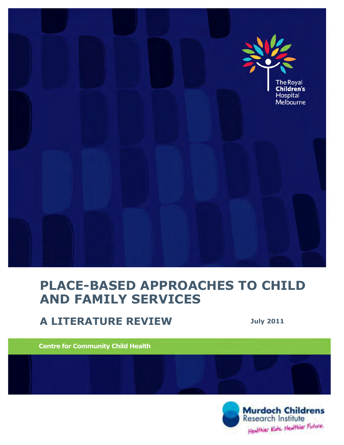

# **PLACE-BASED APPROACHES TO CHILD AND FAMILY SERVICES**

# **A LITERATURE REVIEW July <sup>2011</sup>**

**Centre for Community Child Health**

JULY 2011

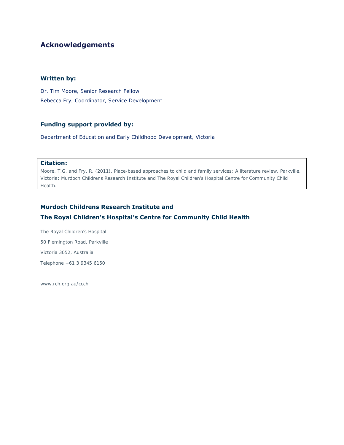# **Acknowledgements**

#### **Written by:**

Dr. Tim Moore, Senior Research Fellow Rebecca Fry, Coordinator, Service Development

#### **Funding support provided by:**

Department of Education and Early Childhood Development, Victoria

#### **Citation:**

Moore, T.G. and Fry, R. (2011). Place-based approaches to child and family services: A literature review. Parkville, Victoria: Murdoch Childrens Research Institute and The Royal Children's Hospital Centre for Community Child Health.

#### **Murdoch Childrens Research Institute and**

#### **The Royal Children's Hospital's Centre for Community Child Health**

The Royal Children's Hospital 50 Flemington Road, Parkville Victoria 3052, Australia Telephone +61 3 9345 6150

[www.rch.org.au/ccch](http://www.rch.org.au/ccch)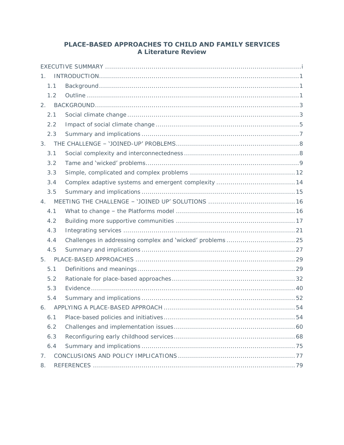### PLACE-BASED APPROACHES TO CHILD AND FAMILY SERVICES **A Literature Review**

| 1.  |  |
|-----|--|
| 1.1 |  |
| 1.2 |  |
| 2.  |  |
| 2.1 |  |
| 2.2 |  |
| 2.3 |  |
|     |  |
| 3.1 |  |
| 3.2 |  |
| 3.3 |  |
| 3.4 |  |
| 3.5 |  |
|     |  |
| 4.1 |  |
| 4.2 |  |
| 4.3 |  |
| 4.4 |  |
| 4.5 |  |
|     |  |
| 5.1 |  |
| 5.2 |  |
| 5.3 |  |
| 5.4 |  |
| 6.  |  |
| 6.1 |  |
| 6.2 |  |
| 6.3 |  |
| 6.4 |  |
| 7.  |  |
| 8.  |  |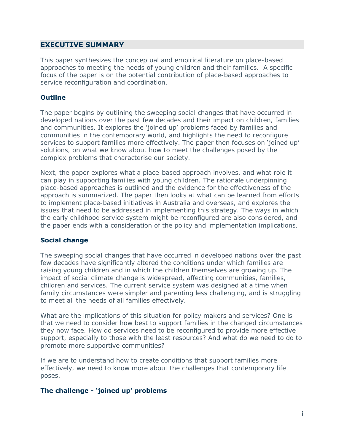#### <span id="page-3-0"></span>**EXECUTIVE SUMMARY**

This paper synthesizes the conceptual and empirical literature on place-based approaches to meeting the needs of young children and their families. A specific focus of the paper is on the potential contribution of place-based approaches to service reconfiguration and coordination.

#### **Outline**

The paper begins by outlining the sweeping social changes that have occurred in developed nations over the past few decades and their impact on children, families and communities. It explores the 'joined up' problems faced by families and communities in the contemporary world, and highlights the need to reconfigure services to support families more effectively. The paper then focuses on 'joined up' solutions, on what we know about how to meet the challenges posed by the complex problems that characterise our society.

Next, the paper explores what a place-based approach involves, and what role it can play in supporting families with young children. The rationale underpinning place-based approaches is outlined and the evidence for the effectiveness of the approach is summarized. The paper then looks at what can be learned from efforts to implement place-based initiatives in Australia and overseas, and explores the issues that need to be addressed in implementing this strategy. The ways in which the early childhood service system might be reconfigured are also considered, and the paper ends with a consideration of the policy and implementation implications.

#### **Social change**

The sweeping social changes that have occurred in developed nations over the past few decades have significantly altered the conditions under which families are raising young children and in which the children themselves are growing up. The impact of social climate change is widespread, affecting communities, families, children and services. The current service system was designed at a time when family circumstances were simpler and parenting less challenging, and is struggling to meet all the needs of all families effectively.

What are the implications of this situation for policy makers and services? One is that we need to consider how best to support families in the changed circumstances they now face. How do services need to be reconfigured to provide more effective support, especially to those with the least resources? And what do we need to do to promote more supportive communities?

If we are to understand how to create conditions that support families more effectively, we need to know more about the challenges that contemporary life poses.

#### **The challenge - 'joined up' problems**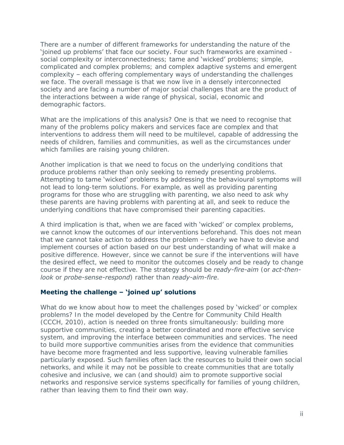There are a number of different frameworks for understanding the nature of the 'joined up problems' that face our society. Four such frameworks are examined social complexity or interconnectedness; tame and 'wicked' problems; simple, complicated and complex problems; and complex adaptive systems and emergent complexity – each offering complementary ways of understanding the challenges we face. The overall message is that we now live in a densely interconnected society and are facing a number of major social challenges that are the product of the interactions between a wide range of physical, social, economic and demographic factors.

What are the implications of this analysis? One is that we need to recognise that many of the problems policy makers and services face are complex and that interventions to address them will need to be multilevel, capable of addressing the needs of children, families and communities, as well as the circumstances under which families are raising young children.

Another implication is that we need to focus on the underlying conditions that produce problems rather than only seeking to remedy presenting problems. Attempting to tame 'wicked' problems by addressing the behavioural symptoms will not lead to long-term solutions. For example, as well as providing parenting programs for those who are struggling with parenting, we also need to ask why these parents are having problems with parenting at all, and seek to reduce the underlying conditions that have compromised their parenting capacities.

A third implication is that, when we are faced with 'wicked' or complex problems, we cannot know the outcomes of our interventions beforehand. This does not mean that we cannot take action to address the problem – clearly we have to devise and implement courses of action based on our best understanding of what will make a positive difference. However, since we cannot be sure if the interventions will have the desired effect, we need to monitor the outcomes closely and be ready to change course if they are not effective. The strategy should be *ready-fire-aim* (or *act-thenlook* or *probe-sense-respond*) rather than *ready-aim-fire*.

#### **Meeting the challenge – 'joined up' solutions**

What do we know about how to meet the challenges posed by 'wicked' or complex problems? In the model developed by the Centre for Community Child Health (CCCH, 2010), action is needed on three fronts simultaneously: building more supportive communities, creating a better coordinated and more effective service system, and improving the interface between communities and services. The need to build more supportive communities arises from the evidence that communities have become more fragmented and less supportive, leaving vulnerable families particularly exposed. Such families often lack the resources to build their own social networks, and while it may not be possible to create communities that are totally cohesive and inclusive, we can (and should) aim to promote supportive social networks and responsive service systems specifically for families of young children, rather than leaving them to find their own way.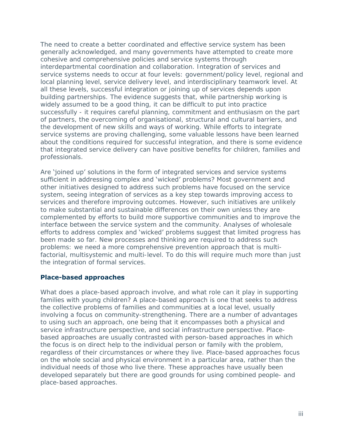The need to create a better coordinated and effective service system has been generally acknowledged, and many governments have attempted to create more cohesive and comprehensive policies and service systems through interdepartmental coordination and collaboration. Integration of services and service systems needs to occur at four levels: government/policy level, regional and local planning level, service delivery level, and interdisciplinary teamwork level. At all these levels, successful integration or joining up of services depends upon building partnerships. The evidence suggests that, while partnership working is widely assumed to be a good thing, it can be difficult to put into practice successfully - it requires careful planning, commitment and enthusiasm on the part of partners, the overcoming of organisational, structural and cultural barriers, and the development of new skills and ways of working. While efforts to integrate service systems are proving challenging, some valuable lessons have been learned about the conditions required for successful integration, and there is some evidence that integrated service delivery can have positive benefits for children, families and professionals.

Are 'joined up' solutions in the form of integrated services and service systems sufficient in addressing complex and 'wicked' problems? Most government and other initiatives designed to address such problems have focused on the service system, seeing integration of services as a key step towards improving access to services and therefore improving outcomes. However, such initiatives are unlikely to make substantial and sustainable differences on their own unless they are complemented by efforts to build more supportive communities and to improve the interface between the service system and the community. Analyses of wholesale efforts to address complex and 'wicked' problems suggest that limited progress has been made so far. New processes and thinking are required to address such problems: we need a more comprehensive prevention approach that is multifactorial, multisystemic and multi-level. To do this will require much more than just the integration of formal services.

#### **Place-based approaches**

What does a place-based approach involve, and what role can it play in supporting families with young children? A place-based approach is one that seeks to address the collective problems of families and communities at a local level, usually involving a focus on community-strengthening. There are a number of advantages to using such an approach, one being that it encompasses both a physical and service infrastructure perspective, and social infrastructure perspective. Placebased approaches are usually contrasted with person-based approaches in which the focus is on direct help to the individual person or family with the problem, regardless of their circumstances or where they live. Place-based approaches focus on the whole social and physical environment in a particular area, rather than the individual needs of those who live there. These approaches have usually been developed separately but there are good grounds for using combined people- and place-based approaches.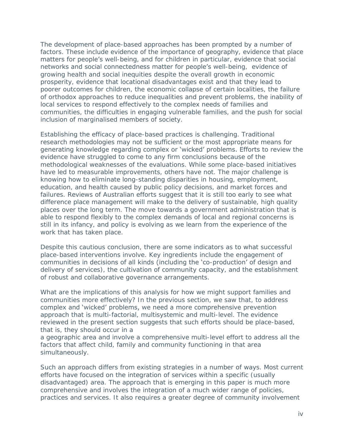The development of place-based approaches has been prompted by a number of factors. These include evidence of the importance of geography, evidence that place matters for people's well-being, and for children in particular, evidence that social networks and social connectedness matter for people's well-being, evidence of growing health and social inequities despite the overall growth in economic prosperity, evidence that locational disadvantages exist and that they lead to poorer outcomes for children, the economic collapse of certain localities, the failure of orthodox approaches to reduce inequalities and prevent problems, the inability of local services to respond effectively to the complex needs of families and communities, the difficulties in engaging vulnerable families, and the push for social inclusion of marginalised members of society.

Establishing the efficacy of place-based practices is challenging. Traditional research methodologies may not be sufficient or the most appropriate means for generating knowledge regarding complex or 'wicked' problems. Efforts to review the evidence have struggled to come to any firm conclusions because of the methodological weaknesses of the evaluations. While some place-based initiatives have led to measurable improvements, others have not. The major challenge is knowing how to eliminate long-standing disparities in housing, employment, education, and health caused by public policy decisions, and market forces and failures. Reviews of Australian efforts suggest that it is still too early to see what difference place management will make to the delivery of sustainable, high quality places over the long term. The move towards a government administration that is able to respond flexibly to the complex demands of local and regional concerns is still in its infancy, and policy is evolving as we learn from the experience of the work that has taken place.

Despite this cautious conclusion, there are some indicators as to what successful place-based interventions involve. Key ingredients include the engagement of communities in decisions of all kinds (including the 'co-production' of design and delivery of services), the cultivation of community capacity, and the establishment of robust and collaborative governance arrangements.

What are the implications of this analysis for how we might support families and communities more effectively? In the previous section, we saw that, to address complex and 'wicked' problems, we need a more comprehensive prevention approach that is multi-factorial, multisystemic and multi-level. The evidence reviewed in the present section suggests that such efforts should be place-based, that is, they should occur in a

a geographic area and involve a comprehensive multi-level effort to address all the factors that affect child, family and community functioning in that area simultaneously.

Such an approach differs from existing strategies in a number of ways. Most current efforts have focused on the integration of services within a specific (usually disadvantaged) area. The approach that is emerging in this paper is much more comprehensive and involves the integration of a much wider range of policies, practices and services. It also requires a greater degree of community involvement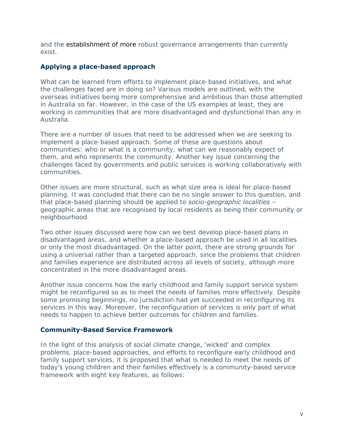and the establishment of more robust governance arrangements than currently exist.

#### **Applying a place-based approach**

What can be learned from efforts to implement place-based initiatives, and what the challenges faced are in doing so? Various models are outlined, with the overseas initiatives being more comprehensive and ambitious than those attempted in Australia so far. However, in the case of the US examples at least, they are working in communities that are more disadvantaged and dysfunctional than any in Australia.

There are a number of issues that need to be addressed when we are seeking to implement a place-based approach. Some of these are questions about communities: who or what is a community, what can we reasonably expect of them, and who represents the community. Another key issue concerning the challenges faced by governments and public services is working collaboratively with communities.

Other issues are more structural, such as what size area is ideal for place-based planning. It was concluded that there can be no single answer to this question, and that place-based planning should be applied to *socio-geographic localities* – geographic areas that are recognised by local residents as being their community or neighbourhood.

Two other issues discussed were how can we best develop place-based plans in disadvantaged areas, and whether a place-based approach be used in all localities or only the most disadvantaged. On the latter point, there are strong grounds for using a universal rather than a targeted approach, since the problems that children and families experience are distributed across all levels of society, although more concentrated in the more disadvantaged areas.

Another issue concerns how the early childhood and family support service system might be reconfigured so as to meet the needs of families more effectively. Despite some promising beginnings, no jurisdiction had yet succeeded in reconfiguring its services in this way. Moreover, the reconfiguration of services is only part of what needs to happen to achieve better outcomes for children and families.

#### **Community-Based Service Framework**

In the light of this analysis of social climate change, 'wicked' and complex problems, place-based approaches, and efforts to reconfigure early childhood and family support services, it is proposed that what is needed to meet the needs of today's young children and their families effectively is a community-based service framework with eight key features, as follows: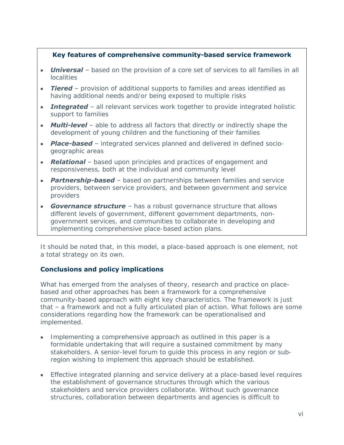#### **Key features of comprehensive community-based service framework**

- *Universal* based on the provision of a core set of services to all families in all  $\bullet$ localities
- *Tiered*  provision of additional supports to families and areas identified as having additional needs and/or being exposed to multiple risks
- **Integrated** all relevant services work together to provide integrated holistic support to families
- **Multi-level** able to address all factors that directly or indirectly shape the development of young children and the functioning of their families
- *Place-based* integrated services planned and delivered in defined sociogeographic areas
- *Relational*  based upon principles and practices of engagement and responsiveness, both at the individual and community level
- *Partnership-based*  based on partnerships between families and service providers, between service providers, and between government and service providers
- **Governance structure** has a robust governance structure that allows different levels of government, different government departments, nongovernment services, and communities to collaborate in developing and implementing comprehensive place-based action plans.

It should be noted that, in this model, a place-based approach is one element, not a total strategy on its own.

#### **Conclusions and policy implications**

What has emerged from the analyses of theory, research and practice on placebased and other approaches has been a framework for a comprehensive community-based approach with eight key characteristics. The framework is just that – a framework and not a fully articulated plan of action. What follows are some considerations regarding how the framework can be operationalised and implemented.

- Implementing a comprehensive approach as outlined in this paper is a formidable undertaking that will require a sustained commitment by many stakeholders. A senior-level forum to guide this process in any region or subregion wishing to implement this approach should be established.
- Effective integrated planning and service delivery at a place-based level requires the establishment of governance structures through which the various stakeholders and service providers collaborate. Without such governance structures, collaboration between departments and agencies is difficult to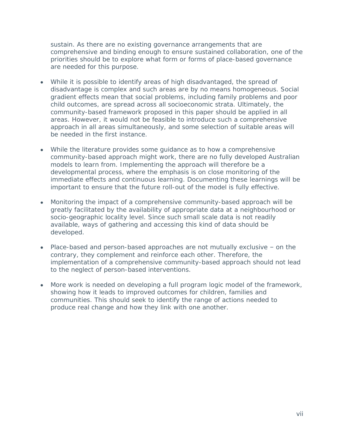sustain. As there are no existing governance arrangements that are comprehensive and binding enough to ensure sustained collaboration, one of the priorities should be to explore what form or forms of place-based governance are needed for this purpose.

- While it is possible to identify areas of high disadvantaged, the spread of disadvantage is complex and such areas are by no means homogeneous. Social gradient effects mean that social problems, including family problems and poor child outcomes, are spread across all socioeconomic strata. Ultimately, the community-based framework proposed in this paper should be applied in all areas. However, it would not be feasible to introduce such a comprehensive approach in all areas simultaneously, and some selection of suitable areas will be needed in the first instance.
- While the literature provides some guidance as to how a comprehensive community-based approach might work, there are no fully developed Australian models to learn from. Implementing the approach will therefore be a developmental process, where the emphasis is on close monitoring of the immediate effects and continuous learning. Documenting these learnings will be important to ensure that the future roll-out of the model is fully effective.
- Monitoring the impact of a comprehensive community-based approach will be  $\bullet$  . greatly facilitated by the availability of appropriate data at a neighbourhood or socio-geographic locality level. Since such small scale data is not readily available, ways of gathering and accessing this kind of data should be developed.
- Place-based and person-based approaches are not mutually exclusive on the contrary, they complement and reinforce each other. Therefore, the implementation of a comprehensive community-based approach should not lead to the neglect of person-based interventions.
- More work is needed on developing a full program logic model of the framework, showing how it leads to improved outcomes for children, families and communities. This should seek to identify the range of actions needed to produce real change and how they link with one another.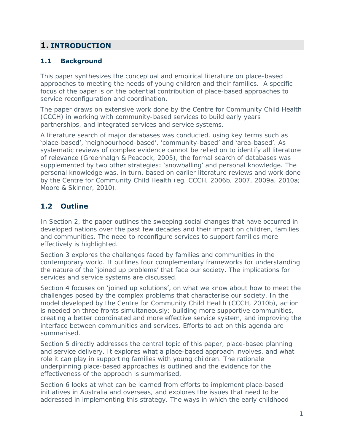# <span id="page-10-0"></span>**1. INTRODUCTION**

# <span id="page-10-1"></span>**1.1 Background**

This paper synthesizes the conceptual and empirical literature on place-based approaches to meeting the needs of young children and their families. A specific focus of the paper is on the potential contribution of place-based approaches to service reconfiguration and coordination.

The paper draws on extensive work done by the Centre for Community Child Health (CCCH) in working with community-based services to build early years partnerships, and integrated services and service systems.

A literature search of major databases was conducted, using key terms such as 'place-based', 'neighbourhood-based', 'community-based' and 'area-based'. As systematic reviews of complex evidence cannot be relied on to identify all literature of relevance (Greenhalgh & Peacock, 2005), the formal search of databases was supplemented by two other strategies: 'snowballing' and personal knowledge. The personal knowledge was, in turn, based on earlier literature reviews and work done by the Centre for Community Child Health (eg. CCCH, 2006b, 2007, 2009a, 2010a; Moore & Skinner, 2010).

# <span id="page-10-2"></span>**1.2 Outline**

In Section 2, the paper outlines the sweeping social changes that have occurred in developed nations over the past few decades and their impact on children, families and communities. The need to reconfigure services to support families more effectively is highlighted.

Section 3 explores the challenges faced by families and communities in the contemporary world. It outlines four complementary frameworks for understanding the nature of the 'joined up problems' that face our society. The implications for services and service systems are discussed.

Section 4 focuses on 'joined up solutions', on what we know about how to meet the challenges posed by the complex problems that characterise our society. In the model developed by the Centre for Community Child Health (CCCH, 2010b), action is needed on three fronts simultaneously: building more supportive communities, creating a better coordinated and more effective service system, and improving the interface between communities and services. Efforts to act on this agenda are summarised.

Section 5 directly addresses the central topic of this paper, place-based planning and service delivery. It explores what a place-based approach involves, and what role it can play in supporting families with young children. The rationale underpinning place-based approaches is outlined and the evidence for the effectiveness of the approach is summarised,

Section 6 looks at what can be learned from efforts to implement place-based initiatives in Australia and overseas, and explores the issues that need to be addressed in implementing this strategy. The ways in which the early childhood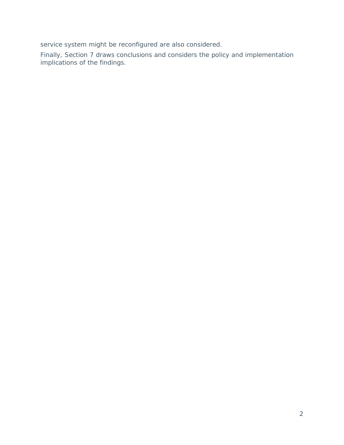service system might be reconfigured are also considered.

Finally, Section 7 draws conclusions and considers the policy and implementation implications of the findings.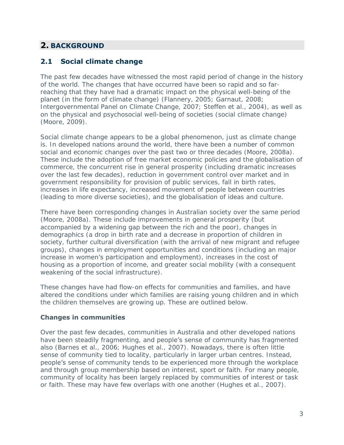# <span id="page-12-0"></span>**2. BACKGROUND**

# <span id="page-12-1"></span>**2.1 Social climate change**

The past few decades have witnessed the most rapid period of change in the history of the world. The changes that have occurred have been so rapid and so farreaching that they have had a dramatic impact on the physical well-being of the planet (in the form of climate change) (Flannery, 2005; Garnaut, 2008; Intergovernmental Panel on Climate Change, 2007; Steffen et al., 2004), as well as on the physical and psychosocial well-being of societies (social climate change) (Moore, 2009).

Social climate change appears to be a global phenomenon, just as climate change is. In developed nations around the world, there have been a number of common social and economic changes over the past two or three decades (Moore, 2008a). These include the adoption of free market economic policies and the globalisation of commerce, the concurrent rise in general prosperity (including dramatic increases over the last few decades), reduction in government control over market and in government responsibility for provision of public services, fall in birth rates, increases in life expectancy, increased movement of people between countries (leading to more diverse societies), and the globalisation of ideas and culture.

There have been corresponding changes in Australian society over the same period (Moore, 2008a). These include improvements in general prosperity (but accompanied by a widening gap between the rich and the poor), changes in demographics (a drop in birth rate and a decrease in proportion of children in society, further cultural diversification (with the arrival of new migrant and refugee groups), changes in employment opportunities and conditions (including an major increase in women's participation and employment), increases in the cost of housing as a proportion of income, and greater social mobility (with a consequent weakening of the social infrastructure).

These changes have had flow-on effects for communities and families, and have altered the conditions under which families are raising young children and in which the children themselves are growing up. These are outlined below.

#### **Changes in communities**

Over the past few decades, communities in Australia and other developed nations have been steadily fragmenting, and **people's** sense of community has fragmented also (Barnes et al., 2006; Hughes et al., 2007). Nowadays, there is often little sense of community tied to locality, particularly in larger urban centres. Instead, people's sense of community tends to be experienced more through the workplace and through group membership based on interest, sport or faith. For many people, community of locality has been largely replaced by communities of interest or task or faith. These may have few overlaps with one another (Hughes et al., 2007).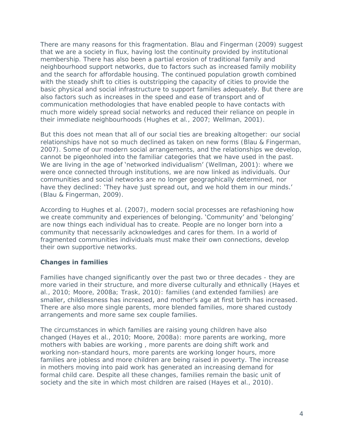There are many reasons for this fragmentation. Blau and Fingerman (2009) suggest that we are a society in flux, having lost the continuity provided by institutional membership. There has also been a partial erosion of traditional family and neighbourhood support networks, due to factors such as increased family mobility and the search for affordable housing. The continued population growth combined with the steady shift to cities is outstripping the capacity of cities to provide the basic physical and social infrastructure to support families adequately. But there are also factors such as increases in the speed and ease of transport and of communication methodologies that have enabled people to have contacts with much more widely spread social networks and reduced their reliance on people in their immediate neighbourhoods (Hughes et al., 2007; Wellman, 2001).

But this does not mean that all of our social ties are breaking altogether: our social relationships have not so much declined as taken on new forms (Blau & Fingerman, 2007). Some of our modern social arrangements, and the relationships we develop, cannot be pigeonholed into the familiar categories that we have used in the past. We are living in the age of 'networked individualism' (Wellman, 2001): where we were once connected through institutions, we are now linked as individuals. Our communities and social networks are no longer geographically determined, nor have they declined: 'They have just spread out, and we hold them in our minds.' (Blau & Fingerman, 2009).

According to Hughes et al. (2007), modern social processes are refashioning how we create community and experiences of belonging. 'Community' and 'belonging' are now things each individual has to create. People are no longer born into a community that necessarily acknowledges and cares for them. In a world of fragmented communities individuals must make their own connections, develop their own supportive networks.

#### **Changes in families**

Families have changed significantly over the past two or three decades - they are more varied in their structure, and more diverse culturally and ethnically (Hayes et al., 2010; Moore, 2008a; Trask, 2010): families (and extended families) are smaller, childlessness has increased, and mother's age at first birth has increased. There are also more single parents, more blended families, more shared custody arrangements and more same sex couple families.

The circumstances in which families are raising young children have also changed (Hayes et al., 2010; Moore, 2008a): more parents are working, more mothers with babies are working , more parents are doing shift work and working non-standard hours, more parents are working longer hours, more families are jobless and more children are being raised in poverty. The increase in mothers moving into paid work has generated an increasing demand for formal child care. Despite all these changes, families remain the basic unit of society and the site in which most children are raised (Hayes et al., 2010).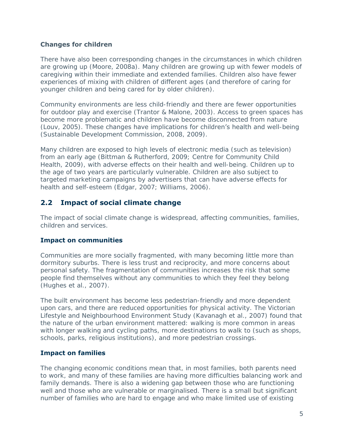#### **Changes for children**

There have also been corresponding changes in the circumstances in which children are growing up (Moore, 2008a). Many children are growing up with fewer models of caregiving within their immediate and extended families. Children also have fewer experiences of mixing with children of different ages (and therefore of caring for younger children and being cared for by older children).

Community environments are less child-friendly and there are fewer opportunities for outdoor play and exercise (Trantor & Malone, 2003). Access to green spaces has become more problematic and children have become disconnected from nature (Louv, 2005). These changes have implications for children's health and well-being (Sustainable Development Commission, 2008, 2009).

Many children are exposed to high levels of electronic media (such as television) from an early age (Bittman & Rutherford, 2009; Centre for Community Child Health, 2009), with adverse effects on their health and well-being. Children up to the age of two years are particularly vulnerable. Children are also subject to targeted marketing campaigns by advertisers that can have adverse effects for health and self-esteem (Edgar, 2007; Williams, 2006).

# <span id="page-14-0"></span>**2.2 Impact of social climate change**

The impact of social climate change is widespread, affecting communities, families, children and services.

#### **Impact on communities**

Communities are more socially fragmented, with many becoming little more than dormitory suburbs. There is less trust and reciprocity, and more concerns about personal safety. The fragmentation of communities increases the risk that some people find themselves without any communities to which they feel they belong (Hughes et al., 2007).

The built environment has become less pedestrian-friendly and more dependent upon cars, and there are reduced opportunities for physical activity. The Victorian Lifestyle and Neighbourhood Environment Study (Kavanagh et al., 2007) found that the nature of the urban environment mattered: walking is more common in areas with longer walking and cycling paths, more destinations to walk to (such as shops, schools, parks, religious institutions), and more pedestrian crossings.

## **Impact on families**

The changing economic conditions mean that, in most families, both parents need to work, and many of these families are having more difficulties balancing work and family demands. There is also a widening gap between those who are functioning well and those who are vulnerable or marginalised. There is a small but significant number of families who are hard to engage and who make limited use of existing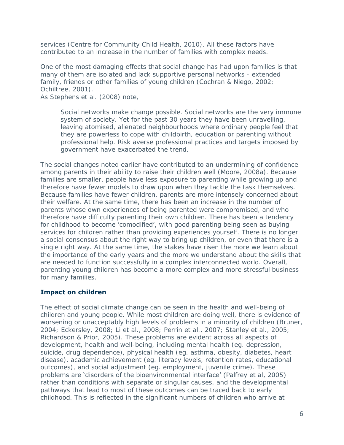services (Centre for Community Child Health, 2010). All these factors have contributed to an increase in the number of families with complex needs.

One of the most damaging effects that social change has had upon families is that many of them are isolated and lack supportive personal networks - extended family, friends or other families of young children (Cochran & Niego, 2002; Ochiltree, 2001).

As Stephens et al. (2008) note,

Social networks make change possible. Social networks are the very immune system of society. Yet for the past 30 years they have been unravelling, leaving atomised, alienated neighbourhoods where ordinary people feel that they are powerless to cope with childbirth, education or parenting without professional help. Risk averse professional practices and targets imposed by government have exacerbated the trend.

The social changes noted earlier have contributed to an undermining of confidence among parents in their ability to raise their children well (Moore, 2008a). Because families are smaller, people have less exposure to parenting while growing up and therefore have fewer models to draw upon when they tackle the task themselves. Because families have fewer children, parents are more intensely concerned about their welfare. At the same time, there has been an increase in the number of parents whose own experiences of being parented were compromised, and who therefore have difficulty parenting their own children. There has been a tendency for childhood to become 'comodified', with good parenting being seen as buying services for children rather than providing experiences yourself. There is no longer a social consensus about the right way to bring up children, or even that there is a single right way. At the same time, the stakes have risen the more we learn about the importance of the early years and the more we understand about the skills that are needed to function successfully in a complex interconnected world. Overall, parenting young children has become a more complex and more stressful business for many families.

#### **Impact on children**

The effect of social climate change can be seen in the health and well-being of children and young people. While most children are doing well, there is evidence of worsening or unacceptably high levels of problems in a minority of children (Bruner, 2004; Eckersley, 2008; Li et al., 2008; Perrin et al., 2007; Stanley et al., 2005; Richardson & Prior, 2005). These problems are evident across all aspects of development, health and well-being, including mental health (eg. depression, suicide, drug dependence), physical health (eg. asthma, obesity, diabetes, heart disease), academic achievement (eg. literacy levels, retention rates, educational outcomes), and social adjustment (eg. employment, juvenile crime). These problems are 'disorders of the bioenvironmental interface' (Palfrey et al, 2005) rather than conditions with separate or singular causes, and the developmental pathways that lead to most of these outcomes can be traced back to early childhood. This is reflected in the significant numbers of children who arrive at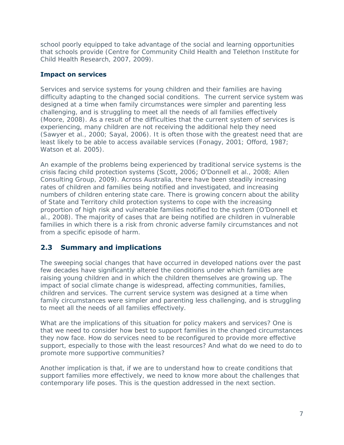school poorly equipped to take advantage of the social and learning opportunities that schools provide (Centre for Community Child Health and Telethon Institute for Child Health Research, 2007, 2009).

### **Impact on services**

Services and service systems for young children and their families are having difficulty adapting to the changed social conditions. The current service system was designed at a time when family circumstances were simpler and parenting less challenging, and is struggling to meet all the needs of all families effectively (Moore, 2008). As a result of the difficulties that the current system of services is experiencing, many children are not receiving the additional help they need (Sawyer et al., 2000; Sayal, 2006). It is often those with the greatest need that are least likely to be able to access available services (Fonagy, 2001; Offord, 1987; Watson et al. 2005).

An example of the problems being experienced by traditional service systems is the crisis facing child protection systems (Scott, 2006; O'Donnell et al., 2008; Allen Consulting Group, 2009). Across Australia, there have been steadily increasing rates of children and families being notified and investigated, and increasing numbers of children entering state care. There is growing concern about the ability of State and Territory child protection systems to cope with the increasing proportion of high risk and vulnerable families notified to the system (O'Donnell et al., 2008). The majority of cases that are being notified are children in vulnerable families in which there is a risk from chronic adverse family circumstances and not from a specific episode of harm.

# <span id="page-16-0"></span>**2.3 Summary and implications**

The sweeping social changes that have occurred in developed nations over the past few decades have significantly altered the conditions under which families are raising young children and in which the children themselves are growing up. The impact of social climate change is widespread, affecting communities, families, children and services. The current service system was designed at a time when family circumstances were simpler and parenting less challenging, and is struggling to meet all the needs of all families effectively.

What are the implications of this situation for policy makers and services? One is that we need to consider how best to support families in the changed circumstances they now face. How do services need to be reconfigured to provide more effective support, especially to those with the least resources? And what do we need to do to promote more supportive communities?

Another implication is that, if we are to understand how to create conditions that support families more effectively, we need to know more about the challenges that contemporary life poses. This is the question addressed in the next section.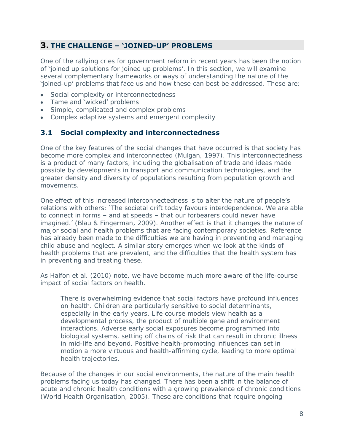# <span id="page-17-0"></span>**3. THE CHALLENGE – 'JOINED-UP' PROBLEMS**

One of the rallying cries for government reform in recent years has been the notion of 'joined up solutions for joined up problems'. In this section, we will examine several complementary frameworks or ways of understanding the nature of the 'joined-up' problems that face us and how these can best be addressed. These are:

- Social complexity or interconnectedness
- Tame and 'wicked' problems
- Simple, complicated and complex problems
- Complex adaptive systems and emergent complexity

#### <span id="page-17-1"></span>**3.1 Social complexity and interconnectedness**

One of the key features of the social changes that have occurred is that society has become more complex and interconnected (Mulgan, 1997). This interconnectedness is a product of many factors, including the globalisation of trade and ideas made possible by developments in transport and communication technologies, and the greater density and diversity of populations resulting from population growth and movements.

One effect of this increased interconnectedness is to alter the nature of people's relations with others: 'The societal drift today favours interdependence. We are able to connect in forms – and at speeds – that our forbearers could never have imagined.' (Blau & Fingerman, 2009). Another effect is that it changes the nature of major social and health problems that are facing contemporary societies. Reference has already been made to the difficulties we are having in preventing and managing child abuse and neglect. A similar story emerges when we look at the kinds of health problems that are prevalent, and the difficulties that the health system has in preventing and treating these.

As Halfon et al. (2010) note, we have become much more aware of the life-course impact of social factors on health.

There is overwhelming evidence that social factors have profound influences on health. Children are particularly sensitive to social determinants, especially in the early years. Life course models view health as a developmental process, the product of multiple gene and environment interactions. Adverse early social exposures become programmed into biological systems, setting off chains of risk that can result in chronic illness in mid-life and beyond. Positive health-promoting influences can set in motion a more virtuous and health-affirming cycle, leading to more optimal health trajectories.

Because of the changes in our social environments, the nature of the main health problems facing us today has changed. There has been a shift in the balance of acute and chronic health conditions with a growing prevalence of chronic conditions (World Health Organisation, 2005). These are conditions that require ongoing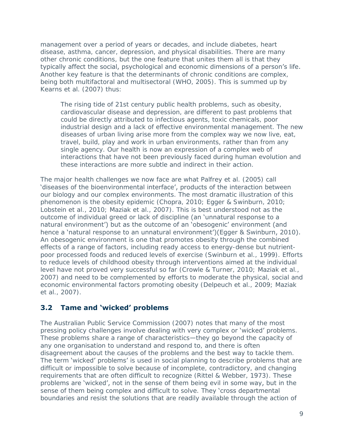management over a period of years or decades, and include diabetes, heart disease, asthma, cancer, depression, and physical disabilities. There are many other chronic conditions, but the one feature that unites them all is that they typically affect the social, psychological and economic dimensions of a person's life. Another key feature is that the determinants of chronic conditions are complex, being both multifactoral and multisectoral (WHO, 2005). This is summed up by Kearns et al. (2007) thus:

The rising tide of 21st century public health problems, such as obesity, cardiovascular disease and depression, are different to past problems that could be directly attributed to infectious agents, toxic chemicals, poor industrial design and a lack of effective environmental management. The new diseases of urban living arise more from the complex way we now live, eat, travel, build, play and work in urban environments, rather than from any single agency. Our health is now an expression of a complex web of interactions that have not been previously faced during human evolution and these interactions are more subtle and indirect in their action.

The major health challenges we now face are what Palfrey et al. (2005) call 'diseases of the bioenvironmental interface', products of the interaction between our biology and our complex environments. The most dramatic illustration of this phenomenon is the obesity epidemic (Chopra, 2010; Egger & Swinburn, 2010; Lobstein et al., 2010; Maziak et al., 2007). This is best understood not as the outcome of individual greed or lack of discipline (an 'unnatural response to a natural environment') but as the outcome of an 'obesogenic' environment (and hence a 'natural response to an unnatural environment')(Egger & Swinburn, 2010). An obesogenic environment is one that promotes obesity through the combined effects of a range of factors, including ready access to energy-dense but nutrientpoor processed foods and reduced levels of exercise (Swinburn et al., 1999). Efforts to reduce levels of childhood obesity through interventions aimed at the individual level have not proved very successful so far (Crowle & Turner, 2010; Maziak et al., 2007) and need to be complemented by efforts to moderate the physical, social and economic environmental factors promoting obesity (Delpeuch et al., 2009; Maziak et al., 2007).

# <span id="page-18-0"></span>**3.2 Tame and 'wicked' problems**

The Australian Public Service Commission (2007) notes that many of the most pressing policy challenges involve dealing with very complex or 'wicked' problems. These problems share a range of characteristics—they go beyond the capacity of any one organisation to understand and respond to, and there is often disagreement about the causes of the problems and the best way to tackle them. The term 'wicked' problems' is used in social planning to describe problems that are difficult or impossible to solve because of incomplete, contradictory, and changing requirements that are often difficult to recognize (Rittel & Webber, 1973). These problems are 'wicked', not in the sense of them being evil in some way, but in the sense of them being complex and difficult to solve. They 'cross departmental boundaries and resist the solutions that are readily available through the action of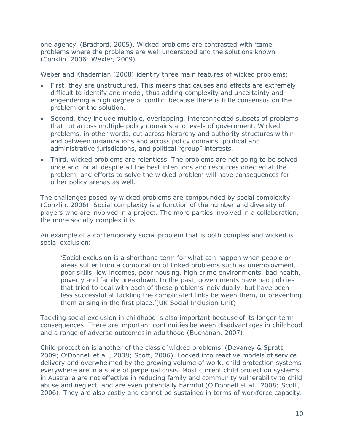one agency' (Bradford, 2005). Wicked problems are contrasted with 'tame' problems where the problems are well understood and the solutions known (Conklin, 2006; Wexler, 2009).

Weber and Khademian (2008) identify three main features of wicked problems:

- First, they are unstructured. This means that causes and effects are extremely difficult to identify and model, thus adding complexity and uncertainty and engendering a high degree of conflict because there is little consensus on the problem or the solution.
- Second, they include multiple, overlapping, interconnected subsets of problems  $\bullet$  . that cut across multiple policy domains and levels of government. Wicked problems, in other words, cut across hierarchy and authority structures within and between organizations and across policy domains, political and administrative jurisdictions, and political "group" interests.
- Third, wicked problems are relentless. The problems are not going to be solved once and for all despite all the best intentions and resources directed at the problem, and efforts to solve the wicked problem will have consequences for other policy arenas as well.

The challenges posed by wicked problems are compounded by social complexity (Conklin, 2006). Social complexity is a function of the number and diversity of players who are involved in a project. The more parties involved in a collaboration, the more socially complex it is.

An example of a contemporary social problem that is both complex and wicked is social exclusion:

'Social exclusion is a shorthand term for what can happen when people or areas suffer from a combination of linked problems such as unemployment, poor skills, low incomes, poor housing, high crime environments, bad health, poverty and family breakdown. In the past, governments have had policies that tried to deal with each of these problems individually, but have been less successful at tackling the complicated links between them, or preventing them arising in the first place.'(UK Social Inclusion Unit)

Tackling social exclusion in childhood is also important because of its longer-term consequences. There are important continuities between disadvantages in childhood and a range of adverse outcomes in adulthood (Buchanan, 2007).

Child protection is another of the classic 'wicked problems' (Devaney & Spratt, 2009; O'Donnell et al., 2008; Scott, 2006). Locked into reactive models of service delivery and overwhelmed by the growing volume of work, child protection systems everywhere are in a state of perpetual crisis. Most current child protection systems in Australia are not effective in reducing family and community vulnerability to child abuse and neglect, and are even potentially harmful (O'Donnell et al., 2008; Scott, 2006). They are also costly and cannot be sustained in terms of workforce capacity.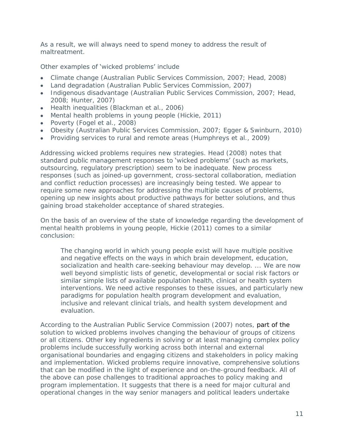As a result, we will always need to spend money to address the result of maltreatment.

#### Other examples of 'wicked problems' include

- Climate change (Australian Public Services Commission, 2007; Head, 2008)
- Land degradation (Australian Public Services Commission, 2007)
- Indigenous disadvantage (Australian Public Services Commission, 2007; Head, 2008; Hunter, 2007)
- Health inequalities (Blackman et al., 2006)
- Mental health problems in young people (Hickie, 2011)
- Poverty (Fogel et al., 2008)
- Obesity (Australian Public Services Commission, 2007; Egger & Swinburn, 2010)
- Providing services to rural and remote areas (Humphreys et al., 2009)

Addressing wicked problems requires new strategies. Head (2008) notes that standard public management responses to 'wicked problems' (such as markets, outsourcing, regulatory prescription) seem to be inadequate. New process responses (such as joined-up government, cross-sectoral collaboration, mediation and conflict reduction processes) are increasingly being tested. We appear to require some new approaches for addressing the multiple causes of problems, opening up new insights about productive pathways for better solutions, and thus gaining broad stakeholder acceptance of shared strategies.

On the basis of an overview of the state of knowledge regarding the development of mental health problems in young people, Hickie (2011) comes to a similar conclusion:

The changing world in which young people exist will have multiple positive and negative effects on the ways in which brain development, education, socialization and health care-seeking behaviour may develop. ... We are now well beyond simplistic lists of genetic, developmental or social risk factors or similar simple lists of available population health, clinical or health system interventions. We need active responses to these issues, and particularly new paradigms for population health program development and evaluation, inclusive and relevant clinical trials, and health system development and evaluation.

According to the Australian Public Service Commission (2007) notes, part of the solution to wicked problems involves changing the behaviour of groups of citizens or all citizens. Other key ingredients in solving or at least managing complex policy problems include successfully working across both internal and external organisational boundaries and engaging citizens and stakeholders in policy making and implementation. Wicked problems require innovative, comprehensive solutions that can be modified in the light of experience and on-the-ground feedback. All of the above can pose challenges to traditional approaches to policy making and program implementation. It suggests that there is a need for major cultural and operational changes in the way senior managers and political leaders undertake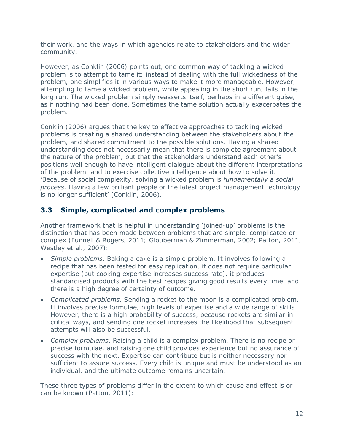their work, and the ways in which agencies relate to stakeholders and the wider community.

However, as Conklin (2006) points out, one common way of tackling a wicked problem is to attempt to tame it: instead of dealing with the full wickedness of the problem, one simplifies it in various ways to make it more manageable. However, attempting to tame a wicked problem, while appealing in the short run, fails in the long run. The wicked problem simply reasserts itself, perhaps in a different guise, as if nothing had been done. Sometimes the tame solution actually exacerbates the problem.

Conklin (2006) argues that the key to effective approaches to tackling wicked problems is creating a shared understanding between the stakeholders about the problem, and shared commitment to the possible solutions. Having a shared understanding does not necessarily mean that there is complete agreement about the nature of the problem, but that the stakeholders understand each other's positions well enough to have intelligent dialogue about the different interpretations of the problem, and to exercise collective intelligence about how to solve it. 'Because of social complexity, solving a wicked problem is *fundamentally a social process*. Having a few brilliant people or the latest project management technology is no longer sufficient' (Conklin, 2006).

# <span id="page-21-0"></span>**3.3 Simple, complicated and complex problems**

Another framework that is helpful in understanding 'joined-up' problems is the distinction that has been made between problems that are simple, complicated or complex (Funnell & Rogers, 2011; Glouberman & Zimmerman, 2002; Patton, 2011; Westley et al., 2007):

- *Simple problems*. Baking a cake is a simple problem. It involves following a recipe that has been tested for easy replication, it does not require particular expertise (but cooking expertise increases success rate), it produces standardised products with the best recipes giving good results every time, and there is a high degree of certainty of outcome.
- *Complicated problems.* Sending a rocket to the moon is a complicated problem. It involves precise formulae, high levels of expertise and a wide range of skills. However, there is a high probability of success, because rockets are similar in critical ways, and sending one rocket increases the likelihood that subsequent attempts will also be successful.
- *Complex problems*. Raising a child is a complex problem. There is no recipe or precise formulae, and raising one child provides experience but no assurance of success with the next. Expertise can contribute but is neither necessary nor sufficient to assure success. Every child is unique and must be understood as an individual, and the ultimate outcome remains uncertain.

These three types of problems differ in the extent to which cause and effect is or can be known (Patton, 2011):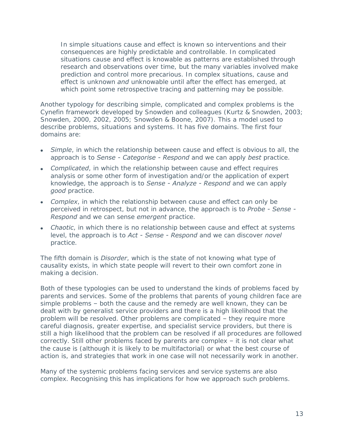In simple situations cause and effect is known so interventions and their consequences are highly predictable and controllable. In complicated situations cause and effect is knowable as patterns are established through research and observations over time, but the many variables involved make prediction and control more precarious. In complex situations, cause and effect is unknown *and* unknowable until after the effect has emerged, at which point some retrospective tracing and patterning may be possible.

Another typology for describing simple, complicated and complex problems is the Cynefin framework developed by Snowden and colleagues (Kurtz & Snowden, 2003; Snowden, 2000, 2002, 2005; Snowden & Boone, 2007). This a model used to describe problems, situations and systems. It has five domains. The first four domains are:

- *Simple*, in which the relationship between cause and effect is obvious to all, the approach is to *Sense - Categorise - Respond* and we can apply *best* practice.
- *Complicated*, in which the relationship between cause and effect requires analysis or some other form of investigation and/or the application of expert knowledge, the approach is to *Sense - Analyze - Respond* and we can apply *good* practice.
- *Complex*, in which the relationship between cause and effect can only be perceived in retrospect, but not in advance, the approach is to *Probe - Sense - Respond* and we can sense *emergent* practice.
- *Chaotic*, in which there is no relationship between cause and effect at systems level, the approach is to *Act - Sense - Respond* and we can discover *novel* practice.

The fifth domain is *Disorder*, which is the state of not knowing what type of causality exists, in which state people will revert to their own comfort zone in making a decision.

Both of these typologies can be used to understand the kinds of problems faced by parents and services. Some of the problems that parents of young children face are simple problems – both the cause and the remedy are well known, they can be dealt with by generalist service providers and there is a high likelihood that the problem will be resolved. Other problems are complicated – they require more careful diagnosis, greater expertise, and specialist service providers, but there is still a high likelihood that the problem can be resolved if all procedures are followed correctly. Still other problems faced by parents are complex – it is not clear what the cause is (although it is likely to be multifactorial) or what the best course of action is, and strategies that work in one case will not necessarily work in another.

Many of the systemic problems facing services and service systems are also complex. Recognising this has implications for how we approach such problems.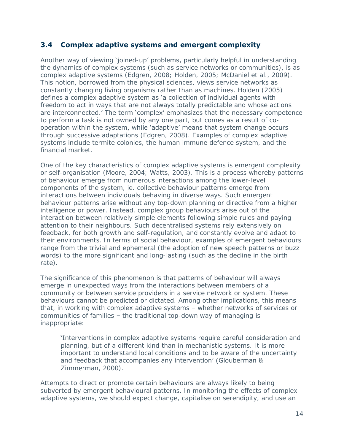# <span id="page-23-0"></span>**3.4 Complex adaptive systems and emergent complexity**

Another way of viewing 'joined-up' problems, particularly helpful in understanding the dynamics of complex systems (such as service networks or communities), is as complex adaptive systems (Edgren, 2008; Holden, 2005; McDaniel et al., 2009). This notion, borrowed from the physical sciences, views service networks as constantly changing living organisms rather than as machines. Holden (2005) defines a complex adaptive system as 'a collection of individual agents with freedom to act in ways that are not always totally predictable and whose actions are interconnected.' The term 'complex' emphasizes that the necessary competence to perform a task is not owned by any one part, but comes as a result of cooperation within the system, while 'adaptive' means that system change occurs through successive adaptations (Edgren, 2008). Examples of complex adaptive systems include termite colonies, the human immune defence system, and the financial market.

One of the key characteristics of complex adaptive systems is emergent complexity or self-organisation (Moore, 2004; Watts, 2003). This is a process whereby patterns of behaviour emerge from numerous interactions among the lower-level components of the system, ie. collective behaviour patterns emerge from interactions between individuals behaving in diverse ways. Such emergent behaviour patterns arise without any top-down planning or directive from a higher intelligence or power. Instead, complex group behaviours arise out of the interaction between relatively simple elements following simple rules and paying attention to their neighbours. Such decentralised systems rely extensively on feedback, for both growth and self-regulation, and constantly evolve and adapt to their environments. In terms of social behaviour, examples of emergent behaviours range from the trivial and ephemeral (the adoption of new speech patterns or buzz words) to the more significant and long-lasting (such as the decline in the birth rate).

The significance of this phenomenon is that patterns of behaviour will always emerge in unexpected ways from the interactions between members of a community or between service providers in a service network or system. These behaviours cannot be predicted or dictated. Among other implications, this means that, in working with complex adaptive systems – whether networks of services or communities of families – the traditional top-down way of managing is inappropriate:

'Interventions in complex adaptive systems require careful consideration and planning, but of a different kind than in mechanistic systems. It is more important to understand local conditions and to be aware of the uncertainty and feedback that accompanies any intervention' (Glouberman & Zimmerman, 2000).

Attempts to direct or promote certain behaviours are always likely to being subverted by emergent behavioural patterns. In monitoring the effects of complex adaptive systems, we should expect change, capitalise on serendipity, and use an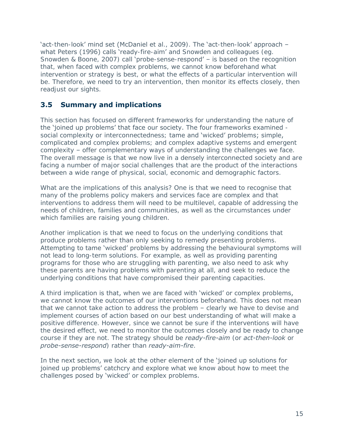'act-then-look' mind set (McDaniel et al., 2009). The 'act-then-look' approach – what Peters (1996) calls 'ready-fire-aim' and Snowden and colleagues (eg. Snowden & Boone, 2007) call 'probe-sense-respond' - is based on the recognition that, when faced with complex problems, we cannot know beforehand what intervention or strategy is best, or what the effects of a particular intervention will be. Therefore, we need to try an intervention, then monitor its effects closely, then readjust our sights.

# <span id="page-24-0"></span>**3.5 Summary and implications**

This section has focused on different frameworks for understanding the nature of the 'joined up problems' that face our society. The four frameworks examined social complexity or interconnectedness; tame and 'wicked' problems; simple, complicated and complex problems; and complex adaptive systems and emergent complexity – offer complementary ways of understanding the challenges we face. The overall message is that we now live in a densely interconnected society and are facing a number of major social challenges that are the product of the interactions between a wide range of physical, social, economic and demographic factors.

What are the implications of this analysis? One is that we need to recognise that many of the problems policy makers and services face are complex and that interventions to address them will need to be multilevel, capable of addressing the needs of children, families and communities, as well as the circumstances under which families are raising young children.

Another implication is that we need to focus on the underlying conditions that produce problems rather than only seeking to remedy presenting problems. Attempting to tame 'wicked' problems by addressing the behavioural symptoms will not lead to long-term solutions. For example, as well as providing parenting programs for those who are struggling with parenting, we also need to ask why these parents are having problems with parenting at all, and seek to reduce the underlying conditions that have compromised their parenting capacities.

A third implication is that, when we are faced with 'wicked' or complex problems, we cannot know the outcomes of our interventions beforehand. This does not mean that we cannot take action to address the problem – clearly we have to devise and implement courses of action based on our best understanding of what will make a positive difference. However, since we cannot be sure if the interventions will have the desired effect, we need to monitor the outcomes closely and be ready to change course if they are not. The strategy should be *ready-fire-aim* (or *act-then-look* or *probe-sense-respond*) rather than *ready-aim-fire*.

In the next section, we look at the other element of the 'joined up solutions for joined up problems' catchcry and explore what we know about how to meet the challenges posed by 'wicked' or complex problems.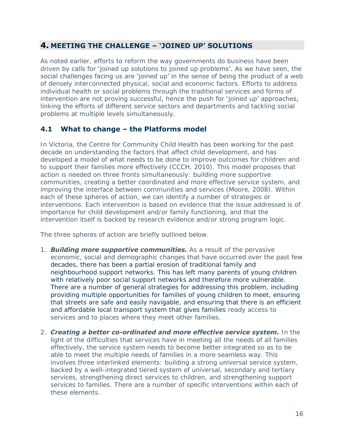# <span id="page-25-0"></span>**4. MEETING THE CHALLENGE – 'JOINED UP' SOLUTIONS**

As noted earlier, efforts to reform the way governments do business have been driven by calls for 'joined up solutions to joined up problems'. As we have seen, the social challenges facing us are 'joined up' in the sense of being the product of a web of densely interconnected physical, social and economic factors. Efforts to address individual health or social problems through the traditional services and forms of intervention are not proving successful, hence the push for 'joined up' approaches, linking the efforts of different service sectors and departments and tackling social problems at multiple levels simultaneously.

# <span id="page-25-1"></span>**4.1 What to change – the Platforms model**

In Victoria, the Centre for Community Child Health has been working for the past decade on understanding the factors that affect child development, and has developed a model of what needs to be done to improve outcomes for children and to support their families more effectively (CCCH, 2010). This model proposes that action is needed on three fronts simultaneously: building more supportive communities, creating a better coordinated and more effective service system, and improving the interface between communities and services (Moore, 2008). Within each of these spheres of action, we can identify a number of strategies or interventions. Each intervention is based on evidence that the issue addressed is of importance for child development and/or family functioning, and that the intervention itself is backed by research evidence and/or strong program logic.

The three spheres of action are briefly outlined below.

- 1. *Building more supportive communities.* As a result of the pervasive economic, social and demographic changes that have occurred over the past few decades, there has been a partial erosion of traditional family and neighbourhood support networks. This has left many parents of young children with relatively poor social support networks and therefore more vulnerable. There are a number of general strategies for addressing this problem, including providing multiple opportunities for families of young children to meet, ensuring that streets are safe and easily navigable, and ensuring that there is an efficient and affordable local transport system that gives families ready access to services and to places where they meet other families.
- 2. *Creating a better co-ordinated and more effective service system.* In the light of the difficulties that services have in meeting all the needs of all families effectively, the service system needs to become better integrated so as to be able to meet the multiple needs of families in a more seamless way. This involves three interlinked elements: building a strong universal service system, backed by a well-integrated tiered system of universal, secondary and tertiary services, strengthening direct services to children, and strengthening support services to families. There are a number of specific interventions within each of these elements.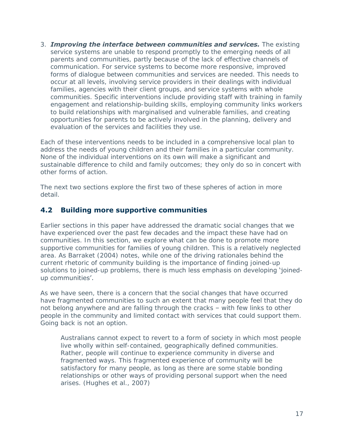3. *Improving the interface between communities and services.* The existing service systems are unable to respond promptly to the emerging needs of all parents and communities, partly because of the lack of effective channels of communication. For service systems to become more responsive, improved forms of dialogue between communities and services are needed. This needs to occur at all levels, involving service providers in their dealings with individual families, agencies with their client groups, and service systems with whole communities. Specific interventions include providing staff with training in family engagement and relationship-building skills, employing community links workers to build relationships with marginalised and vulnerable families, and creating opportunities for parents to be actively involved in the planning, delivery and evaluation of the services and facilities they use.

Each of these interventions needs to be included in a comprehensive local plan to address the needs of young children and their families in a particular community. None of the individual interventions on its own will make a significant and sustainable difference to child and family outcomes; they only do so in concert with other forms of action.

The next two sections explore the first two of these spheres of action in more detail.

# <span id="page-26-0"></span>**4.2 Building more supportive communities**

Earlier sections in this paper have addressed the dramatic social changes that we have experienced over the past few decades and the impact these have had on communities. In this section, we explore what can be done to promote more supportive communities for families of young children. This is a relatively neglected area. As Barraket (2004) notes, while one of the driving rationales behind the current rhetoric of community building is the importance of finding joined-up solutions to joined-up problems, there is much less emphasis on developing 'joinedup communities'.

As we have seen, there is a concern that the social changes that have occurred have fragmented communities to such an extent that many people feel that they do not belong anywhere and are falling through the cracks – with few links to other people in the community and limited contact with services that could support them. Going back is not an option.

Australians cannot expect to revert to a form of society in which most people live wholly within self-contained, geographically defined communities. Rather, people will continue to experience community in diverse and fragmented ways. This fragmented experience of community will be satisfactory for many people, as long as there are some stable bonding relationships or other ways of providing personal support when the need arises. (Hughes et al., 2007)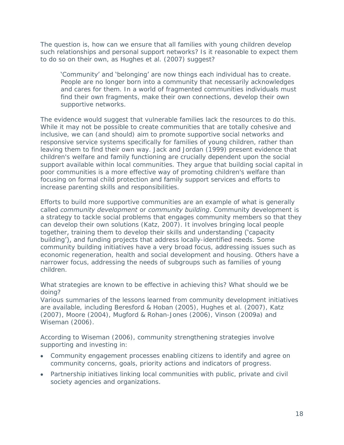The question is, how can we ensure that all families with young children develop such relationships and personal support networks? Is it reasonable to expect them to do so on their own, as Hughes et al. (2007) suggest?

'Community' and 'belonging' are now things each individual has to create. People are no longer born into a community that necessarily acknowledges and cares for them. In a world of fragmented communities individuals must find their own fragments, make their own connections, develop their own supportive networks.

The evidence would suggest that vulnerable families lack the resources to do this. While it may not be possible to create communities that are totally cohesive and inclusive, we can (and should) aim to promote supportive social networks and responsive service systems specifically for families of young children, rather than leaving them to find their own way. Jack and Jordan (1999) present evidence that children's welfare and family functioning are crucially dependent upon the social support available within local communities. They argue that building social capital in poor communities is a more effective way of promoting children's welfare than focusing on formal child protection and family support services and efforts to increase parenting skills and responsibilities.

Efforts to build more supportive communities are an example of what is generally called *community development* or *community building*. Community development is a strategy to tackle social problems that engages community members so that they can develop their own solutions (Katz, 2007). It involves bringing local people together, training them to develop their skills and understanding ('capacity building'), and funding projects that address locally-identified needs. Some community building initiatives have a very broad focus, addressing issues such as economic regeneration, health and social development and housing. Others have a narrower focus, addressing the needs of subgroups such as families of young children.

What strategies are known to be effective in achieving this? What should we be doing?

Various summaries of the lessons learned from community development initiatives are available, including Beresford & Hoban (2005), Hughes et al. (2007), Katz (2007), Moore (2004), Mugford & Rohan-Jones (2006), Vinson (2009a) and Wiseman (2006).

According to Wiseman (2006), community strengthening strategies involve supporting and investing in:

- Community engagement processes enabling citizens to identify and agree on community concerns, goals, priority actions and indicators of progress.
- Partnership initiatives linking local communities with public, private and civil society agencies and organizations.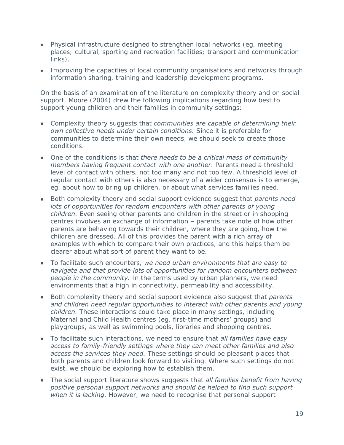- Physical infrastructure designed to strengthen local networks (eg, meeting places; cultural, sporting and recreation facilities; transport and communication links).
- Improving the capacities of local community organisations and networks through information sharing, training and leadership development programs.

On the basis of an examination of the literature on complexity theory and on social support, Moore (2004) drew the following implications regarding how best to support young children and their families in community settings:

- Complexity theory suggests that *communities are capable of determining their own collective needs under certain conditions.* Since it is preferable for communities to determine their own needs, we should seek to create those conditions.
- One of the conditions is that *there needs to be a critical mass of community members having frequent contact with one another*. Parents need a threshold level of contact with others, not too many and not too few. A threshold level of regular contact with others is also necessary of a wider consensus is to emerge, eg. about how to bring up children, or about what services families need.
- Both complexity theory and social support evidence suggest that *parents need*  lots of opportunities for random encounters with other parents of young *children*. Even seeing other parents and children in the street or in shopping centres involves an exchange of information – parents take note of how other parents are behaving towards their children, where they are going, how the children are dressed. All of this provides the parent with a rich array of examples with which to compare their own practices, and this helps them be clearer about what sort of parent they want to be.
- To facilitate such encounters, *we need urban environments that are easy to navigate and that provide lots of opportunities for random encounters between people in the community.* In the terms used by urban planners, we need environments that a high in connectivity, permeability and accessibility.
- Both complexity theory and social support evidence also suggest that *parents*  and children need regular opportunities to interact with other parents and young *children.* These interactions could take place in many settings, including Maternal and Child Health centres (eg. first-time mothers' groups) and playgroups, as well as swimming pools, libraries and shopping centres.
- To facilitate such interactions, we need to ensure that *all families have easy access to family-friendly settings where they can meet other families and also access the services they need.* These settings should be pleasant places that both parents and children look forward to visiting. Where such settings do not exist, we should be exploring how to establish them.
- The social support literature shows suggests that *all families benefit from having positive personal support networks and should be helped to find such support when it is lacking.* However, we need to recognise that personal support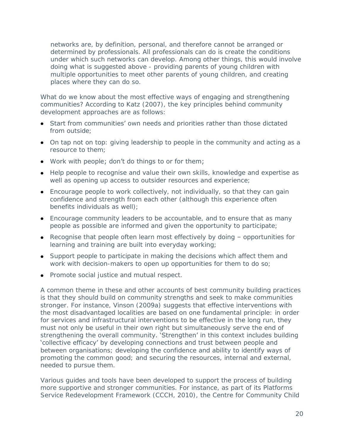networks are, by definition, personal, and therefore cannot be arranged or determined by professionals. All professionals can do is create the conditions under which such networks can develop. Among other things, this would involve doing what is suggested above - providing parents of young children with multiple opportunities to meet other parents of young children, and creating places where they can do so.

What do we know about the most effective ways of engaging and strengthening communities? According to Katz (2007), the key principles behind community development approaches are as follows:

- Start from communities' own needs and priorities rather than those dictated from outside;
- On tap not on top: giving leadership to people in the community and acting as a resource to them;
- Work with people; don't do things to or for them;
- Help people to recognise and value their own skills, knowledge and expertise as well as opening up access to outsider resources and experience;
- Encourage people to work collectively, not individually, so that they can gain confidence and strength from each other (although this experience often benefits individuals as well);
- Encourage community leaders to be accountable, and to ensure that as many people as possible are informed and given the opportunity to participate;
- Recognise that people often learn most effectively by doing opportunities for learning and training are built into everyday working;
- Support people to participate in making the decisions which affect them and work with decision-makers to open up opportunities for them to do so;
- Promote social justice and mutual respect.

A common theme in these and other accounts of best community building practices is that they should build on community strengths and seek to make communities stronger. For instance, Vinson (2009a) suggests that effective interventions with the most disadvantaged localities are based on one fundamental principle: in order for services and infrastructural interventions to be effective in the long run, they must not only be useful in their own right but simultaneously serve the end of strengthening the overall community. 'Strengthen' in this context includes building 'collective efficacy' by developing connections and trust between people and between organisations; developing the confidence and ability to identify ways of promoting the common good; and securing the resources, internal and external, needed to pursue them.

Various guides and tools have been developed to support the process of building more supportive and stronger communities. For instance, as part of its Platforms Service Redevelopment Framework (CCCH, 2010), the Centre for Community Child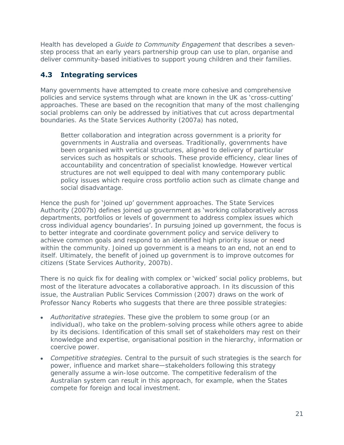Health has developed a *Guide to Community Engagement* that describes a sevenstep process that an early years partnership group can use to plan, organise and deliver community-based initiatives to support young children and their families.

# <span id="page-30-0"></span>**4.3 Integrating services**

Many governments have attempted to create more cohesive and comprehensive policies and service systems through what are known in the UK as 'cross-cutting' approaches. These are based on the recognition that many of the most challenging social problems can only be addressed by initiatives that cut across departmental boundaries. As the State Services Authority (2007a) has noted,

Better collaboration and integration across government is a priority for governments in Australia and overseas. Traditionally, governments have been organised with vertical structures, aligned to delivery of particular services such as hospitals or schools. These provide efficiency, clear lines of accountability and concentration of specialist knowledge. However vertical structures are not well equipped to deal with many contemporary public policy issues which require cross portfolio action such as climate change and social disadvantage.

Hence the push for 'joined up' government approaches. The State Services Authority (2007b) defines joined up government as 'working collaboratively across departments, portfolios or levels of government to address complex issues which cross individual agency boundaries'. In pursuing joined up government, the focus is to better integrate and coordinate government policy and service delivery to achieve common goals and respond to an identified high priority issue or need within the community. Joined up government is a means to an end, not an end to itself. Ultimately, the benefit of joined up government is to improve outcomes for citizens (State Services Authority, 2007b).

There is no quick fix for **dealing with complex or** 'wicked' **social** policy problems, but most of the literature advocates a collaborative approach. In its discussion of this issue, the Australian Public Services Commission (2007) draws on the work of Professor Nancy Roberts who suggests that there are three possible strategies:

- *Authoritative strategies.* These give the problem to some group (or an individual), who take on the problem-solving process while others agree to abide by its decisions. Identification of this small set of stakeholders may rest on their knowledge and expertise, organisational position in the hierarchy, information or coercive power.
- *Competitive strategies.* Central to the pursuit of such strategies is the search for power, influence and market share—stakeholders following this strategy generally assume a win-lose outcome. The competitive federalism of the Australian system can result in this approach, for example, when the States compete for foreign and local investment.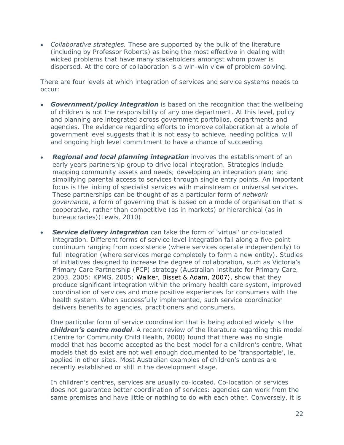*Collaborative strategies.* These are supported by the bulk of the literature (including by Professor Roberts) as being the most effective in dealing with wicked problems that have many stakeholders amongst whom power is dispersed. At the core of collaboration is a win-win view of problem-solving.

There are four levels at which integration of services and service systems needs to occur:

- *Government/policy integration* is based on the recognition that the wellbeing of children is not the responsibility of any one department. At this level, policy and planning are integrated across government portfolios, departments and agencies. The evidence regarding efforts to improve collaboration at a whole of government level suggests that it is not easy to achieve, needing political will and ongoing high level commitment to have a chance of succeeding.
- *Regional and local planning integration* involves the establishment of an early years partnership group to drive local integration. Strategies include mapping community assets and needs; developing an integration plan; and simplifying parental access to services through single entry points. An important focus is the linking of specialist services with mainstream or universal services. These partnerships can be thought of as a particular form of *network governance*, a form of governing that is based on a mode of organisation that is cooperative, rather than competitive (as in markets) or hierarchical (as in bureaucracies)(Lewis, 2010).
- **Service delivery integration** can take the form of 'virtual' or co-located integration. Different forms of service level integration fall along a five-point continuum ranging from coexistence (where services operate independently) to full integration (where services merge completely to form a new entity). Studies of initiatives designed to increase the degree of collaboration, such as Victoria's Primary Care Partnership (PCP) strategy (Australian Institute for Primary Care, 2003, 2005; KPMG, 2005; Walker, Bisset & Adam, 2007), show that they produce significant integration within the primary health care system, improved coordination of services and more positive experiences for consumers with the health system. When successfully implemented, such service coordination delivers benefits to agencies, practitioners and consumers.

One particular form of service coordination that is being adopted widely is the *children's centre model*. A recent review of the literature regarding this model (Centre for Community Child Health, 2008) found that there was no single model that has become accepted as the best model for a children's centre. What models that do exist are not well enough documented to be 'transportable', ie. applied in other sites. Most Australian examples of children's centres are recently established or still in the development stage.

In children's centres, services are usually co-located. Co-location of services does not guarantee better coordination of services: agencies can work from the same premises and have little or nothing to do with each other. Conversely, it is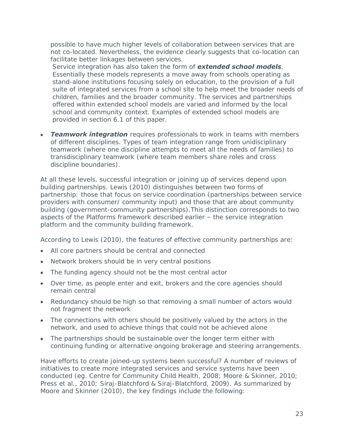possible to have much higher levels of collaboration between services that are not co-located. Nevertheless, the evidence clearly suggests that co-location can facilitate better linkages between services.

Service integration has also taken the form of *extended school models.*  Essentially these models represents a move away from schools operating as stand-alone institutions focusing solely on education, to the provision of a full suite of integrated services from a school site to help meet the broader needs of children, families and the broader community. The services and partnerships offered within extended school models are varied and informed by the local school and community context. Examples of extended school models are provided in section 6.1 of this paper.

*Teamwork integration* requires professionals to work in teams with members of different disciplines. Types of team integration range from unidisciplinary teamwork (where one discipline attempts to meet all the needs of families) to transdisciplinary teamwork (where team members share roles and cross discipline boundaries).

At all these levels, successful integration or joining up of services depend upon building partnerships. Lewis (2010) distinguishes between two forms of partnership: those that focus on service coordination (partnerships between service providers with consumer/ community input) and those that are about community building (government-community partnerships).This distinction corresponds to two aspects of the Platforms framework described earlier – the service integration platform and the community building framework.

According to Lewis (2010), the features of effective community partnerships are:

- All core partners should be central and connected
- Network brokers should be in very central positions  $\bullet$
- The funding agency should not be the most central actor
- Over time, as people enter and exit, brokers and the core agencies should remain central
- Redundancy should be high so that removing a small number of actors would not fragment the network
- The connections with others should be positively valued by the actors in the network, and used to achieve things that could not be achieved alone
- The partnerships should be sustainable over the longer term either with continuing funding or alternative ongoing brokerage and steering arrangements.

Have efforts to create joined-up systems been successful? A number of reviews of initiatives to create more integrated services and service systems have been conducted (eg. Centre for Community Child Health, 2008; Moore & Skinner, 2010; Press et al., 2010; Siraj-Blatchford & Siraj-Blatchford, 2009). As summarized by Moore and Skinner (2010), the key findings include the following: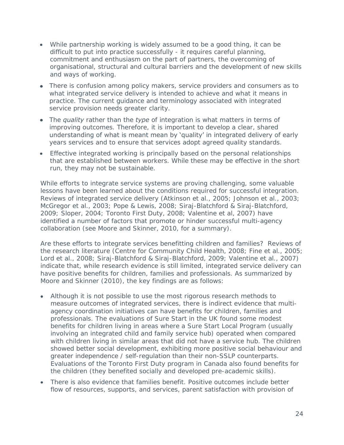- While partnership working is widely assumed to be a good thing, it can be  $\bullet$ difficult to put into practice successfully - it requires careful planning, commitment and enthusiasm on the part of partners, the overcoming of organisational, structural and cultural barriers and the development of new skills and ways of working.
- There is confusion among policy makers, service providers and consumers as to what integrated service delivery is intended to achieve and what it means in practice. The current guidance and terminology associated with integrated service provision needs greater clarity.
- The *quality* rather than the *type* of integration is what matters in terms of  $\bullet$ improving outcomes. Therefore, it is important to develop a clear, shared understanding of what is meant mean by 'quality' in integrated delivery of early years services and to ensure that services adopt agreed quality standards.
- Effective integrated working is principally based on the personal relationships that are established between workers. While these may be effective in the short run, they may not be sustainable.

While efforts to integrate service systems are proving challenging, some valuable lessons have been learned about the conditions required for successful integration. Reviews of integrated service delivery (Atkinson et al., 2005; Johnson et al., 2003; McGregor et al., 2003; Pope & Lewis, 2008; Siraj-Blatchford & Siraj-Blatchford, 2009; Sloper, 2004; Toronto First Duty, 2008; Valentine et al, 2007) have identified a number of factors that promote or hinder successful multi-agency collaboration (see Moore and Skinner, 2010, for a summary).

Are these efforts to integrate services benefitting children and families? Reviews of the research literature (Centre for Community Child Health, 2008; Fine et al., 2005; Lord et al., 2008; Siraj-Blatchford & Siraj-Blatchford, 2009; Valentine et al., 2007) indicate that, while research evidence is still limited, integrated service delivery can have positive benefits for children, families and professionals. As summarized by Moore and Skinner (2010), the key findings are as follows:

- Although it is not possible to use the most rigorous research methods to measure outcomes of integrated services, there is indirect evidence that multiagency coordination initiatives can have benefits for children, families and professionals. The evaluations of Sure Start in the UK found some modest benefits for children living in areas where a Sure Start Local Program (usually involving an integrated child and family service hub) operated when compared with children living in similar areas that did not have a service hub. The children showed better social development, exhibiting more positive social behaviour and greater independence / self-regulation than their non-SSLP counterparts. Evaluations of the Toronto First Duty program in Canada also found benefits for the children (they benefited socially and developed pre-academic skills).
- There is also evidence that families benefit. Positive outcomes include better flow of resources, supports, and services, parent satisfaction with provision of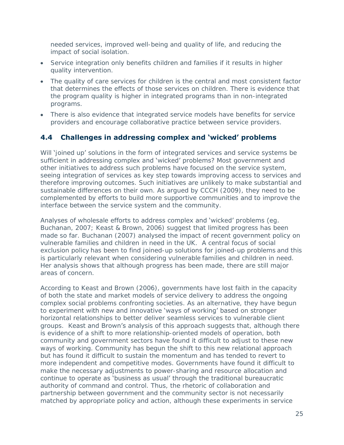needed services, improved well-being and quality of life, and reducing the impact of social isolation.

- Service integration only benefits children and families if it results in higher quality intervention.
- The quality of care services for children is the central and most consistent factor that determines the effects of those services on children. There is evidence that the program quality is higher in integrated programs than in non-integrated programs.
- There is also evidence that integrated service models have benefits for service providers and encourage collaborative practice between service providers.

# <span id="page-34-0"></span>**4.4 Challenges in addressing complex and 'wicked' problems**

Will 'joined up' solutions in the form of integrated services and service systems be sufficient in addressing complex and 'wicked' problems? Most government and other initiatives to address such problems have focused on the service system, seeing integration of services as key step towards improving access to services and therefore improving outcomes. Such initiatives are unlikely to make substantial and sustainable differences on their own. As argued by CCCH (2009), they need to be complemented by efforts to build more supportive communities and to improve the interface between the service system and the community.

Analyses of wholesale efforts to address complex and 'wicked' problems (eg. Buchanan, 2007; Keast & Brown, 2006) suggest that limited progress has been made so far. Buchanan (2007) analysed the impact of recent government policy on vulnerable families and children in need in the UK. A central focus of social exclusion policy has been to find joined-up solutions for joined-up problems and this is particularly relevant when considering vulnerable families and children in need. Her analysis shows that although progress has been made, there are still major areas of concern.

According to Keast and Brown (2006), governments have lost faith in the capacity of both the state and market models of service delivery to address the ongoing complex social problems confronting societies. As an alternative, they have begun to experiment with new and innovative 'ways of working' based on stronger horizontal relationships to better deliver seamless services to vulnerable client groups. Keast and Brown's analysis of this approach suggests that, although there is evidence of a shift to more relationship-oriented models of operation, both community and government sectors have found it difficult to adjust to these new ways of working. Community has begun the shift to this new relational approach but has found it difficult to sustain the momentum and has tended to revert to more independent and competitive modes. Governments have found it difficult to make the necessary adjustments to power-sharing and resource allocation and continue to operate as 'business as usual' through the traditional bureaucratic authority of command and control. Thus, the rhetoric of collaboration and partnership between government and the community sector is not necessarily matched by appropriate policy and action, although these experiments in service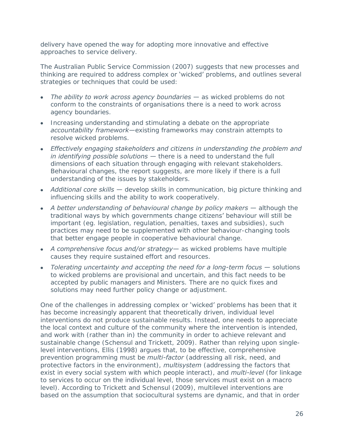delivery have opened the way for adopting more innovative and effective approaches to service delivery.

The Australian Public Service Commission (2007) suggests that new processes and thinking are required to address complex or 'wicked' problems, and outlines several strategies or techniques that could be used:

- *The ability to work across agency boundaries* as wicked problems do not  $\bullet$ conform to the constraints of organisations there is a need to work across agency boundaries.
- Increasing understanding and stimulating a debate on the appropriate *accountability framework*—existing frameworks may constrain attempts to resolve wicked problems.
- *Effectively engaging stakeholders and citizens in understanding the problem and in identifying possible solutions* — there is a need to understand the full dimensions of each situation through engaging with relevant stakeholders. Behavioural changes, the report suggests, are more likely if there is a full understanding of the issues by stakeholders.
- *Additional core skills*  develop skills in communication, big picture thinking and influencing skills and the ability to work cooperatively.
- A better understanding of behavioural change by policy makers although the traditional ways by which governments change citizens' behaviour will still be important (eg. legislation, regulation, penalties, taxes and subsidies), such practices may need to be supplemented with other behaviour-changing tools that better engage people in cooperative behavioural change.
- *A comprehensive focus and/or strategy* as wicked problems have multiple causes they require sustained effort and resources.
- Tolerating uncertainty and accepting the need for a long-term focus solutions to wicked problems are provisional and uncertain, and this fact needs to be accepted by public managers and Ministers. There are no quick fixes and solutions may need further policy change or adjustment.

One of the challenges in addressing complex or 'wicked' problems has been that it has become increasingly apparent that theoretically driven, individual level interventions do not produce sustainable results. Instead, one needs to appreciate the local context and culture of the community where the intervention is intended, and work with (rather than in) the community in order to achieve relevant and sustainable change (Schensul and Trickett, 2009). Rather than relying upon singlelevel interventions, Ellis (1998) argues that, to be effective, comprehensive prevention programming must be *multi-factor* (addressing all risk, need, and protective factors in the environment), *multisystem* (addressing the factors that exist in every social system with which people interact), and *multi-level* (for linkage to services to occur on the individual level, those services must exist on a macro level). According to Trickett and Schensul (2009), multilevel interventions are based on the assumption that sociocultural systems are dynamic, and that in order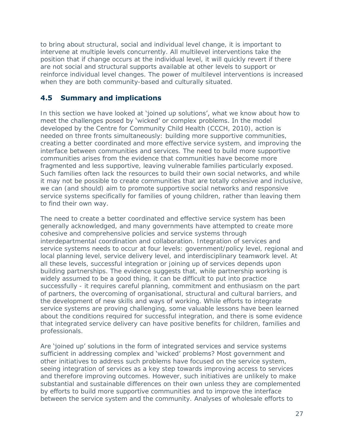to bring about structural, social and individual level change, it is important to intervene at multiple levels concurrently. All multilevel interventions take the position that if change occurs at the individual level, it will quickly revert if there are not social and structural supports available at other levels to support or reinforce individual level changes. The power of multilevel interventions is increased when they are both community-based and culturally situated.

# **4.5 Summary and implications**

In this section we have looked at 'joined up solutions', what we know about how to meet the challenges posed by 'wicked' or complex problems. In the model developed by the Centre for Community Child Health (CCCH, 2010), action is needed on three fronts simultaneously: building more supportive communities, creating a better coordinated and more effective service system, and improving the interface between communities and services. The need to build more supportive communities arises from the evidence that communities have become more fragmented and less supportive, leaving vulnerable families particularly exposed. Such families often lack the resources to build their own social networks, and while it may not be possible to create communities that are totally cohesive and inclusive, we can (and should) aim to promote supportive social networks and responsive service systems specifically for families of young children, rather than leaving them to find their own way.

The need to create a better coordinated and effective service system has been generally acknowledged, and many governments have attempted to create more cohesive and comprehensive policies and service systems through interdepartmental coordination and collaboration. Integration of services and service systems needs to occur at four levels: government/policy level, regional and local planning level, service delivery level, and interdisciplinary teamwork level. At all these levels, successful integration or joining up of services depends upon building partnerships. The evidence suggests that, while partnership working is widely assumed to be a good thing, it can be difficult to put into practice successfully - it requires careful planning, commitment and enthusiasm on the part of partners, the overcoming of organisational, structural and cultural barriers, and the development of new skills and ways of working. While efforts to integrate service systems are proving challenging, some valuable lessons have been learned about the conditions required for successful integration, and there is some evidence that integrated service delivery can have positive benefits for children, families and professionals.

Are 'joined up' solutions in the form of integrated services and service systems sufficient in addressing complex and 'wicked' problems? Most government and other initiatives to address such problems have focused on the service system, seeing integration of services as a key step towards improving access to services and therefore improving outcomes. However, such initiatives are unlikely to make substantial and sustainable differences on their own unless they are complemented by efforts to build more supportive communities and to improve the interface between the service system and the community. Analyses of wholesale efforts to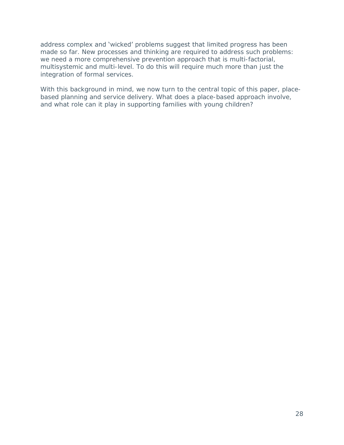#### address complex and 'wicked' problems suggest that limited progress has been made so far. New processes and thinking are required to address such problems: we need a more comprehensive prevention approach that is multi-factorial, multisystemic and multi-level. To do this will require much more than just the integration of formal services.

With this background in mind, we now turn to the central topic of this paper, placebased planning and service delivery. What does a place-based approach involve, and what role can it play in supporting families with young children?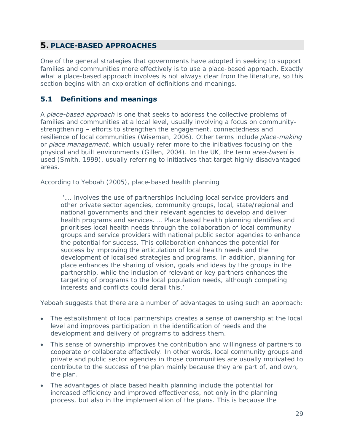## **5. PLACE-BASED APPROACHES**

One of the general strategies that governments have adopted in seeking to support families and communities more effectively is to use a place-based approach. Exactly what a place-based approach involves is not always clear from the literature, so this section begins with an exploration of definitions and meanings.

### **5.1 Definitions and meanings**

A *place-based approach* is one that seeks to address the collective problems of families and communities at a local level, usually involving a focus on communitystrengthening – efforts to strengthen the engagement, connectedness and resilience of local communities (Wiseman, 2006). Other terms include *place-making* or *place management*, which usually refer more to the initiatives focusing on the physical and built environments (Gillen, 2004). In the UK, the term *area-based* is used (Smith, 1999), usually referring to initiatives that target highly disadvantaged areas.

According to Yeboah (2005), place-based health planning

'…. involves the use of partnerships including local service providers and other private sector agencies, community groups, local, state/regional and national governments and their relevant agencies to develop and deliver health programs and services. … Place based health planning identifies and prioritises local health needs through the collaboration of local community groups and service providers with national public sector agencies to enhance the potential for success. This collaboration enhances the potential for success by improving the articulation of local health needs and the development of localised strategies and programs. In addition, planning for place enhances the sharing of vision, goals and ideas by the groups in the partnership, while the inclusion of relevant or key partners enhances the targeting of programs to the local population needs, although competing interests and conflicts could derail this.'

Yeboah suggests that there are a number of advantages to using such an approach:

- The establishment of local partnerships creates a sense of ownership at the local level and improves participation in the identification of needs and the development and delivery of programs to address them.
- This sense of ownership improves the contribution and willingness of partners to cooperate or collaborate effectively. In other words, local community groups and private and public sector agencies in those communities are usually motivated to contribute to the success of the plan mainly because they are part of, and own, the plan.
- The advantages of place based health planning include the potential for increased efficiency and improved effectiveness, not only in the planning process, but also in the implementation of the plans. This is because the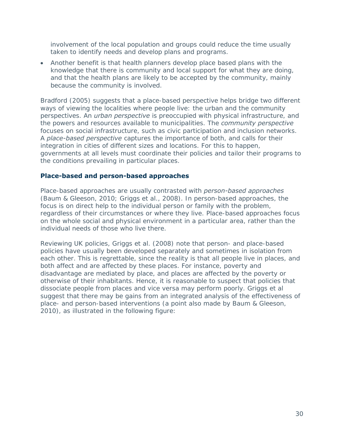involvement of the local population and groups could reduce the time usually taken to identify needs and develop plans and programs.

Another benefit is that health planners develop place based plans with the knowledge that there is community and local support for what they are doing, and that the health plans are likely to be accepted by the community, mainly because the community is involved.

Bradford (2005) suggests that a place-based perspective helps bridge two different ways of viewing the localities where people live: the urban and the community perspectives. An *urban perspective* is preoccupied with physical infrastructure, and the powers and resources available to municipalities. The *community perspective* focuses on social infrastructure, such as civic participation and inclusion networks. A *place-based perspective* captures the importance of both, and calls for their integration in cities of different sizes and locations. For this to happen, governments at all levels must coordinate their policies and tailor their programs to the conditions prevailing in particular places.

#### **Place-based and person-based approaches**

Place-based approaches are usually contrasted with *person-based approaches* (Baum & Gleeson, 2010; Griggs et al., 2008). In person-based approaches, the focus is on direct help to the individual person or family with the problem, regardless of their circumstances or where they live. Place-based approaches focus on the whole social and physical environment in a particular area, rather than the individual needs of those who live there.

Reviewing UK policies, Griggs et al. (2008) note that person- and place-based policies have usually been developed separately and sometimes in isolation from each other. This is regrettable, since the reality is that all people live in places, and both affect and are affected by these places. For instance, poverty and disadvantage are mediated by place, and places are affected by the poverty or otherwise of their inhabitants. Hence, it is reasonable to suspect that policies that dissociate people from places and vice versa may perform poorly. Griggs et al suggest that there may be gains from an integrated analysis of the effectiveness of place- and person-based interventions (a point also made by Baum & Gleeson, 2010), as illustrated in the following figure: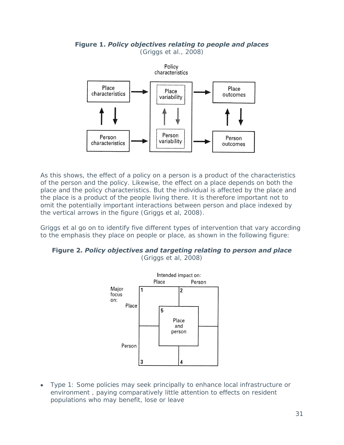#### **Figure 1.** *Policy objectives relating to people and places* (Griggs et al., 2008)



As this shows, the effect of a policy on a person is a product of the characteristics of the person and the policy. Likewise, the effect on a place depends on both the place and the policy characteristics. But the individual is affected by the place and the place is a product of the people living there. It is therefore important not to omit the potentially important interactions between person and place indexed by the vertical arrows in the figure (Griggs et al, 2008).

Griggs et al go on to identify five different types of intervention that vary according to the emphasis they place on people or place, as shown in the following figure:

## **Figure 2.** *Policy objectives and targeting relating to person and place*

(Griggs et al, 2008)



Type 1: Some policies may seek principally to enhance local infrastructure or  $\bullet$ environment , paying comparatively little attention to effects on resident populations who may benefit, lose or leave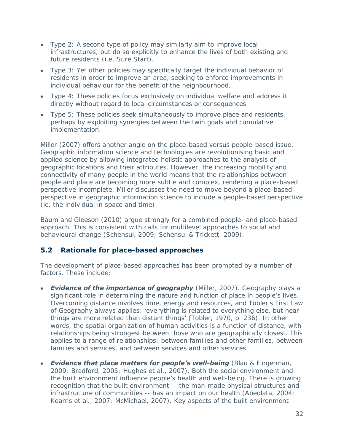- Type 2: A second type of policy may similarly aim to improve local infrastructures, but do so explicitly to enhance the lives of both existing and future residents (i.e. Sure Start).
- Type 3: Yet other policies may specifically target the individual behavior of residents in order to improve an area, seeking to enforce improvements in individual behaviour for the benefit of the neighbourhood.
- Type 4: These policies focus exclusively on individual welfare and address it directly without regard to local circumstances or consequences.
- Type 5: These policies seek simultaneously to improve place and residents, perhaps by exploiting synergies between the twin goals and cumulative implementation.

Miller (2007) offers another angle on the place-based versus people-based issue. Geographic information science and technologies are revolutionising basic and applied science by allowing integrated holistic approaches to the analysis of geographic locations and their attributes. However, the increasing mobility and connectivity of many people in the world means that the relationships between people and place are becoming more subtle and complex, rendering a place-based perspective incomplete. Miller discusses the need to move beyond a place-based perspective in geographic information science to include a people-based perspective (ie. the individual in space and time).

Baum and Gleeson (2010) argue strongly for a combined people- and place-based approach. This is consistent with calls for multilevel approaches to social and behavioural change (Schensul, 2009; Schensul & Trickett, 2009).

## **5.2 Rationale for place-based approaches**

The development of place-based approaches has been prompted by a number of factors. These include:

- *Evidence of the importance of geography* (Miller, 2007). Geography plays a significant role in determining the nature and function of place in people's lives. Overcoming distance involves time, energy and resources, and Tobler's First Law of Geography always applies: 'everything is related to everything else, but near things are more related than distant things' (Tobler, 1970, p. 236). In other words, the spatial organization of human activities is a function of distance, with relationships being strongest between those who are geographically closest. This applies to a range of relationships: between families and other families, between families and services, and between services and other services.
- *Evidence that place matters for people's well-being* (Blau & Fingerman, 2009; Bradford, 2005; Hughes et al., 2007). Both the social environment and the built environment influence people's health and well-being. There is growing recognition that the built environment -- the man-made physical structures and infrastructure of communities -- has an impact on our health (Abeolata, 2004; Kearns et al., 2007; McMichael, 2007). Key aspects of the built environment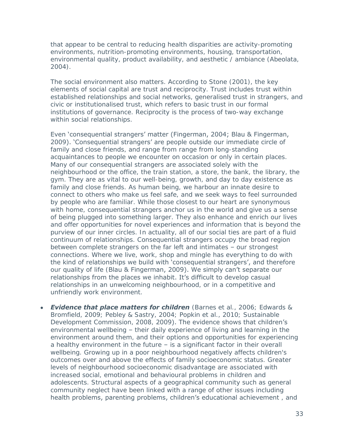that appear to be central to reducing health disparities are activity-promoting environments, nutrition-promoting environments, housing, transportation, environmental quality, product availability, and aesthetic / ambiance (Abeolata, 2004).

The social environment also matters. According to Stone (2001), the key elements of social capital are trust and reciprocity. Trust includes trust within established relationships and social networks, generalised trust in strangers, and civic or institutionalised trust, which refers to basic trust in our formal institutions of governance. Reciprocity is the process of two-way exchange within social relationships.

Even 'consequential strangers' matter (Fingerman, 2004; Blau & Fingerman, 2009). 'Consequential strangers' are people outside our immediate circle of family and close friends, and range from range from long-standing acquaintances to people we encounter on occasion or only in certain places. Many of our consequential strangers are associated solely with the neighbourhood or the office, the train station, a store, the bank, the library, the gym. They are as vital to our well-being, growth, and day to day existence as family and close friends. As human being, we harbour an innate desire to connect to others who make us feel safe, and we seek ways to feel surrounded by people who are familiar. While those closest to our heart are synonymous with home, consequential strangers anchor us in the world and give us a sense of being plugged into something larger. They also enhance and enrich our lives and offer opportunities for novel experiences and information that is beyond the purview of our inner circles. In actuality, all of our social ties are part of a fluid continuum of relationships. Consequential strangers occupy the broad region between complete strangers on the far left and intimates – our strongest connections. Where we live, work, shop and mingle has everything to do with the kind of relationships we build with 'consequential strangers', and therefore our quality of life (Blau & Fingerman, 2009). We simply can't separate our relationships from the places we inhabit. It's difficult to develop casual relationships in an unwelcoming neighbourhood, or in a competitive and unfriendly work environment.

*Evidence that place matters for children* (Barnes et al., 2006; Edwards &  $\bullet$ Bromfield, 2009; Pebley & Sastry, 2004; Popkin et al., 2010; Sustainable Development Commission, 2008, 2009). The evidence shows that children's environmental wellbeing – their daily experience of living and learning in the environment around them, and their options and opportunities for experiencing a healthy environment in the future – is a significant factor in their overall wellbeing. Growing up in a poor neighbourhood negatively affects children's outcomes over and above the effects of family socioeconomic status. Greater levels of neighbourhood socioeconomic disadvantage are associated with increased social, emotional and behavioural problems in children and adolescents. Structural aspects of a geographical community such as general community neglect have been linked with a range of other issues including health problems, parenting problems, children's educational achievement, and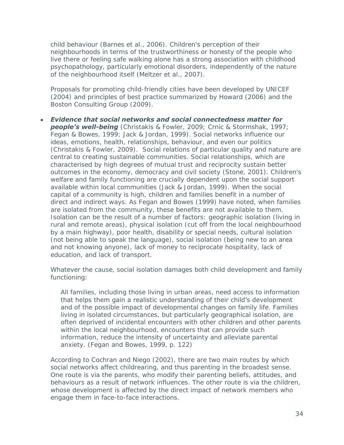child behaviour (Barnes et al., 2006). Children's perception of their neighbourhoods in terms of the trustworthiness or honesty of the people who live there or feeling safe walking alone has a strong association with childhood psychopathology, particularly emotional disorders, independently of the nature of the neighbourhood itself (Meltzer et al., 2007).

Proposals for promoting child-friendly cities have been developed by UNICEF (2004) and principles of best practice summarized by Howard (2006) and the Boston Consulting Group (2009).

*Evidence that social networks and social connectedness matter for people's well-being* (Christakis & Fowler, 2009; Crnic & Stormshak, 1997; Fegan & Bowes, 1999; Jack & Jordan, 1999). Social networks influence our ideas, emotions, health, relationships, behaviour, and even our politics (Christakis & Fowler, 2009). Social relations of particular quality and nature are central to creating sustainable communities. Social relationships, which are characterised by high degrees of mutual trust and reciprocity sustain better outcomes in the economy, democracy and civil society (Stone, 2001). Children's welfare and family functioning are crucially dependent upon the social support available within local communities (Jack & Jordan, 1999). When the social capital of a community is high, children and families benefit in a number of direct and indirect ways. As Fegan and Bowes (1999) have noted, when families are isolated from the community, these benefits are not available to them. Isolation can be the result of a number of factors: geographic isolation (living in rural and remote areas), physical isolation (cut off from the local neighbourhood by a main highway), poor health, disability or special needs, cultural isolation (not being able to speak the language), social isolation (being new to an area and not knowing anyone), lack of money to reciprocate hospitality, lack of education, and lack of transport.

Whatever the cause, social isolation damages both child development and family functioning:

All families, including those living in urban areas, need access to information that helps them gain a realistic understanding of their child's development and of the possible impact of developmental changes on family life. Families living in isolated circumstances, but particularly geographical isolation, are often deprived of incidental encounters with other children and other parents within the local neighbourhood, encounters that can provide such information, reduce the intensity of uncertainty and alleviate parental anxiety. (Fegan and Bowes, 1999, p. 122)

According to Cochran and Niego (2002), there are two main routes by which social networks affect childrearing, and thus parenting in the broadest sense. One route is via the parents, who modify their parenting beliefs, attitudes, and behaviours as a result of network influences. The other route is via the children, whose development is affected by the direct impact of network members who engage them in face-to-face interactions.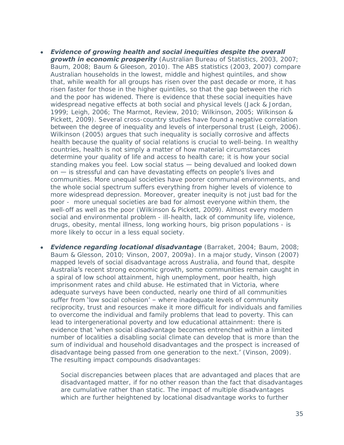- *Evidence of growing health and social inequities despite the overall growth in economic prosperity* (Australian Bureau of Statistics, 2003, 2007; Baum, 2008; Baum & Gleeson, 2010). The ABS statistics (2003, 2007) compare Australian households in the lowest, middle and highest quintiles, and show that, while wealth for all groups has risen over the past decade or more, it has risen faster for those in the higher quintiles, so that the gap between the rich and the poor has widened. There is evidence that these social inequities have widespread negative effects at both social and physical levels (Jack & Jordan, 1999; Leigh, 2006; The Marmot, Review, 2010; Wilkinson, 2005; Wilkinson & Pickett, 2009). Several cross-country studies have found a negative correlation between the degree of inequality and levels of interpersonal trust (Leigh, 2006). Wilkinson (2005) argues that such inequality is socially corrosive and affects health because the quality of social relations is crucial to well-being. In wealthy countries, health is not simply a matter of how material circumstances determine your quality of life and access to health care; it is how your social standing makes you feel. Low social status — being devalued and looked down on — is stressful and can have devastating effects on people's lives and communities. More unequal societies have poorer communal environments, and the whole social spectrum suffers everything from higher levels of violence to more widespread depression. Moreover, greater inequity is not just bad for the poor - more unequal societies are bad for almost everyone within them, the well-off as well as the poor (Wilkinson & Pickett, 2009). Almost every modern social and environmental problem - ill-health, lack of community life, violence, drugs, obesity, mental illness, long working hours, big prison populations - is more likely to occur in a less equal society.
- *Evidence regarding locational disadvantage* (Barraket, 2004; Baum, 2008; Baum & Glesson, 2010; Vinson, 2007, 2009a). In a major study, Vinson (2007) mapped levels of social disadvantage across Australia, and found that, despite Australia's recent strong economic growth, some communities remain caught in a spiral of low school attainment, high unemployment, poor health, high imprisonment rates and child abuse. He estimated that in Victoria, where adequate surveys have been conducted, nearly one third of all communities suffer from 'low social cohesion' - where inadequate levels of community reciprocity, trust and resources make it more difficult for individuals and families to overcome the individual and family problems that lead to poverty. This can lead to intergenerational poverty and low educational attainment: there is evidence that 'when social disadvantage becomes entrenched within a limited number of localities a disabling social climate can develop that is more than the sum of individual and household disadvantages and the prospect is increased of disadvantage being passed from one generation to the next.' (Vinson, 2009). The resulting impact compounds disadvantages:

Social discrepancies between places that are advantaged and places that are disadvantaged matter, if for no other reason than the fact that disadvantages are cumulative rather than static. The impact of multiple disadvantages which are further heightened by locational disadvantage works to further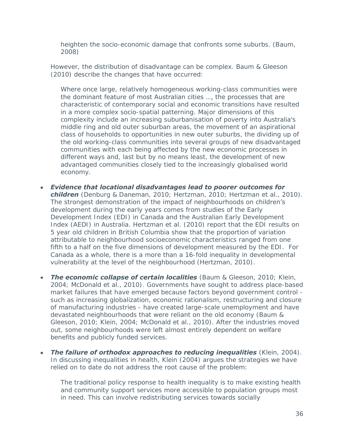heighten the socio-economic damage that confronts some suburbs. (Baum, 2008)

However, the distribution of disadvantage can be complex. Baum & Gleeson (2010) describe the changes that have occurred:

Where once large, relatively homogeneous working-class communities were the dominant feature of most Australian cities …, the processes that are characteristic of contemporary social and economic transitions have resulted in a more complex socio-spatial patterning. Major dimensions of this complexity include an increasing suburbanisation of poverty into Australia's middle ring and old outer suburban areas, the movement of an aspirational class of households to opportunities in new outer suburbs, the dividing up of the old working-class communities into several groups of new disadvantaged communities with each being affected by the new economic processes in different ways and, last but by no means least, the development of new advantaged communities closely tied to the increasingly globalised world economy.

- *Evidence that locational disadvantages lead to poorer outcomes for children* (Denburg & Daneman, 2010; Hertzman, 2010; Hertzman et al., 2010). The strongest demonstration of the impact of neighbourhoods on children's development during the early years comes from studies of the Early Development Index (EDI) in Canada and the Australian Early Development Index (AEDI) in Australia. Hertzman et al. (2010) report that the EDI results on 5 year old children in British Columbia show that the proportion of variation attributable to neighbourhood socioeconomic characteristics ranged from one fifth to a half on the five dimensions of development measured by the EDI. For Canada as a whole, there is a more than a 16-fold inequality in developmental vulnerability at the level of the neighbourhood (Hertzman, 2010).
- **The economic collapse of certain localities** (Baum & Gleeson, 2010; Klein, 2004; McDonald et al., 2010). Governments have sought to address place-based market failures that have emerged because factors beyond government control such as increasing globalization, economic rationalism, restructuring and closure of manufacturing industries - have created large-scale unemployment and have devastated neighbourhoods that were reliant on the old economy (Baum & Gleeson, 2010; Klein, 2004; McDonald et al., 2010). After the industries moved out, some neighbourhoods were left almost entirely dependent on welfare benefits and publicly funded services.
- *The failure of orthodox approaches to reducing inequalities* (Klein, 2004). In discussing inequalities in health, Klein (2004) argues the strategies we have relied on to date do not address the root cause of the problem:

The traditional policy response to health inequality is to make existing health and community support services more accessible to population groups most in need. This can involve redistributing services towards socially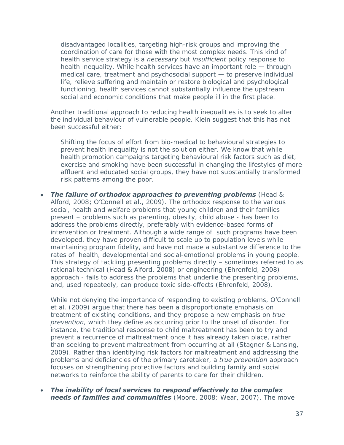disadvantaged localities, targeting high-risk groups and improving the coordination of care for those with the most complex needs. This kind of health service strategy is a *necessary* but *insufficient* policy response to health inequality. While health services have an important role — through medical care, treatment and psychosocial support — to preserve individual life, relieve suffering and maintain or restore biological and psychological functioning, health services cannot substantially influence the upstream social and economic conditions that make people ill in the first place.

Another traditional approach to reducing health inequalities is to seek to alter the individual behaviour of vulnerable people. Klein suggest that this has not been successful either:

Shifting the focus of effort from bio-medical to behavioural strategies to prevent health inequality is not the solution either. We know that while health promotion campaigns targeting behavioural risk factors such as diet, exercise and smoking have been successful in changing the lifestyles of more affluent and educated social groups, they have not substantially transformed risk patterns among the poor.

*The failure of orthodox approaches to preventing problems* (Head & Alford, 2008; O'Connell et al., 2009). The orthodox response to the various social, health and welfare problems that young children and their families present – problems such as parenting, obesity, child abuse - has been to address the problems directly, preferably with evidence-based forms of intervention or treatment. Although a wide range of such programs have been developed, they have proven difficult to scale up to population levels while maintaining program fidelity, and have not made a substantive difference to the rates of health, developmental and social-emotional problems in young people. This strategy of tackling presenting problems directly – sometimes referred to as rational-technical (Head & Alford, 2008) or engineering (Ehrenfeld, 2008) approach - fails to address the problems that underlie the presenting problems, and, used repeatedly, can produce toxic side-effects (Ehrenfeld, 2008).

While not denying the importance of responding to existing problems, O'Connell et al. (2009) argue that there has been a disproportionate emphasis on treatment of existing conditions, and they propose a new emphasis on *true prevention*, which they define as occurring prior to the onset of disorder. For instance, the traditional response to child maltreatment has been to try and prevent a recurrence of maltreatment once it has already taken place, rather than seeking to prevent maltreatment from occurring at all (Stagner & Lansing, 2009). Rather than identifying risk factors for maltreatment and addressing the problems and deficiencies of the primary caretaker, a *true prevention* approach focuses on strengthening protective factors and building family and social networks to reinforce the ability of parents to care for their children.

*The inability of local services to respond effectively to the complex needs of families and communities* (Moore, 2008; Wear, 2007). The move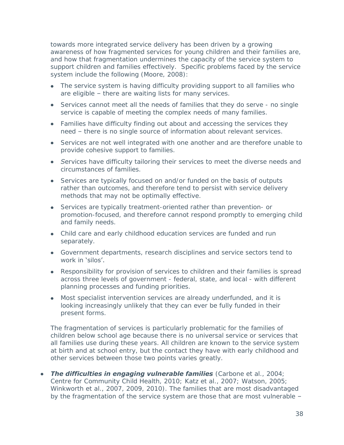towards more integrated service delivery has been driven by a growing awareness of how fragmented services for young children and their families are, and how that fragmentation undermines the capacity of the service system to support children and families effectively. Specific problems faced by the service system include the following (Moore, 2008):

- The service system is having difficulty providing support to all families who are eligible – there are waiting lists for many services.
- Services cannot meet all the needs of families that they do serve no single service is capable of meeting the complex needs of many families.
- Families have difficulty finding out about and accessing the services they need – there is no single source of information about relevant services.
- Services are not well integrated with one another and are therefore unable to provide cohesive support to families.
- *S*ervices have difficulty tailoring their services to meet the diverse needs and circumstances of families.
- Services are typically focused on and/or funded on the basis of outputs rather than outcomes, and therefore tend to persist with service delivery methods that may not be optimally effective.
- Services are typically treatment-oriented rather than prevention- or promotion-focused, and therefore cannot respond promptly to emerging child and family needs.
- Child care and early childhood education services are funded and run separately.
- Government departments, research disciplines and service sectors tend to work in 'silos'.
- Responsibility for provision of services to children and their families is spread across three levels of government - federal, state, and local - with different planning processes and funding priorities.
- Most specialist intervention services are already underfunded, and it is looking increasingly unlikely that they can ever be fully funded in their present forms.

The fragmentation of services is particularly problematic for the families of children below school age because there is no universal service or services that all families use during these years. All children are known to the service system at birth and at school entry, but the contact they have with early childhood and other services between those two points varies greatly.

*The difficulties in engaging vulnerable families* (Carbone et al., 2004; Centre for Community Child Health, 2010; Katz et al., 2007; Watson, 2005; Winkworth et al., 2007, 2009, 2010). The families that are most disadvantaged by the fragmentation of the service system are those that are most vulnerable –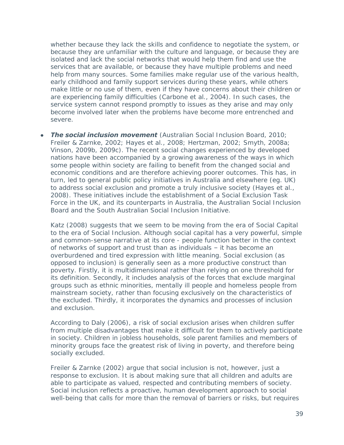whether because they lack the skills and confidence to negotiate the system, or because they are unfamiliar with the culture and language, or because they are isolated and lack the social networks that would help them find and use the services that are available, or because they have multiple problems and need help from many sources. Some families make regular use of the various health, early childhood and family support services during these years, while others make little or no use of them, even if they have concerns about their children or are experiencing family difficulties (Carbone et al., 2004). In such cases, the service system cannot respond promptly to issues as they arise and may only become involved later when the problems have become more entrenched and severe.

*The social inclusion movement* (Australian Social Inclusion Board, 2010; Freiler & Zarnke, 2002; Hayes et al., 2008; Hertzman, 2002; Smyth, 2008a; Vinson, 2009b, 2009c). The recent social changes experienced by developed nations have been accompanied by a growing awareness of the ways in which some people within society are failing to benefit from the changed social and economic conditions and are therefore achieving poorer outcomes. This has, in turn, led to general public policy initiatives in Australia and elsewhere (eg. UK) to address social exclusion and promote a truly inclusive society (Hayes et al., 2008). These initiatives include the establishment of a Social Exclusion Task Force in the UK, and its counterparts in Australia, the Australian Social Inclusion Board and the South Australian Social Inclusion Initiative.

Katz (2008) suggests that we seem to be moving from the era of Social Capital to the era of Social Inclusion. Although social capital has a very powerful, simple and common-sense narrative at its core - people function better in the context of networks of support and trust than as individuals – it has become an overburdened and tired expression with little meaning. Social exclusion (as opposed to inclusion) is generally seen as a more productive construct than poverty. Firstly, it is multidimensional rather than relying on one threshold for its definition. Secondly, it includes analysis of the forces that exclude marginal groups such as ethnic minorities, mentally ill people and homeless people from mainstream society, rather than focusing exclusively on the characteristics of the excluded. Thirdly, it incorporates the dynamics and processes of inclusion and exclusion.

According to Daly (2006), a risk of social exclusion arises when children suffer from multiple disadvantages that make it difficult for them to actively participate in society. Children in jobless households, sole parent families and members of minority groups face the greatest risk of living in poverty, and therefore being socially excluded.

Freiler & Zarnke (2002) argue that social inclusion is not, however, just a response to exclusion. It is about making sure that all children and adults are able to participate as valued, respected and contributing members of society. Social inclusion reflects a proactive, human development approach to social well-being that calls for more than the removal of barriers or risks, but requires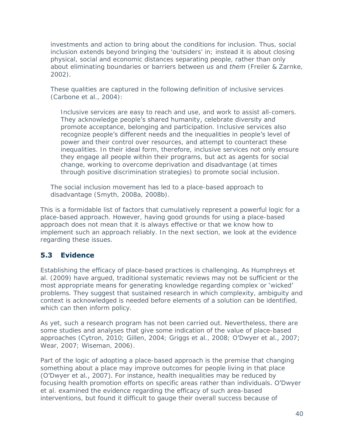investments and action to bring about the conditions for inclusion. Thus, social inclusion extends beyond bringing the 'outsiders' in; instead it is about closing physical, social and economic distances separating people, rather than only about eliminating boundaries or barriers between *us* and *them* (Freiler & Zarnke, 2002)*.* 

These qualities are captured in the following definition of inclusive services (Carbone et al., 2004):

Inclusive services are easy to reach and use, and work to assist all-comers. They acknowledge people's shared humanity, celebrate diversity and promote acceptance, belonging and participation. Inclusive services also recognize people's different needs and the inequalities in people's level of power and their control over resources, and attempt to counteract these inequalities. In their ideal form, therefore, inclusive services not only ensure they engage all people within their programs, but act as agents for social change, working to overcome deprivation and disadvantage (at times through positive discrimination strategies) to promote social inclusion.

The social inclusion movement has led to a place-based approach to disadvantage (Smyth, 2008a, 2008b).

This is a formidable list of factors that cumulatively represent a powerful logic for a place-based approach. However, having good grounds for using a place-based approach does not mean that it is always effective or that we know how to implement such an approach reliably. In the next section, we look at the evidence regarding these issues.

## **5.3 Evidence**

Establishing the efficacy of place-based practices is challenging. As Humphreys et al. (2009) have argued, traditional systematic reviews may not be sufficient or the most appropriate means for generating knowledge regarding complex or 'wicked' problems. They suggest that sustained research in which complexity, ambiguity and context is acknowledged is needed before elements of a solution can be identified, which can then inform policy.

As yet, such a research program has not been carried out. Nevertheless, there are some studies and analyses that give some indication of the value of place-based approaches (Cytron, 2010; Gillen, 2004; Griggs et al., 2008; O'Dwyer et al., 2007; Wear, 2007; Wiseman, 2006).

Part of the logic of adopting a place-based approach is the premise that changing something about a place may improve outcomes for people living in that place (O'Dwyer et al., 2007). For instance, health inequalities may be reduced by focusing health promotion efforts on specific areas rather than individuals. O'Dwyer et al. examined the evidence regarding the efficacy of such area-based interventions, but found it difficult to gauge their overall success because of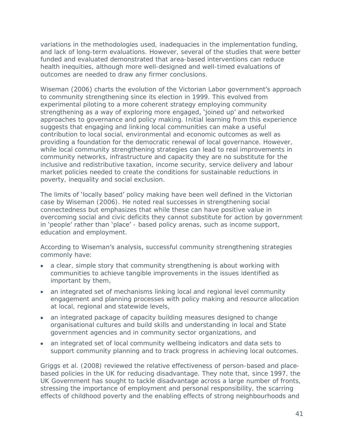variations in the methodologies used, inadequacies in the implementation funding, and lack of long-term evaluations. However, several of the studies that were better funded and evaluated demonstrated that area-based interventions can reduce health inequities, although more well-designed and well-timed evaluations of outcomes are needed to draw any firmer conclusions.

Wiseman (2006) charts the evolution of the Victorian Labor government's approach to community strengthening since its election in 1999. This evolved from experimental piloting to a more coherent strategy employing community strengthening as a way of exploring more engaged, 'joined up' and networked approaches to governance and policy making. Initial learning from this experience suggests that engaging and linking local communities can make a useful contribution to local social, environmental and economic outcomes as well as providing a foundation for the democratic renewal of local governance. However, while local community strengthening strategies can lead to real improvements in community networks, infrastructure and capacity they are no substitute for the inclusive and redistributive taxation, income security, service delivery and labour market policies needed to create the conditions for sustainable reductions in poverty, inequality and social exclusion.

The limits of 'locally based' policy making have been well defined in the Victorian case by Wiseman (2006). He noted real successes in strengthening social connectedness but emphasizes that while these can have positive value in overcoming social and civic deficits they cannot substitute for action by government in 'people' rather than 'place' - based policy arenas, such as income support, education and employment.

According to Wiseman's analysis, successful community strengthening strategies commonly have:

- a clear, simple story that community strengthening is about working with communities to achieve tangible improvements in the issues identified as important by them,
- an integrated set of mechanisms linking local and regional level community engagement and planning processes with policy making and resource allocation at local, regional and statewide levels,
- an integrated package of capacity building measures designed to change organisational cultures and build skills and understanding in local and State government agencies and in community sector organizations, and
- an integrated set of local community wellbeing indicators and data sets to support community planning and to track progress in achieving local outcomes.

Griggs et al. (2008) reviewed the relative effectiveness of person-based and placebased policies in the UK for reducing disadvantage. They note that, since 1997, the UK Government has sought to tackle disadvantage across a large number of fronts, stressing the importance of employment and personal responsibility, the scarring effects of childhood poverty and the enabling effects of strong neighbourhoods and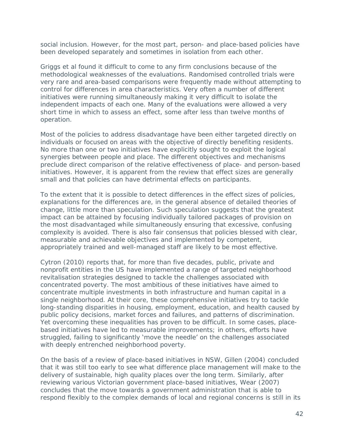social inclusion. However, for the most part, person- and place-based policies have been developed separately and sometimes in isolation from each other.

Griggs et al found it difficult to come to any firm conclusions because of the methodological weaknesses of the evaluations. Randomised controlled trials were very rare and area-based comparisons were frequently made without attempting to control for differences in area characteristics. Very often a number of different initiatives were running simultaneously making it very difficult to isolate the independent impacts of each one. Many of the evaluations were allowed a very short time in which to assess an effect, some after less than twelve months of operation.

Most of the policies to address disadvantage have been either targeted directly on individuals or focused on areas with the objective of directly benefiting residents. No more than one or two initiatives have explicitly sought to exploit the logical synergies between people and place. The different objectives and mechanisms preclude direct comparison of the relative effectiveness of place- and person-based initiatives. However, it is apparent from the review that effect sizes are generally small and that policies can have detrimental effects on participants.

To the extent that it is possible to detect differences in the effect sizes of policies, explanations for the differences are, in the general absence of detailed theories of change, little more than speculation. Such speculation suggests that the greatest impact can be attained by focusing individually tailored packages of provision on the most disadvantaged while simultaneously ensuring that excessive, confusing complexity is avoided. There is also fair consensus that policies blessed with clear, measurable and achievable objectives and implemented by competent, appropriately trained and well-managed staff are likely to be most effective.

Cytron (2010) reports that, for more than five decades, public, private and nonprofit entities in the US have implemented a range of targeted neighborhood revitalisation strategies designed to tackle the challenges associated with concentrated poverty. The most ambitious of these initiatives have aimed to concentrate multiple investments in both infrastructure and human capital in a single neighborhood. At their core, these comprehensive initiatives try to tackle long-standing disparities in housing, employment, education, and health caused by public policy decisions, market forces and failures, and patterns of discrimination. Yet overcoming these inequalities has proven to be difficult. In some cases, placebased initiatives have led to measurable improvements; in others, efforts have struggled, failing to significantly 'move the needle' on the challenges associated with deeply entrenched neighborhood poverty.

On the basis of a review of place-based initiatives in NSW, Gillen (2004) concluded that it was still too early to see what difference place management will make to the delivery of sustainable, high quality places over the long term. Similarly, after reviewing various Victorian government place-based initiatives, Wear (2007) concludes that the move towards a government administration that is able to respond flexibly to the complex demands of local and regional concerns is still in its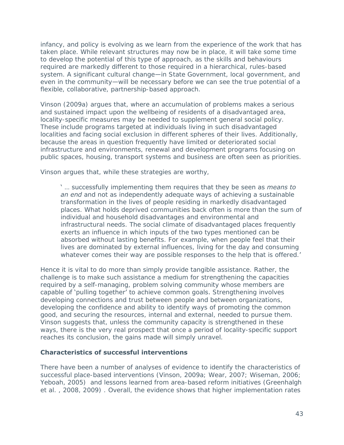infancy, and policy is evolving as we learn from the experience of the work that has taken place. While relevant structures may now be in place, it will take some time to develop the potential of this type of approach, as the skills and behaviours required are markedly different to those required in a hierarchical, rules-based system. A significant cultural change—in State Government, local government, and even in the community—will be necessary before we can see the true potential of a flexible, collaborative, partnership-based approach.

Vinson (2009a) argues that, where an accumulation of problems makes a serious and sustained impact upon the wellbeing of residents of a disadvantaged area, locality-specific measures may be needed to supplement general social policy. These include programs targeted at individuals living in such disadvantaged localities and facing social exclusion in different spheres of their lives. Additionally, because the areas in question frequently have limited or deteriorated social infrastructure and environments, renewal and development programs focusing on public spaces, housing, transport systems and business are often seen as priorities.

Vinson argues that, while these strategies are worthy,

' … successfully implementing them requires that they be seen as *means to*  an end and not as independently adequate ways of achieving a sustainable transformation in the lives of people residing in markedly disadvantaged places. What holds deprived communities back often is more than the sum of individual and household disadvantages and environmental and infrastructural needs. The social climate of disadvantaged places frequently exerts an influence in which inputs of the two types mentioned can be absorbed without lasting benefits. For example, when people feel that their lives are dominated by external influences, living for the day and consuming whatever comes their way are possible responses to the help that is offered.'

Hence it is vital to do more than simply provide tangible assistance. Rather, the challenge is to make such assistance a medium for strengthening the capacities required by a self-managing, problem solving community whose members are capable of 'pulling together' to achieve common goals. Strengthening involves developing connections and trust between people and between organizations, developing the confidence and ability to identify ways of promoting the common good, and securing the resources, internal and external, needed to pursue them. Vinson suggests that, unless the community capacity is strengthened in these ways, there is the very real prospect that once a period of locality-specific support reaches its conclusion, the gains made will simply unravel.

#### **Characteristics of successful interventions**

There have been a number of analyses of evidence to identify the characteristics of successful place-based interventions (Vinson, 2009a; Wear, 2007; Wiseman, 2006; Yeboah, 2005) and lessons learned from area-based reform initiatives (Greenhalgh et al. , 2008, 2009) . Overall, the evidence shows that higher implementation rates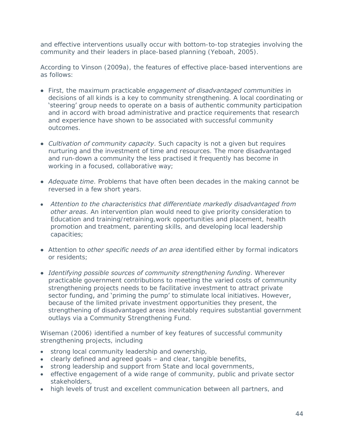and effective interventions usually occur with bottom-to-top strategies involving the community and their leaders in place-based planning (Yeboah, 2005).

According to Vinson (2009a), the features of effective place-based interventions are as follows:

- First, the maximum practicable *engagement of disadvantaged communities* in decisions of all kinds is a key to community strengthening. A local coordinating or 'steering' group needs to operate on a basis of authentic community participation and in accord with broad administrative and practice requirements that research and experience have shown to be associated with successful community outcomes.
- *Cultivation of community capacity*. Such capacity is not a given but requires nurturing and the investment of time and resources. The more disadvantaged and run-down a community the less practised it frequently has become in working in a focused, collaborative way;
- *Adequate time*. Problems that have often been decades in the making cannot be reversed in a few short years.
- *Attention to the characteristics that differentiate markedly disadvantaged from other areas*. An intervention plan would need to give priority consideration to Education and training/retraining,work opportunities and placement, health promotion and treatment, parenting skills, and developing local leadership capacities;
- Attention to *other specific needs of an area* identified either by formal indicators or residents;
- *Identifying possible sources of community strengthening funding*. Wherever practicable government contributions to meeting the varied costs of community strengthening projects needs to be facilitative investment to attract private sector funding, and 'priming the pump' to stimulate local initiatives. However, because of the limited private investment opportunities they present, the strengthening of disadvantaged areas inevitably requires substantial government outlays via a Community Strengthening Fund.

Wiseman (2006) identified a number of key features of successful community strengthening projects, including

- strong local community leadership and ownership,
- clearly defined and agreed goals and clear, tangible benefits,
- **strong leadership and support from State and local governments,**
- effective engagement of a wide range of community, public and private sector stakeholders,
- high levels of trust and excellent communication between all partners, and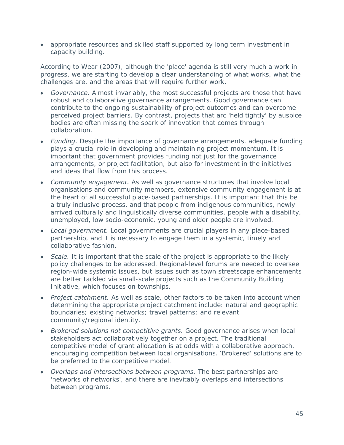appropriate resources and skilled staff supported by long term investment in capacity building.

According to Wear (2007), although the 'place' agenda is still very much a work in progress, we are starting to develop a clear understanding of what works, what the challenges are, and the areas that will require further work.

- *Governance.* Almost invariably, the most successful projects are those that have robust and collaborative governance arrangements. Good governance can contribute to the ongoing sustainability of project outcomes and can overcome perceived project barriers. By contrast, projects that arc 'held tightly' by auspice bodies are often missing the spark of innovation that comes through collaboration.
- Funding. Despite the importance of governance arrangements, adequate funding plays a crucial role in developing and maintaining project momentum. It is important that government provides funding not just for the governance arrangements, or project facilitation, but also for investment in the initiatives and ideas that flow from this process.
- *Community engagement.* As well as governance structures that involve local organisations and community members, extensive community engagement is at the heart of all successful place-based partnerships. It is important that this be a truly inclusive process, and that people from indigenous communities, newly arrived culturally and linguistically diverse communities, people with a disability, unemployed, low socio-economic, young and older people are involved.
- *Local government.* Local governments are crucial players in any place-based partnership, and it is necessary to engage them in a systemic, timely and collaborative fashion.
- **Scale.** It is important that the scale of the project is appropriate to the likely policy challenges to be addressed. Regional-level forums are needed to oversee region-wide systemic issues, but issues such as town streetscape enhancements are better tackled via small-scale projects such as the Community Building Initiative, which focuses on townships.
- *Project catchment.* As well as scale, other factors to be taken into account when determining the appropriate project catchment include: natural and geographic boundaries; existing networks; travel patterns; and relevant community/regional identity.
- *Brokered solutions not competitive grants.* Good governance arises when local stakeholders act collaboratively together on a project. The traditional competitive model of grant allocation is at odds with a collaborative approach, encouraging competition between local organisations. 'Brokered' solutions are to be preferred to the competitive model.
- *Overlaps and intersections between programs.* The best partnerships are 'networks of networks', and there are inevitably overlaps and intersections between programs.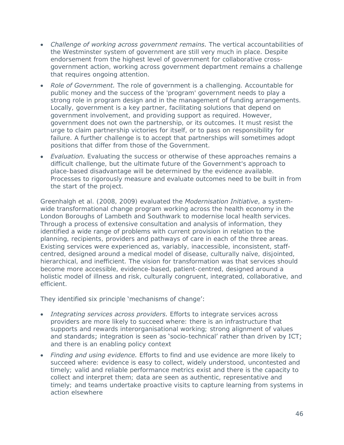- Challenge of working across government remains. The vertical accountabilities of the Westminster system of government are still very much in place. Despite endorsement from the highest level of government for collaborative crossgovernment action, working across government department remains a challenge that requires ongoing attention.
- *Role of Government.* The role of government is a challenging. Accountable for public money and the success of the 'program' government needs to play a strong role in program design and in the management of funding arrangements. Locally, government is a key partner, facilitating solutions that depend on government involvement, and providing support as required. However, government does not own the partnership, or its outcomes. It must resist the urge to claim partnership victories for itself, or to pass on responsibility for failure. A further challenge is to accept that partnerships will sometimes adopt positions that differ from those of the Government.
- **Evaluation.** Evaluating the success or otherwise of these approaches remains a difficult challenge, but the ultimate future of the Government's approach to place-based disadvantage will be determined by the evidence available. Processes to rigorously measure and evaluate outcomes need to be built in from the start of the project.

Greenhalgh et al. (2008, 2009) evaluated the *Modernisation Initiative*, a systemwide transformational change program working across the health economy in the London Boroughs of Lambeth and Southwark to modernise local health services. Through a process of extensive consultation and analysis of information, they identified a wide range of problems with current provision in relation to the planning, recipients, providers and pathways of care in each of the three areas. Existing services were experienced as, variably, inaccessible, inconsistent, staffcentred, designed around a medical model of disease, culturally naïve, disjointed, hierarchical, and inefficient. The vision for transformation was that services should become more accessible, evidence-based, patient-centred, designed around a holistic model of illness and risk, culturally congruent, integrated, collaborative, and efficient.

#### They identified six principle 'mechanisms of change':

- *Integrating services across providers.* Efforts to integrate services across providers are more likely to succeed where: there is an infrastructure that supports and rewards interorganisational working; strong alignment of values and standards; integration is seen as 'socio-technical' rather than driven by ICT; and there is an enabling policy context
- *Finding and using evidence.* Efforts to find and use evidence are more likely to succeed where: evidence is easy to collect, widely understood, uncontested and timely; valid and reliable performance metrics exist and there is the capacity to collect and interpret them; data are seen as authentic, representative and timely; and teams undertake proactive visits to capture learning from systems in action elsewhere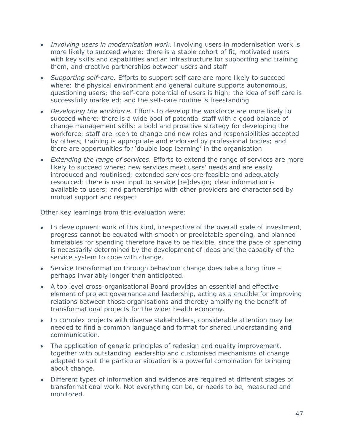- *Involving users in modernisation work.* Involving users in modernisation work is more likely to succeed where: there is a stable cohort of fit, motivated users with key skills and capabilities and an infrastructure for supporting and training them, and creative partnerships between users and staff
- *Supporting self-care.* Efforts to support self care are more likely to succeed where: the physical environment and general culture supports autonomous, questioning users; the self-care potential of users is high; the idea of self care is successfully marketed; and the self-care routine is freestanding
- *Developing the workforce.* Efforts to develop the workforce are more likely to succeed where: there is a wide pool of potential staff with a good balance of change management skills; a bold and proactive strategy for developing the workforce; staff are keen to change and new roles and responsibilities accepted by others; training is appropriate and endorsed by professional bodies; and there are opportunities for 'double loop learning' in the organisation
- *Extending the range of services*. Efforts to extend the range of services are more likely to succeed where: new services meet users' needs and are easily introduced and routinised; extended services are feasible and adequately resourced; there is user input to service [re]design; clear information is available to users; and partnerships with other providers are characterised by mutual support and respect

Other key learnings from this evaluation were:

- In development work of this kind, irrespective of the overall scale of investment, progress cannot be equated with smooth or predictable spending, and planned timetables for spending therefore have to be flexible, since the pace of spending is necessarily determined by the development of ideas and the capacity of the service system to cope with change.
- Service transformation through behaviour change does take a long time perhaps invariably longer than anticipated.
- A top level cross-organisational Board provides an essential and effective element of project governance and leadership, acting as a crucible for improving relations between those organisations and thereby amplifying the benefit of transformational projects for the wider health economy.
- In complex projects with diverse stakeholders, considerable attention may be needed to find a common language and format for shared understanding and communication.
- The application of generic principles of redesign and quality improvement, together with outstanding leadership and customised mechanisms of change adapted to suit the particular situation is a powerful combination for bringing about change.
- Different types of information and evidence are required at different stages of transformational work. Not everything can be, or needs to be, measured and monitored.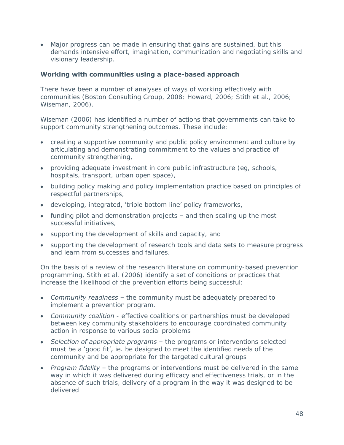Major progress can be made in ensuring that gains are sustained, but this demands intensive effort, imagination, communication and negotiating skills and visionary leadership.

#### **Working with communities using a place-based approach**

There have been a number of analyses of ways of working effectively with communities (Boston Consulting Group, 2008; Howard, 2006; Stith et al., 2006; Wiseman, 2006).

Wiseman (2006) has identified a number of actions that governments can take to support community strengthening outcomes. These include:

- creating a supportive community and public policy environment and culture by articulating and demonstrating commitment to the values and practice of community strengthening,
- providing adequate investment in core public infrastructure (eg, schools, hospitals, transport, urban open space),
- building policy making and policy implementation practice based on principles of respectful partnerships,
- developing, integrated, 'triple bottom line' policy frameworks,
- funding pilot and demonstration projects and then scaling up the most successful initiatives,
- supporting the development of skills and capacity, and
- supporting the development of research tools and data sets to measure progress and learn from successes and failures.

On the basis of a review of the research literature on community-based prevention programming, Stith et al. (2006) identify a set of conditions or practices that increase the likelihood of the prevention efforts being successful:

- *Community readiness* the community must be adequately prepared to implement a prevention program.
- *Community coalition* effective coalitions or partnerships must be developed between key community stakeholders to encourage coordinated community action in response to various social problems
- *Selection of appropriate programs* the programs or interventions selected must be a 'good fit', ie. be designed to meet the identified needs of the community and be appropriate for the targeted cultural groups
- *Program fidelity* the programs or interventions must be delivered in the same way in which it was delivered during efficacy and effectiveness trials, or in the absence of such trials, delivery of a program in the way it was designed to be delivered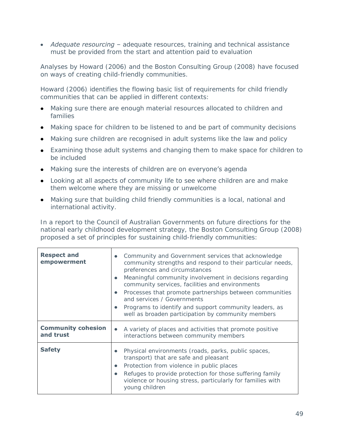*Adequate resourcing* – adequate resources, training and technical assistance must be provided from the start and attention paid to evaluation

Analyses by Howard (2006) and the Boston Consulting Group (2008) have focused on ways of creating child-friendly communities.

Howard (2006) identifies the flowing basic list of requirements for child friendly communities that can be applied in different contexts:

- Making sure there are enough material resources allocated to children and families
- Making space for children to be listened to and be part of community decisions
- Making sure children are recognised in adult systems like the law and policy
- Examining those adult systems and changing them to make space for children to be included
- Making sure the interests of children are on everyone's agenda
- Looking at all aspects of community life to see where children are and make them welcome where they are missing or unwelcome
- Making sure that building child friendly communities is a local, national and international activity.

In a report to the Council of Australian Governments on future directions for the national early childhood development strategy, the Boston Consulting Group (2008) proposed a set of principles for sustaining child-friendly communities:

| <b>Respect and</b><br>empowerment      | Community and Government services that acknowledge<br>$\bullet$<br>community strengths and respond to their particular needs,<br>preferences and circumstances<br>Meaningful community involvement in decisions regarding<br>$\bullet$<br>community services, facilities and environments<br>Processes that promote partnerships between communities<br>٠<br>and services / Governments<br>Programs to identify and support community leaders, as<br>$\bullet$<br>well as broaden participation by community members |
|----------------------------------------|----------------------------------------------------------------------------------------------------------------------------------------------------------------------------------------------------------------------------------------------------------------------------------------------------------------------------------------------------------------------------------------------------------------------------------------------------------------------------------------------------------------------|
| <b>Community cohesion</b><br>and trust | A variety of places and activities that promote positive<br>$\bullet$<br>interactions between community members                                                                                                                                                                                                                                                                                                                                                                                                      |
| <b>Safety</b>                          | Physical environments (roads, parks, public spaces,<br>$\bullet$<br>transport) that are safe and pleasant<br>Protection from violence in public places<br>$\bullet$<br>Refuges to provide protection for those suffering family<br>$\bullet$<br>violence or housing stress, particularly for families with<br>young children                                                                                                                                                                                         |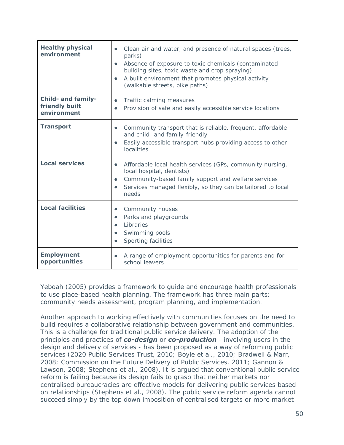| <b>Healthy physical</b><br>environment                     | Clean air and water, and presence of natural spaces (trees,<br>$\bullet$<br>parks)<br>Absence of exposure to toxic chemicals (contaminated<br>$\bullet$<br>building sites, toxic waste and crop spraying)<br>A built environment that promotes physical activity<br>$\bullet$<br>(walkable streets, bike paths) |
|------------------------------------------------------------|-----------------------------------------------------------------------------------------------------------------------------------------------------------------------------------------------------------------------------------------------------------------------------------------------------------------|
| <b>Child- and family-</b><br>friendly built<br>environment | Traffic calming measures<br>$\bullet$<br>Provision of safe and easily accessible service locations<br>$\bullet$                                                                                                                                                                                                 |
| <b>Transport</b>                                           | Community transport that is reliable, frequent, affordable<br>$\bullet$<br>and child- and family-friendly<br>Easily accessible transport hubs providing access to other<br>$\bullet$<br>localities                                                                                                              |
| <b>Local services</b>                                      | Affordable local health services (GPs, community nursing,<br>$\bullet$<br>local hospital, dentists)<br>Community-based family support and welfare services<br>$\bullet$<br>Services managed flexibly, so they can be tailored to local<br>$\bullet$<br>needs                                                    |
| <b>Local facilities</b>                                    | Community houses<br>٠<br>Parks and playgrounds<br>$\bullet$<br>Libraries<br>$\bullet$<br>Swimming pools<br>$\bullet$<br>Sporting facilities<br>$\bullet$                                                                                                                                                        |
| <b>Employment</b><br>opportunities                         | A range of employment opportunities for parents and for<br>٠<br>school leavers                                                                                                                                                                                                                                  |

Yeboah (2005) provides a framework to guide and encourage health professionals to use place-based health planning. The framework has three main parts: community needs assessment, program planning, and implementation.

Another approach to working effectively with communities focuses on the need to build requires a collaborative relationship between government and communities. This is a challenge for traditional public service delivery. The adoption of the principles and practices of *co-design* or *co-production* - involving users in the design and delivery of services - has been proposed as a way of reforming public services (2020 Public Services Trust, 2010; Boyle et al., 2010; Bradwell & Marr, 2008; Commission on the Future Delivery of Public Services, 2011; Gannon & Lawson, 2008; Stephens et al., 2008). It is argued that conventional public service reform is failing because its design fails to grasp that neither markets nor centralised bureaucracies are effective models for delivering public services based on relationships (Stephens et al., 2008). The public service reform agenda cannot succeed simply by the top down imposition of centralised targets or more market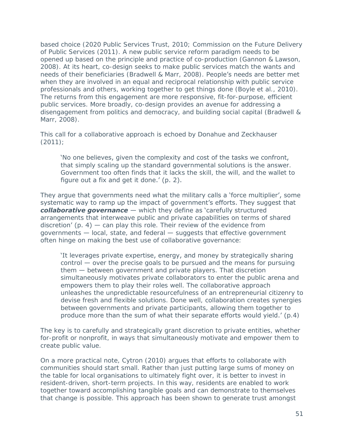based choice (2020 Public Services Trust, 2010; Commission on the Future Delivery of Public Services (2011). A new public service reform paradigm needs to be opened up based on the principle and practice of co-production (Gannon & Lawson, 2008). At its heart, co-design seeks to make public services match the wants and needs of their beneficiaries (Bradwell & Marr, 2008). People's needs are better met when they are involved in an equal and reciprocal relationship with public service professionals and others, working together to get things done (Boyle et al., 2010). The returns from this engagement are more responsive, fit-for-purpose, efficient public services. More broadly, co-design provides an avenue for addressing a disengagement from politics and democracy, and building social capital (Bradwell & Marr, 2008).

This call for a collaborative approach is echoed by Donahue and Zeckhauser (2011);

'No one believes, given the complexity and cost of the tasks we confront, that simply scaling up the standard governmental solutions is the answer. Government too often finds that it lacks the skill, the will, and the wallet to figure out a fix and get it done.' (p. 2).

They argue that governments need what the military calls a 'force multiplier', some systematic way to ramp up the impact of government's efforts. They suggest that *collaborative governance* — which they define as 'carefully structured arrangements that interweave public and private capabilities on terms of shared discretion'  $(p. 4)$  – can play this role. Their review of the evidence from governments — local, state, and federal — suggests that effective government often hinge on making the best use of collaborative governance:

'It leverages private expertise, energy, and money by strategically sharing  $control$  — over the precise goals to be pursued and the means for pursuing them — between government and private players. That discretion simultaneously motivates private collaborators to enter the public arena and empowers them to play their roles well. The collaborative approach unleashes the unpredictable resourcefulness of an entrepreneurial citizenry to devise fresh and flexible solutions. Done well, collaboration creates synergies between governments and private participants, allowing them together to produce more than the sum of what their separate efforts would yield.'  $(p.4)$ 

The key is to carefully and strategically grant discretion to private entities, whether for-profit or nonprofit, in ways that simultaneously motivate and empower them to create public value.

On a more practical note, Cytron (2010) argues that efforts to collaborate with communities should start small. Rather than just putting large sums of money on the table for local organisations to ultimately fight over, it is better to invest in resident-driven, short-term projects. In this way, residents are enabled to work together toward accomplishing tangible goals and can demonstrate to themselves that change is possible. This approach has been shown to generate trust amongst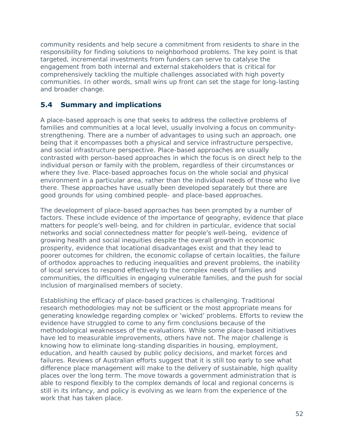community residents and help secure a commitment from residents to share in the responsibility for finding solutions to neighborhood problems. The key point is that targeted, incremental investments from funders can serve to catalyse the engagement from both internal and external stakeholders that is critical for comprehensively tackling the multiple challenges associated with high poverty communities. In other words, small wins up front can set the stage for long-lasting and broader change.

## **5.4 Summary and implications**

A place-based approach is one that seeks to address the collective problems of families and communities at a local level, usually involving a focus on communitystrengthening. There are a number of advantages to using such an approach, one being that it encompasses both a physical and service infrastructure perspective, and social infrastructure perspective. Place-based approaches are usually contrasted with person-based approaches in which the focus is on direct help to the individual person or family with the problem, regardless of their circumstances or where they live. Place-based approaches focus on the whole social and physical environment in a particular area, rather than the individual needs of those who live there. These approaches have usually been developed separately but there are good grounds for using combined people- and place-based approaches.

The development of place-based approaches has been prompted by a number of factors. These include evidence of the importance of geography, evidence that place matters for people's well-being, and for children in particular, evidence that social networks and social connectedness matter for people's well-being, evidence of growing health and social inequities despite the overall growth in economic prosperity, evidence that locational disadvantages exist and that they lead to poorer outcomes for children, the economic collapse of certain localities, the failure of orthodox approaches to reducing inequalities and prevent problems, the inability of local services to respond effectively to the complex needs of families and communities, the difficulties in engaging vulnerable families, and the push for social inclusion of marginalised members of society.

Establishing the efficacy of place-based practices is challenging. Traditional research methodologies may not be sufficient or the most appropriate means for generating knowledge regarding complex or 'wicked' problems. Efforts to review the evidence have struggled to come to any firm conclusions because of the methodological weaknesses of the evaluations. While some place-based initiatives have led to measurable improvements, others have not. The major challenge is knowing how to eliminate long-standing disparities in housing, employment, education, and health caused by public policy decisions, and market forces and failures. Reviews of Australian efforts suggest that it is still too early to see what difference place management will make to the delivery of sustainable, high quality places over the long term. The move towards a government administration that is able to respond flexibly to the complex demands of local and regional concerns is still in its infancy, and policy is evolving as we learn from the experience of the work that has taken place.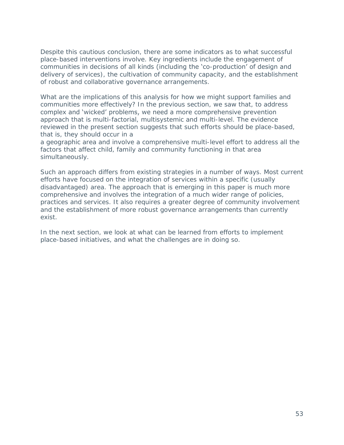Despite this cautious conclusion, there are some indicators as to what successful place-based interventions involve. Key ingredients include the engagement of communities in decisions of all kinds (including the 'co-production' of design and delivery of services), the cultivation of community capacity, and the establishment of robust and collaborative governance arrangements.

What are the implications of this analysis for how we might support families and communities more effectively? In the previous section, we saw that, to address complex and 'wicked' problems, we need a more comprehensive prevention approach that is multi-factorial, multisystemic and multi-level. The evidence reviewed in the present section suggests that such efforts should be place-based, that is, they should occur in a

a geographic area and involve a comprehensive multi-level effort to address all the factors that affect child, family and community functioning in that area simultaneously.

Such an approach differs from existing strategies in a number of ways. Most current efforts have focused on the integration of services within a specific (usually disadvantaged) area. The approach that is emerging in this paper is much more comprehensive and involves the integration of a much wider range of policies, practices and services. It also requires a greater degree of community involvement and the establishment of more robust governance arrangements than currently exist.

In the next section, we look at what can be learned from efforts to implement place-based initiatives, and what the challenges are in doing so.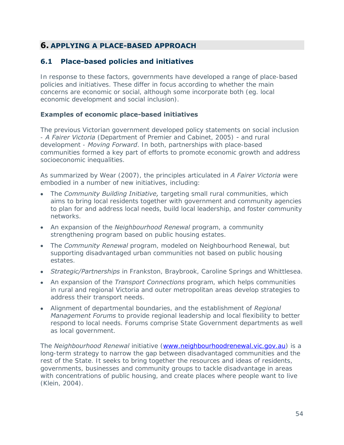# **6. APPLYING A PLACE-BASED APPROACH**

### **6.1 Place-based policies and initiatives**

In response to these factors, governments have developed a range of place-based policies and initiatives. These differ in focus according to whether the main concerns are economic or social, although some incorporate both (eg. local economic development and social inclusion).

#### **Examples of economic place-based initiatives**

The previous Victorian government developed policy statements on social inclusion - *A Fairer Victoria* (Department of Premier and Cabinet, 2005) *-* and rural development - *Moving Forward*. In both, partnerships with place-based communities formed a key part of efforts to promote economic growth and address socioeconomic inequalities.

As summarized by Wear (2007), the principles articulated in *A Fairer Victoria* were embodied in a number of new initiatives, including:

- The *Community Building Initiative,* targeting small rural communities, which aims to bring local residents together with government and community agencies to plan for and address local needs, build local leadership, and foster community networks.
- An expansion of the *Neighbourhood Renewal* program, a community strengthening program based on public housing estates.
- The *Community Renewal* program, modeled on Neighbourhood Renewal, but supporting disadvantaged urban communities not based on public housing estates.
- *Strategic/Partnerships* in Frankston, Braybrook, Caroline Springs and Whittlesea.
- An expansion of the *Transport Connections* program, which helps communities in rural and regional Victoria and outer metropolitan areas develop strategies to address their transport needs.
- Alignment of departmental boundaries, and the establishment of *Regional Management Forums* to provide regional leadership and local flexibility to better respond to local needs. Forums comprise State Government departments as well as local government.

The *Neighbourhood Renewal* initiative [\(www.neighbourhoodrenewal.vic.gov.au\)](http://www.neighbourhoodrenewal.vic.gov.au/) is a long-term strategy to narrow the gap between disadvantaged communities and the rest of the State. It seeks to bring together the resources and ideas of residents, governments, businesses and community groups to tackle disadvantage in areas with concentrations of public housing, and create places where people want to live (Klein, 2004).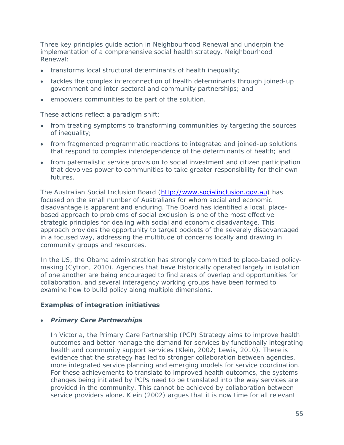Three key principles guide action in Neighbourhood Renewal and underpin the implementation of a comprehensive social health strategy. Neighbourhood Renewal:

- transforms local structural determinants of health inequality;
- tackles the complex interconnection of health determinants through joined-up government and inter-sectoral and community partnerships; and
- empowers communities to be part of the solution.

These actions reflect a paradigm shift:

- from treating symptoms to transforming communities by targeting the sources of inequality;
- from fragmented programmatic reactions to integrated and joined-up solutions that respond to complex interdependence of the determinants of health; and
- from paternalistic service provision to social investment and citizen participation that devolves power to communities to take greater responsibility for their own futures.

The Australian Social Inclusion Board [\(http://www.socialinclusion.gov.au\)](http://www.socialinclusion.gov.au/) has focused on the small number of Australians for whom social and economic disadvantage is apparent and enduring. The Board has identified a local, placebased approach to problems of social exclusion is one of the most effective strategic principles for dealing with social and economic disadvantage. This approach provides the opportunity to target pockets of the severely disadvantaged in a focused way, addressing the multitude of concerns locally and drawing in community groups and resources.

In the US, the Obama administration has strongly committed to place-based policymaking (Cytron, 2010). Agencies that have historically operated largely in isolation of one another are being encouraged to find areas of overlap and opportunities for collaboration, and several interagency working groups have been formed to examine how to build policy along multiple dimensions.

### **Examples of integration initiatives**

#### *Primary Care Partnerships*

In Victoria, the Primary Care Partnership (PCP) Strategy aims to improve health outcomes and better manage the demand for services by functionally integrating health and community support services (Klein, 2002; Lewis, 2010). There is evidence that the strategy has led to stronger collaboration between agencies, more integrated service planning and emerging models for service coordination. For these achievements to translate to improved health outcomes, the systems changes being initiated by PCPs need to be translated into the way services are provided in the community. This cannot be achieved by collaboration between service providers alone. Klein (2002) argues that it is now time for all relevant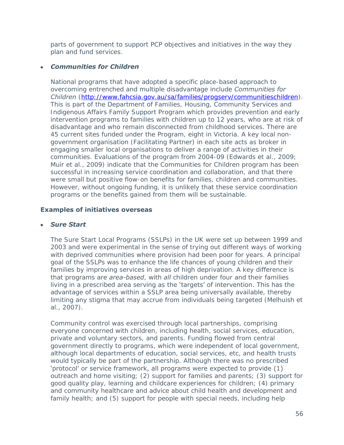parts of government to support PCP objectives and initiatives in the way they plan and fund services.

#### *Communities for Children*

National programs that have adopted a specific place-based approach to overcoming entrenched and multiple disadvantage include *Communities for Children* [\(http://www.fahcsia.gov.au/sa/families/progserv/communitieschildren\)](http://www.fahcsia.gov.au/sa/families/progserv/communitieschildren/pages/default.aspx). This is part of the Department of Families, Housing, Community Services and Indigenous Affairs Family Support Program which provides prevention and early intervention programs to families with children up to 12 years, who are at risk of disadvantage and who remain disconnected from childhood services. There are 45 current sites funded under the Program, eight in Victoria. A key local nongovernment organisation (Facilitating Partner) in each site acts as broker in engaging smaller local organisations to deliver a range of activities in their communities. Evaluations of the program from 2004-09 (Edwards et al., 2009; Muir et al., 2009) indicate that the Communities for Children program has been successful in increasing service coordination and collaboration, and that there were small but positive flow-on benefits for families, children and communities. However, without ongoing funding, it is unlikely that these service coordination programs or the benefits gained from them will be sustainable.

### **Examples of initiatives overseas**

#### *Sure Start*

The Sure Start Local Programs (SSLPs) in the UK were set up between 1999 and 2003 and were experimental in the sense of trying out different ways of working with deprived communities where provision had been poor for years. A principal goal of the SSLPs was to enhance the life chances of young children and their families by improving services in areas of high deprivation. A key difference is that programs are *area-based*, with *all* children under four and their families living in a prescribed area serving as the 'targets' of intervention. This has the advantage of services within a SSLP area being universally available, thereby limiting any stigma that may accrue from individuals being targeted (Melhuish et al., 2007).

Community control was exercised through local partnerships, comprising everyone concerned with children, including health, social services, education, private and voluntary sectors, and parents. Funding flowed from central government directly to programs, which were independent of local government, although local departments of education, social services, etc, and health trusts would typically be part of the partnership. Although there was no prescribed 'protocol' or service framework, all programs were expected to provide (1) outreach and home visiting; (2) support for families and parents; (3) support for good quality play, learning and childcare experiences for children; (4) primary and community healthcare and advice about child health and development and family health; and (5) support for people with special needs, including help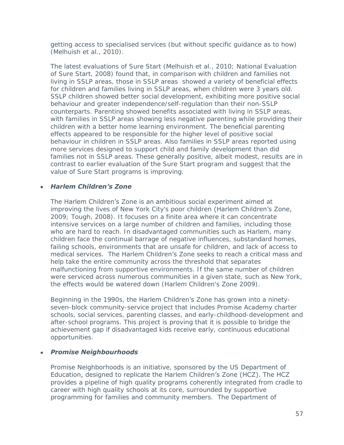getting access to specialised services (but without specific guidance as to how) (Melhuish et al., 2010).

The latest evaluations of Sure Start (Melhuish et al., 2010; National Evaluation of Sure Start, 2008) found that, in comparison with children and families not living in SSLP areas, those in SSLP areas showed *a* variety of beneficial effects for children and families living in SSLP areas, when children were 3 years old. SSLP children showed better social development, exhibiting more positive social behaviour and greater independence/self-regulation than their non-SSLP counterparts. Parenting showed benefits associated with living in SSLP areas, with families in SSLP areas showing less negative parenting while providing their children with a better home learning environment. The beneficial parenting effects appeared to be responsible for the higher level of positive social behaviour in children in SSLP areas. Also families in SSLP areas reported using more services designed to support child and family development than did families not in SSLP areas. These generally positive, albeit modest, results are in contrast to earlier evaluation of the Sure Start program and suggest that the value of Sure Start programs is improving.

### *Harlem Children's Zone*

The Harlem Children's Zone is an ambitious social experiment aimed at improving the lives of New York City's poor children (Harlem Children's Zone, 2009; Tough, 2008). It focuses on a finite area where it can concentrate intensive services on a large number of children and families, including those who are hard to reach. In disadvantaged communities such as Harlem, many children face the continual barrage of negative influences, substandard homes, failing schools, environments that are unsafe for children, and lack of access to medical services. The Harlem Children's Zone seeks to reach a critical mass and help take the entire community across the threshold that separates malfunctioning from supportive environments. If the same number of children were serviced across numerous communities in a given state, such as New York, the effects would be watered down (Harlem Children's Zone 2009).

Beginning in the 1990s, the Harlem Children's Zone has grown into a ninetyseven-block community-service project that includes Promise Academy charter schools, social services, parenting classes, and early-childhood-development and after-school programs. This project is proving that it is possible to bridge the achievement gap if disadvantaged kids receive early, continuous educational opportunities.

#### *Promise Neighbourhoods*

Promise Neighborhoods is an initiative, sponsored by the US Department of Education, designed to replicate the Harlem Children's Zone (HCZ). The HCZ provides a pipeline of high quality programs coherently integrated from cradle to career with high quality schools at its core, surrounded by supportive programming for families and community members. The Department of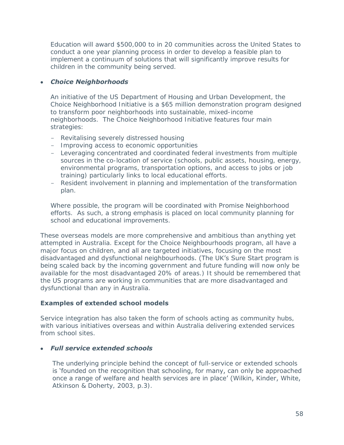Education will award \$500,000 to in 20 communities across the United States to conduct a one year planning process in order to develop a feasible plan to implement a continuum of solutions that will significantly improve results for children in the community being served.

### *Choice Neighborhoods*

An initiative of the US Department of Housing and Urban Development, the Choice Neighborhood Initiative is a \$65 million demonstration program designed to transform poor neighborhoods into sustainable, mixed-income neighborhoods. The Choice Neighborhood Initiative features four main strategies:

- Revitalising severely distressed housing
- Improving access to economic opportunities
- Leveraging concentrated and coordinated federal investments from multiple sources in the co-location of service (schools, public assets, housing, energy, environmental programs, transportation options, and access to jobs or job training) particularly links to local educational efforts.
- Resident involvement in planning and implementation of the transformation plan.

Where possible, the program will be coordinated with Promise Neighborhood efforts. As such, a strong emphasis is placed on local community planning for school and educational improvements.

These overseas models are more comprehensive and ambitious than anything yet attempted in Australia. Except for the Choice Neighbourhoods program, all have a major focus on children, and all are targeted initiatives, focusing on the most disadvantaged and dysfunctional neighbourhoods. (The UK's Sure Start program is being scaled back by the incoming government and future funding will now only be available for the most disadvantaged 20% of areas.) It should be remembered that the US programs are working in communities that are more disadvantaged and dysfunctional than any in Australia.

## **Examples of extended school models**

Service integration has also taken the form of schools acting as community hubs, with various initiatives overseas and within Australia delivering extended services from school sites.

### *Full service extended schools*

The underlying principle behind the concept of full-service or extended schools is 'founded on the recognition that schooling, for many, can only be approached once a range of welfare and health services are in place' (Wilkin, Kinder, White, Atkinson & Doherty, 2003, p.3).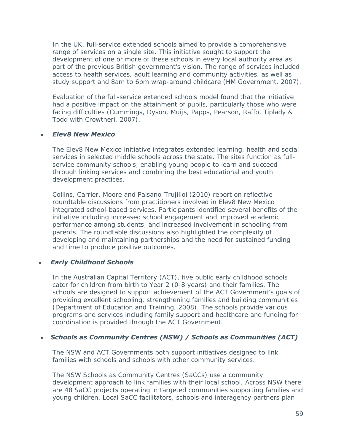In the UK, full-service extended schools aimed to provide a comprehensive range of services on a single site. This initiative sought to support the development of one or more of these schools in every local authority area as part of the previous British government's vision. The range of services included access to health services, adult learning and community activities, as well as study support and 8am to 6pm wrap-around childcare (HM Government, 2007).

Evaluation of the full-service extended schools model found that the initiative had a positive impact on the attainment of pupils, particularly those who were facing difficulties (Cummings, Dyson, Muijs, Papps, Pearson, Raffo, Tiplady & Todd with Crowtheri, 2007).

#### *Elev8 New Mexico*

The Elev8 New Mexico initiative integrates extended learning, health and social services in selected middle schools across the state. The sites function as fullservice community schools, enabling young people to learn and succeed through linking services and combining the best educational and youth development practices.

Collins, Carrier, Moore and Paisano-Trujilloi (2010) report on reflective roundtable discussions from practitioners involved in Elev8 New Mexico integrated school-based services. Participants identified several benefits of the initiative including increased school engagement and improved academic performance among students, and increased involvement in schooling from parents. The roundtable discussions also highlighted the complexity of developing and maintaining partnerships and the need for sustained funding and time to produce positive outcomes.

#### *Early Childhood Schools*

In the Australian Capital Territory (ACT), five public early childhood schools cater for children from birth to Year 2 (0-8 years) and their families. The schools are designed to support achievement of the ACT Government's goals of providing excellent schooling, strengthening families and building communities (Department of Education and Training, 2008). The schools provide various programs and services including family support and healthcare and funding for coordination is provided through the ACT Government.

#### *Schools as Community Centres (NSW) / Schools as Communities (ACT)*

The NSW and ACT Governments both support initiatives designed to link families with schools and schools with other community services.

The NSW Schools as Community Centres (SaCCs) use a community development approach to link families with their local school. Across NSW there are 48 SaCC projects operating in targeted communities supporting families and young children. Local SaCC facilitators, schools and interagency partners plan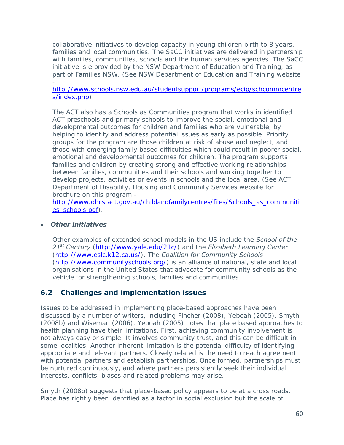collaborative initiatives to develop capacity in young children birth to 8 years, families and local communities. The SaCC initiatives are delivered in partnership with families, communities, schools and the human services agencies. The SaCC initiative is e provided by the NSW Department of Education and Training, as part of Families NSW. (See NSW Department of Education and Training website -

#### [http://www.schools.nsw.edu.au/studentsupport/programs/ecip/schcommcentre](http://www.schools.nsw.edu.au/studentsupport/programs/ecip/schcommcentres/index.php) [s/index.php\)](http://www.schools.nsw.edu.au/studentsupport/programs/ecip/schcommcentres/index.php)

The ACT also has a Schools as Communities program that works in identified ACT preschools and primary schools to improve the social, emotional and developmental outcomes for children and families who are vulnerable, by helping to identify and address potential issues as early as possible. Priority groups for the program are those children at risk of abuse and neglect, and those with emerging family based difficulties which could result in poorer social, emotional and developmental outcomes for children. The program supports families and children by creating strong and effective working relationships between families, communities and their schools and working together to develop projects, activities or events in schools and the local area. (See ACT Department of Disability, Housing and Community Services website for brochure on this program -

[http://www.dhcs.act.gov.au/childandfamilycentres/files/Schools\\_as\\_communiti](http://www.dhcs.act.gov.au/childandfamilycentres/files/Schools_as_communities_schools.pdf) [es\\_schools.pdf\)](http://www.dhcs.act.gov.au/childandfamilycentres/files/Schools_as_communities_schools.pdf).

#### *Other initiatives*

Other examples of extended school models in the US include the *School of the 21st Century* [\(http://www.yale.edu/21c/\)](http://www.yale.edu/21c/) and the *Elizabeth Learning Center* [\(http://www.eslc.k12.ca.us/\)](http://www.eslc.k12.ca.us/). The *Coalition for Community Schools* [\(http://www.communityschools.org/\)](http://www.communityschools.org/) is an alliance of national, state and local organisations in the United States that advocate for community schools as the vehicle for strengthening schools, families and communities.

## **6.2 Challenges and implementation issues**

Issues to be addressed in implementing place-based approaches have been discussed by a number of writers, including Fincher (2008), Yeboah (2005), Smyth (2008b) and Wiseman (2006). Yeboah (2005) notes that place based approaches to health planning have their limitations. First, achieving community involvement is not always easy or simple. It involves community trust, and this can be difficult in some localities. Another inherent limitation is the potential difficulty of identifying appropriate and relevant partners. Closely related is the need to reach agreement with potential partners and establish partnerships. Once formed, partnerships must be nurtured continuously, and where partners persistently seek their individual interests, conflicts, biases and related problems may arise.

Smyth (2008b) suggests that place-based policy appears to be at a cross roads. Place has rightly been identified as a factor in social exclusion but the scale of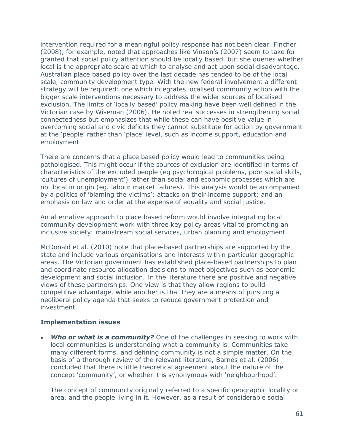intervention required for a meaningful policy response has not been clear. Fincher (2008), for example, noted that approaches like Vinson's (2007) seem to take for granted that social policy attention should be locally based, but she queries whether local is the appropriate scale at which to analyse and act upon social disadvantage. Australian place based policy over the last decade has tended to be of the local scale, community development type. With the new federal involvement a different strategy will be required: one which integrates localised community action with the bigger scale interventions necessary to address the wider sources of localised exclusion. The limits of 'locally based' policy making have been well defined in the Victorian case by Wiseman (2006). He noted real successes in strengthening social connectedness but emphasizes that while these can have positive value in overcoming social and civic deficits they cannot substitute for action by government at the 'people' rather than 'place' level, such as income support, education and employment.

There are concerns that a place based policy would lead to communities being pathologised. This might occur if the sources of exclusion are identified in terms of characteristics of the excluded people (eg psychological problems, poor social skills, 'cultures of unemployment') rather than social and economic processes which are not local in origin (eg. labour market failures). This analysis would be accompanied by a politics of 'blaming the victims'; attacks on their income support; and an emphasis on law and order at the expense of equality and social justice.

An alternative approach to place based reform would involve integrating local community development work with three key policy areas vital to promoting an inclusive society: mainstream social services, urban planning and employment.

McDonald et al. (2010) note that place-based partnerships are supported by the state and include various organisations and interests within particular geographic areas. The Victorian government has established place-based partnerships to plan and coordinate resource allocation decisions to meet objectives such as economic development and social inclusion. In the literature there are positive and negative views of these partnerships. One view is that they allow regions to build competitive advantage, while another is that they are a means of pursuing a neoliberal policy agenda that seeks to reduce government protection and investment.

#### **Implementation issues**

**Who or what is a community?** One of the challenges in seeking to work with local communities is understanding what a community is. Communities take many different forms, and defining community is not a simple matter. On the basis of a thorough review of the relevant literature, Barnes et al. (2006) concluded that there is little theoretical agreement about the nature of the concept 'community', or whether it is synonymous with 'neighbourhood'.

The concept of community originally referred to a specific geographic locality or area, and the people living in it. However, as a result of considerable social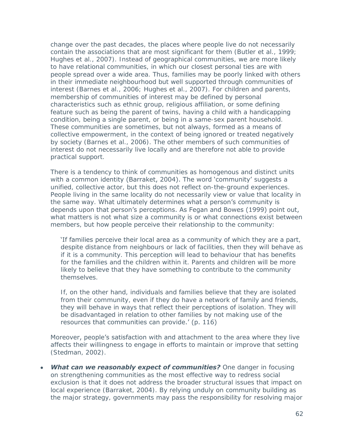change over the past decades, the places where people live do not necessarily contain the associations that are most significant for them (Butler et al., 1999; Hughes et al., 2007). Instead of geographical communities, we are more likely to have relational communities, in which our closest personal ties are with people spread over a wide area. Thus, families may be poorly linked with others in their immediate neighbourhood but well supported through communities of interest (Barnes et al., 2006; Hughes et al., 2007). For children and parents, membership of communities of interest may be defined by personal characteristics such as ethnic group, religious affiliation, or some defining feature such as being the parent of twins, having a child with a handicapping condition, being a single parent, or being in a same-sex parent household. These communities are sometimes, but not always, formed as a means of collective empowerment, in the context of being ignored or treated negatively by society (Barnes et al., 2006). The other members of such communities of interest do not necessarily live locally and are therefore not able to provide practical support.

There is a tendency to think of communities as homogenous and distinct units with a common identity (Barraket, 2004). The word 'community' suggests a unified, collective actor, but this does not reflect on-the-ground experiences. People living in the same locality do not necessarily view or value that locality in the same way. What ultimately determines what a person's community is depends upon that person's perceptions. As Fegan and Bowes (1999) point out, what matters is not what size a community is or what connections exist between members, but how people perceive their relationship to the community:

'If families perceive their local area as a community of which they are a part, despite distance from neighbours or lack of facilities, then they will behave as if it is a community. This perception will lead to behaviour that has benefits for the families and the children within it. Parents and children will be more likely to believe that they have something to contribute to the community themselves.

If, on the other hand, individuals and families believe that they are isolated from their community, even if they do have a network of family and friends, they will behave in ways that reflect their perceptions of isolation. They will be disadvantaged in relation to other families by not making use of the resources that communities can provide.' (p. 116)

Moreover, people's satisfaction with and attachment to the area where they live affects their willingness to engage in efforts to maintain or improve that setting (Stedman, 2002).

*What can we reasonably expect of communities?* One danger in focusing on strengthening communities as the most effective way to redress social exclusion is that it does not address the broader structural issues that impact on local experience (Barraket, 2004). By relying unduly on community building as the major strategy, governments may pass the responsibility for resolving major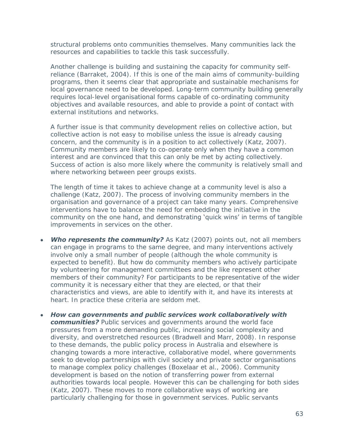structural problems onto communities themselves. Many communities lack the resources and capabilities to tackle this task successfully.

Another challenge is building and sustaining the capacity for community selfreliance (Barraket, 2004). If this is one of the main aims of community-building programs, then it seems clear that appropriate and sustainable mechanisms for local governance need to be developed. Long-term community building generally requires local-level organisational forms capable of co-ordinating community objectives and available resources, and able to provide a point of contact with external institutions and networks.

A further issue is that community development relies on collective action, but collective action is not easy to mobilise unless the issue is already causing concern, and the community is in a position to act collectively (Katz, 2007). Community members are likely to co-operate only when they have a common interest and are convinced that this can only be met by acting collectively. Success of action is also more likely where the community is relatively small and where networking between peer groups exists.

The length of time it takes to achieve change at a community level is also a challenge (Katz, 2007). The process of involving community members in the organisation and governance of a project can take many years. Comprehensive interventions have to balance the need for embedding the initiative in the community on the one hand, and demonstrating 'quick wins' in terms of tangible improvements in services on the other.

- **Who represents the community?** As Katz (2007) points out, not all members can engage in programs to the same degree, and many interventions actively involve only a small number of people (although the whole community is expected to benefit). But how do community members who actively participate by volunteering for management committees and the like represent other members of their community? For participants to be representative of the wider community it is necessary either that they are elected, or that their characteristics and views, are able to identify with it, and have its interests at heart. In practice these criteria are seldom met.
- *How can governments and public services work collaboratively with*  **communities?** Public services and governments around the world face pressures from a more demanding public, increasing social complexity and diversity, and overstretched resources (Bradwell and Marr, 2008). In response to these demands, the public policy process in Australia and elsewhere is changing towards a more interactive, collaborative model, where governments seek to develop partnerships with civil society and private sector organisations to manage complex policy challenges (Boxelaar et al., 2006). Community development is based on the notion of transferring power from external authorities towards local people. However this can be challenging for both sides (Katz, 2007). These moves to more collaborative ways of working are particularly challenging for those in government services. Public servants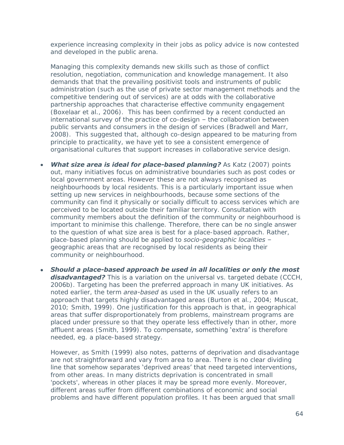experience increasing complexity in their jobs as policy advice is now contested and developed in the public arena.

Managing this complexity demands new skills such as those of conflict resolution, negotiation, communication and knowledge management. It also demands that that the prevailing positivist tools and instruments of public administration (such as the use of private sector management methods and the competitive tendering out of services) are at odds with the collaborative partnership approaches that characterise effective community engagement (Boxelaar et al., 2006). This has been confirmed by a recent conducted an international survey of the practice of co-design – the collaboration between public servants and consumers in the design of services (Bradwell and Marr, 2008). This suggested that, although co-design appeared to be maturing from principle to practicality, we have yet to see a consistent emergence of organisational cultures that support increases in collaborative service design.

- **What size area is ideal for place-based planning?** As Katz (2007) points out, many initiatives focus on administrative boundaries such as post codes or local government areas. However these are not always recognised as neighbourhoods by local residents. This is a particularly important issue when setting up new services in neighbourhoods, because some sections of the community can find it physically or socially difficult to access services which are perceived to be located outside their familiar territory. Consultation with community members about the definition of the community or neighbourhood is important to minimise this challenge. Therefore, there can be no single answer to the question of what size area is best for a place-based approach. Rather, place-based planning should be applied to *socio-geographic localities* – geographic areas that are recognised by local residents as being their community or neighbourhood.
- *Should a place-based approach be used in all localities or only the most*  **disadvantaged?** This is a variation on the universal vs. targeted debate (CCCH, 2006b). Targeting has been the preferred approach in many UK initiatives. As noted earlier, the term *area-based* as used in the UK usually refers to an approach that targets highly disadvantaged areas (Burton et al., 2004; Muscat, 2010; Smith, 1999). One justification for this approach is that, in geographical areas that suffer disproportionately from problems, mainstream programs are placed under pressure so that they operate less effectively than in other, more affluent areas (Smith, 1999). To compensate, something 'extra' is therefore needed, eg. a place-based strategy.

However, as Smith (1999) also notes, patterns of deprivation and disadvantage are not straightforward and vary from area to area. There is no clear dividing line that somehow separates 'deprived areas' that need targeted interventions, from other areas. In many districts deprivation is concentrated in small 'pockets', whereas in other places it may be spread more evenly. Moreover, different areas suffer from different combinations of economic and social problems and have different population profiles. It has been argued that small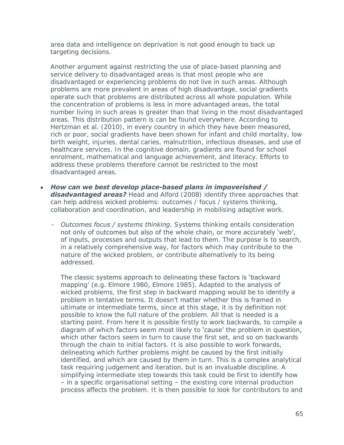area data and intelligence on deprivation is not good enough to back up targeting decisions.

Another argument against restricting the use of place-based planning and service delivery to disadvantaged areas is that most people who are disadvantaged or experiencing problems do not live in such areas. Although problems are more prevalent in areas of high disadvantage, social gradients operate such that problems are distributed across all whole population. While the concentration of problems is less in more advantaged areas, the total number living in such areas is greater than that living in the most disadvantaged areas. This distribution pattern is can be found everywhere. According to Hertzman et al. (2010), in every country in which they have been measured, rich or poor, social gradients have been shown for infant and child mortality, low birth weight, injuries, dental caries, malnutrition, infectious diseases, and use of healthcare services. In the cognitive domain, gradients are found for school enrolment, mathematical and language achievement, and literacy. Efforts to address these problems therefore cannot be restricted to the most disadvantaged areas.

- *How can we best develop place-based plans in impoverished / disadvantaged areas?* Head and Alford (2008) identify three approaches that can help address wicked problems: outcomes / focus / systems thinking, collaboration and coordination, and leadership in mobilising adaptive work.
	- *Outcomes focus / systems thinking.* Systems thinking entails consideration not only of outcomes but also of the whole chain, or more accurately 'web', of inputs, processes and outputs that lead to them. The purpose is to search, in a relatively comprehensive way, for factors which may contribute to the nature of the wicked problem, or contribute alternatively to its being addressed.

The classic systems approach to delineating these factors is 'backward mapping' (e.g. Elmore 1980, Elmore 1985). Adapted to the analysis of wicked problems, the first step in backward mapping would be to identify a problem in tentative terms. It doesn't matter whether this is framed in ultimate or intermediate terms, since at this stage, it is by definition not possible to know the full nature of the problem. All that is needed is a starting point. From here it is possible firstly to work backwards, to compile a diagram of which factors seem most likely to 'cause' the problem in question, which other factors seem in turn to cause the first set, and so on backwards through the chain to initial factors. It is also possible to work forwards, delineating which further problems might be caused by the first initially identified, and which are caused by them in turn. This is a complex analytical task requiring judgement and iteration, but is an invaluable discipline. A simplifying intermediate step towards this task could be first to identify how – in a specific organisational setting – the existing core internal production process affects the problem. It is then possible to look for contributors to and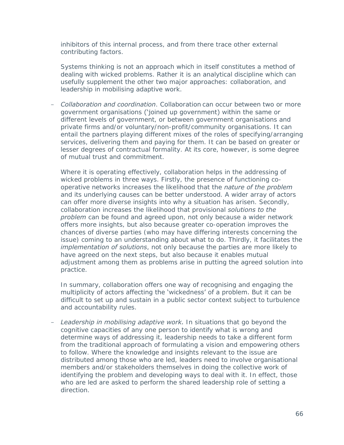inhibitors of this internal process, and from there trace other external contributing factors.

Systems thinking is not an approach which in itself constitutes a method of dealing with wicked problems. Rather it is an analytical discipline which can usefully supplement the other two major approaches: collaboration, and leadership in mobilising adaptive work.

- *Collaboration and coordination*. Collaboration can occur between two or more government organisations ('joined up government) within the same or different levels of government, or between government organisations and private firms and/or voluntary/non-profit/community organisations. It can entail the partners playing different mixes of the roles of specifying/arranging services, delivering them and paying for them. It can be based on greater or lesser degrees of contractual formality. At its core, however, is some degree of mutual trust and commitment.

Where it is operating effectively, collaboration helps in the addressing of wicked problems in three ways. Firstly, the presence of functioning cooperative networks increases the likelihood that the *nature of the problem*  and its underlying causes can be better understood. A wider array of actors can offer more diverse insights into why a situation has arisen. Secondly, collaboration increases the likelihood that provisional *solutions to the problem* can be found and agreed upon, not only because a wider network offers more insights, but also because greater co-operation improves the chances of diverse parties (who may have differing interests concerning the issue) coming to an understanding about what to do. Thirdly, it facilitates the *implementation of solutions*, not only because the parties are more likely to have agreed on the next steps, but also because it enables mutual adjustment among them as problems arise in putting the agreed solution into practice.

In summary, collaboration offers one way of recognising and engaging the multiplicity of actors affecting the 'wickedness' of a problem. But it can be difficult to set up and sustain in a public sector context subject to turbulence and accountability rules.

- *Leadership in mobilising adaptive work.* In situations that go beyond the cognitive capacities of any one person to identify what is wrong and determine ways of addressing it, leadership needs to take a different form from the traditional approach of formulating a vision and empowering others to follow. Where the knowledge and insights relevant to the issue are distributed among those who are led, leaders need to involve organisational members and/or stakeholders themselves in doing the collective work of identifying the problem and developing ways to deal with it. In effect, those who are led are asked to perform the shared leadership role of setting a direction.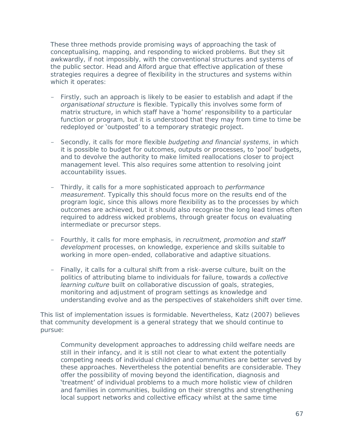These three methods provide promising ways of approaching the task of conceptualising, mapping, and responding to wicked problems. But they sit awkwardly, if not impossibly, with the conventional structures and systems of the public sector. Head and Alford argue that effective application of these strategies requires a degree of flexibility in the structures and systems within which it operates:

- Firstly, such an approach is likely to be easier to establish and adapt if the *organisational structure* is flexible. Typically this involves some form of matrix structure, in which staff have a 'home' responsibility to a particular function or program, but it is understood that they may from time to time be redeployed or 'outposted' to a temporary strategic project.
- Secondly, it calls for more flexible *budgeting and financial systems*, in which it is possible to budget for outcomes, outputs or processes, to 'pool' budgets, and to devolve the authority to make limited reallocations closer to project management level. This also requires some attention to resolving joint accountability issues.
- Thirdly, it calls for a more sophisticated approach to *performance measurement*. Typically this should focus more on the results end of the program logic, since this allows more flexibility as to the processes by which outcomes are achieved, but it should also recognise the long lead times often required to address wicked problems, through greater focus on evaluating intermediate or precursor steps.
- Fourthly, it calls for more emphasis, in *recruitment, promotion and staff development* processes, on knowledge, experience and skills suitable to working in more open-ended, collaborative and adaptive situations.
- Finally, it calls for a cultural shift from a risk-averse culture, built on the politics of attributing blame to individuals for failure, towards a *collective learning culture* built on collaborative discussion of goals, strategies, monitoring and adjustment of program settings as knowledge and understanding evolve and as the perspectives of stakeholders shift over time.

This list of implementation issues is formidable. Nevertheless, Katz (2007) believes that community development is a general strategy that we should continue to pursue:

Community development approaches to addressing child welfare needs are still in their infancy, and it is still not clear to what extent the potentially competing needs of individual children and communities are better served by these approaches. Nevertheless the potential benefits are considerable. They offer the possibility of moving beyond the identification, diagnosis and 'treatment' of individual problems to a much more holistic view of children and families in communities, building on their strengths and strengthening local support networks and collective efficacy whilst at the same time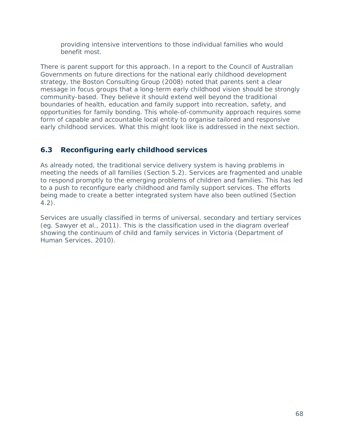providing intensive interventions to those individual families who would benefit most.

There is parent support for this approach. In a report to the Council of Australian Governments on future directions for the national early childhood development strategy, the Boston Consulting Group (2008) noted that parents sent a clear message in focus groups that a long-term early childhood vision should be strongly community-based. They believe it should extend well beyond the traditional boundaries of health, education and family support into recreation, safety, and opportunities for family bonding. This whole-of-community approach requires some form of capable and accountable local entity to organise tailored and responsive early childhood services. What this might look like is addressed in the next section.

# **6.3 Reconfiguring early childhood services**

As already noted, the traditional service delivery system is having problems in meeting the needs of all families (Section 5.2). Services are fragmented and unable to respond promptly to the emerging problems of children and families. This has led to a push to reconfigure early childhood and family support services. The efforts being made to create a better integrated system have also been outlined (Section 4.2).

Services are usually classified in terms of universal, secondary and tertiary services (eg. Sawyer et al., 2011). This is the classification used in the diagram overleaf showing the continuum of child and family services in Victoria (Department of Human Services, 2010).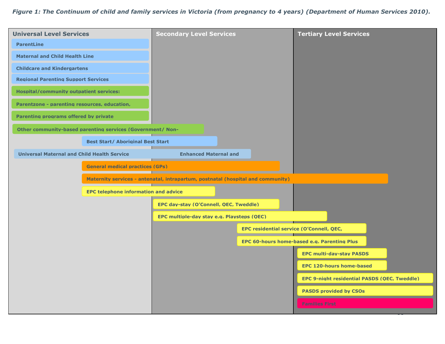## *Figure 1: The Continuum of child and family services in Victoria (from pregnancy to 4 years) (Department of Human Services 2010).*

| <b>Universal Level Services</b>                            |                                          | <b>Secondary Level Services</b>                                                 |  | <b>Tertiary Level Services</b>                                                                 |  |
|------------------------------------------------------------|------------------------------------------|---------------------------------------------------------------------------------|--|------------------------------------------------------------------------------------------------|--|
| <b>ParentLine</b>                                          |                                          |                                                                                 |  |                                                                                                |  |
| <b>Maternal and Child Health Line</b>                      |                                          |                                                                                 |  |                                                                                                |  |
| <b>Childcare and Kindergartens</b>                         |                                          |                                                                                 |  |                                                                                                |  |
| <b>Regional Parenting Support Services</b>                 |                                          |                                                                                 |  |                                                                                                |  |
| <b>Hospital/community outpatient services:</b>             |                                          |                                                                                 |  |                                                                                                |  |
| Parentzone - parenting resources, education,               |                                          |                                                                                 |  |                                                                                                |  |
| Parenting programs offered by private                      |                                          |                                                                                 |  |                                                                                                |  |
| Other community-based parenting services (Government/ Non- |                                          |                                                                                 |  |                                                                                                |  |
|                                                            | <b>Best Start/ Aboriginal Best Start</b> |                                                                                 |  |                                                                                                |  |
| <b>Universal Maternal and Child Health Service</b>         |                                          | <b>Enhanced Maternal and</b>                                                    |  |                                                                                                |  |
|                                                            | <b>General medical practices (GPs)</b>   |                                                                                 |  |                                                                                                |  |
| <b>EPC telephone information and advice</b>                |                                          | Maternity services - antenatal, intrapartum, postnatal (hospital and community) |  |                                                                                                |  |
|                                                            |                                          |                                                                                 |  |                                                                                                |  |
|                                                            |                                          | EPC dav-stav (O'Connell, OEC, Tweddle)                                          |  |                                                                                                |  |
|                                                            |                                          | EPC multiple-day stay e.g. Playsteps (OEC)                                      |  |                                                                                                |  |
|                                                            |                                          |                                                                                 |  | <b>EPC residential service (O'Connell, OEC,</b><br>EPC 60-hours home-based e.g. Parenting Plus |  |
|                                                            |                                          |                                                                                 |  |                                                                                                |  |
|                                                            |                                          |                                                                                 |  | <b>EPC multi-dav-stav PASDS</b>                                                                |  |
|                                                            |                                          |                                                                                 |  | <b>EPC 120-hours home-based</b>                                                                |  |
|                                                            |                                          |                                                                                 |  | EPC 9-night residential PASDS (OEC, Tweddle)                                                   |  |
|                                                            |                                          |                                                                                 |  | <b>PASDS provided by CSOs</b>                                                                  |  |
|                                                            |                                          |                                                                                 |  | <b>Families First</b>                                                                          |  |
|                                                            |                                          |                                                                                 |  |                                                                                                |  |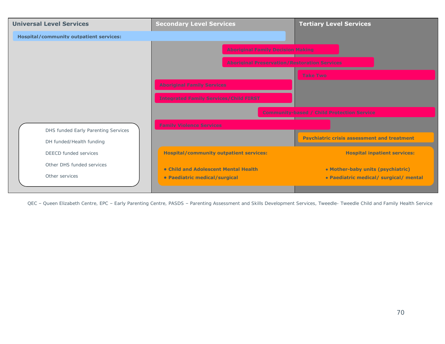

QEC – Queen Elizabeth Centre, EPC – Early Parenting Centre, PASDS – Parenting Assessment and Skills Development Services, Tweedle- Tweedle Child and Family Health Service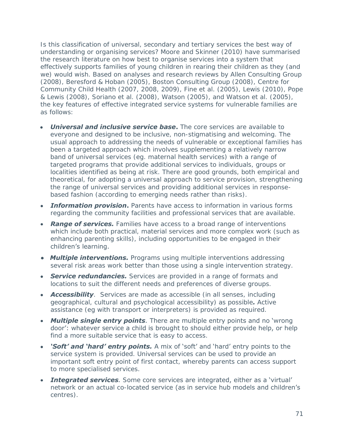Is this classification of universal, secondary and tertiary services the best way of understanding or organising services? Moore and Skinner (2010) have summarised the research literature on how best to organise services into a system that effectively supports families of young children in rearing their children as they (and we) would wish. Based on analyses and research reviews by Allen Consulting Group (2008), Beresford & Hoban (2005), Boston Consulting Group (2008), Centre for Community Child Health (2007, 2008, 2009), Fine et al. (2005), Lewis (2010), Pope & Lewis (2008), Soriano et al. (2008), Watson (2005), and Watson et al. (2005), the key features of effective integrated service systems for vulnerable families are as follows:

- *Universal and inclusive service base***.** The core services are available to everyone and designed to be inclusive, non-stigmatising and welcoming. The usual approach to addressing the needs of vulnerable or exceptional families has been a targeted approach which involves supplementing a relatively narrow band of universal services (eg. maternal health services) with a range of targeted programs that provide additional services to individuals, groups or localities identified as being at risk. There are good grounds, both empirical and theoretical, for adopting a universal approach to service provision, strengthening the range of universal services and providing additional services in responsebased fashion (according to emerging needs rather than risks).
- *Information provision***.** Parents have access to information in various forms regarding the community facilities and professional services that are available.
- *Range of services.* Families have access to a broad range of interventions which include both practical, material services and more complex work (such as enhancing parenting skills), including opportunities to be engaged in their children's learning.
- *Multiple interventions.* Programs using multiple interventions addressing several risk areas work better than those using a single intervention strategy.
- *Service redundancies.* Services are provided in a range of formats and locations to suit the different needs and preferences of diverse groups.
- **Accessibility**. Services are made as accessible (in all senses, including geographical, cultural and psychological accessibility) as possible*.* Active assistance (eg with transport or interpreters) is provided as required.
- *Multiple single entry points.* There are multiple entry points and no 'wrong door': whatever service a child is brought to should either provide help, or help find a more suitable service that is easy to access.
- *'Soft' and 'hard' entry points.* A mix of 'soft' and 'hard' entry points to the service system is provided. Universal services can be used to provide an important soft entry point of first contact, whereby parents can access support to more specialised services.
- *Integrated services.* Some core services are integrated, either as a 'virtual' network or an actual co-located service (as in service hub models and children's centres).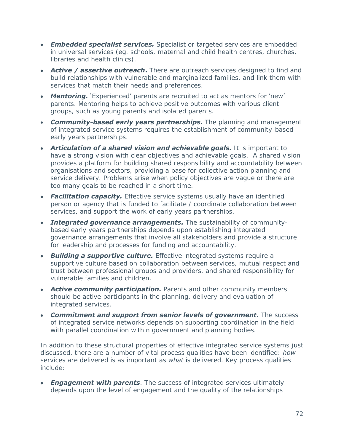- *Embedded specialist services.* Specialist or targeted services are embedded in universal services (eg. schools, maternal and child health centres, churches, libraries and health clinics).
- **Active / assertive outreach.** There are outreach services designed to find and build relationships with vulnerable and marginalized families, and link them with services that match their needs and preferences.
- *Mentoring.* 'Experienced' parents are recruited to act as mentors for 'new' parents. Mentoring helps to achieve positive outcomes with various client groups, such as young parents and isolated parents.
- *Community-based early years partnerships.* The planning and management of integrated service systems requires the establishment of community-based early years partnerships.
- *Articulation of a shared vision and achievable goals.* It is important to have a strong vision with clear objectives and achievable goals. A shared vision provides a platform for building shared responsibility and accountability between organisations and sectors, providing a base for collective action planning and service delivery. Problems arise when policy objectives are vague or there are too many goals to be reached in a short time.
- **Facilitation capacity.** Effective service systems usually have an identified  $\bullet$ person or agency that is funded to facilitate / coordinate collaboration between services, and support the work of early years partnerships.
- **Integrated governance arrangements.** The sustainability of communitybased early years partnerships depends upon establishing integrated governance arrangements that involve all stakeholders and provide a structure for leadership and processes for funding and accountability.
- *Building a supportive culture.* Effective integrated systems require a supportive culture based on collaboration between services, mutual respect and trust between professional groups and providers, and shared responsibility for vulnerable families and children.
- **Active community participation.** Parents and other community members should be active participants in the planning, delivery and evaluation of integrated services.
- *Commitment and support from senior levels of government.* The success  $\bullet$ of integrated service networks depends on supporting coordination in the field with parallel coordination within government and planning bodies.

In addition to these structural properties of effective integrated service systems just discussed, there are a number of vital process qualities have been identified: *how* services are delivered is as important as *what* is delivered. Key process qualities include:

**Engagement with parents**. The success of integrated services ultimately depends upon the level of engagement and the quality of the relationships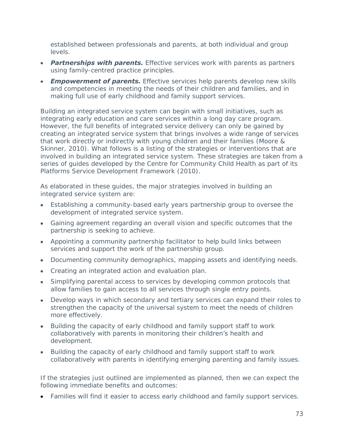established between professionals and parents, at both individual and group levels.

- *Partnerships with parents.* Effective services work with parents as partners using family-centred practice principles.
- **Empowerment of parents.** Effective services help parents develop new skills and competencies in meeting the needs of their children and families, and in making full use of early childhood and family support services.

Building an integrated service system can begin with small initiatives, such as integrating early education and care services within a long day care program. However, the full benefits of integrated service delivery can only be gained by creating an integrated service system that brings involves a wide range of services that work directly or indirectly with young children and their families (Moore & Skinner, 2010). What follows is a listing of the strategies or interventions that are involved in building an integrated service system. These strategies are taken from a series of guides developed by the Centre for Community Child Health as part of its Platforms Service Development Framework (2010).

As elaborated in these guides, the major strategies involved in building an integrated service system are:

- Establishing a community-based early years partnership group to oversee the development of integrated service system.
- Gaining agreement regarding an overall vision and specific outcomes that the partnership is seeking to achieve.
- Appointing a community partnership facilitator to help build links between services and support the work of the partnership group.
- Documenting community demographics, mapping assets and identifying needs.
- Creating an integrated action and evaluation plan.
- Simplifying parental access to services by developing common protocols that allow families to gain access to all services through single entry points.
- Develop ways in which secondary and tertiary services can expand their roles to strengthen the capacity of the universal system to meet the needs of children more effectively.
- Building the capacity of early childhood and family support staff to work collaboratively with parents in monitoring their children's health and development.
- Building the capacity of early childhood and family support staff to work collaboratively with parents in identifying emerging parenting and family issues.

If the strategies just outlined are implemented as planned, then we can expect the following immediate benefits and outcomes:

Families will find it easier to access early childhood and family support services.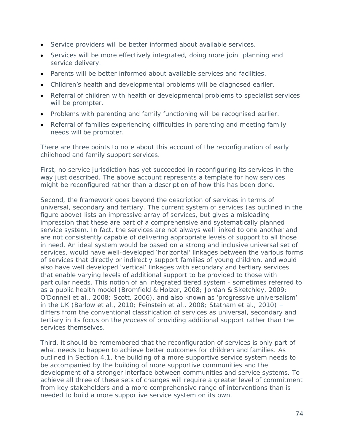- Service providers will be better informed about available services.  $\bullet$
- Services will be more effectively integrated, doing more joint planning and service delivery.
- Parents will be better informed about available services and facilities.
- Children's health and developmental problems will be diagnosed earlier.
- Referral of children with health or developmental problems to specialist services will be prompter.
- Problems with parenting and family functioning will be recognised earlier.
- Referral of families experiencing difficulties in parenting and meeting family needs will be prompter.

There are three points to note about this account of the reconfiguration of early childhood and family support services.

First, no service jurisdiction has yet succeeded in reconfiguring its services in the way just described. The above account represents a template for how services might be reconfigured rather than a description of how this has been done.

Second, the framework goes beyond the description of services in terms of universal, secondary and tertiary. The current system of services (as outlined in the figure above) lists an impressive array of services, but gives a misleading impression that these are part of a comprehensive and systematically planned service system. In fact, the services are not always well linked to one another and are not consistently capable of delivering appropriate levels of support to all those in need. An ideal system would be based on a strong and inclusive universal set of services, would have well-developed 'horizontal' linkages between the various forms of services that directly or indirectly support families of young children, and would also have well developed 'vertical' linkages with secondary and tertiary services that enable varying levels of additional support to be provided to those with particular needs. This notion of an integrated tiered system - sometimes referred to as a public health model (Bromfield & Holzer, 2008; Jordan & Sketchley, 2009; O'Donnell et al., 2008; Scott, 2006), and also known as 'progressive universalism' in the UK (Barlow et al., 2010; Feinstein et al., 2008; Statham et al., 2010) – differs from the conventional classification of services as universal, secondary and tertiary in its focus on the *process* of providing additional support rather than the services themselves.

Third, it should be remembered that the reconfiguration of services is only part of what needs to happen to achieve better outcomes for children and families. As outlined in Section 4.1, the building of a more supportive service system needs to be accompanied by the building of more supportive communities and the development of a stronger interface between communities and service systems. To achieve all three of these sets of changes will require a greater level of commitment from key stakeholders and a more comprehensive range of interventions than is needed to build a more supportive service system on its own.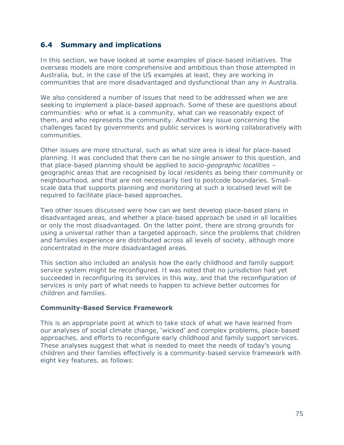## **6.4 Summary and implications**

In this section, we have looked at some examples of place-based initiatives. The overseas models are more comprehensive and ambitious than those attempted in Australia, but, in the case of the US examples at least, they are working in communities that are more disadvantaged and dysfunctional than any in Australia.

We also considered a number of issues that need to be addressed when we are seeking to implement a place-based approach. Some of these are questions about communities: who or what is a community, what can we reasonably expect of them, and who represents the community. Another key issue concerning the challenges faced by governments and public services is working collaboratively with communities.

Other issues are more structural, such as what size area is ideal for place-based planning. It was concluded that there can be no single answer to this question, and that place-based planning should be applied to *socio-geographic localities* – geographic areas that are recognised by local residents as being their community or neighbourhood, and that are not necessarily tied to postcode boundaries. Smallscale data that supports planning and monitoring at such a localised level will be required to facilitate place-based approaches.

Two other issues discussed were how can we best develop place-based plans in disadvantaged areas, and whether a place-based approach be used in all localities or only the most disadvantaged. On the latter point, there are strong grounds for using a universal rather than a targeted approach, since the problems that children and families experience are distributed across all levels of society, although more concentrated in the more disadvantaged areas.

This section also included an analysis how the early childhood and family support service system might be reconfigured. It was noted that no jurisdiction had yet succeeded in reconfiguring its services in this way, and that the reconfiguration of services is only part of what needs to happen to achieve better outcomes for children and families.

### **Community-Based Service Framework**

This is an appropriate point at which to take stock of what we have learned from our analyses of social climate change, 'wicked' and complex problems, place-based approaches, and efforts to reconfigure early childhood and family support services. These analyses suggest that what is needed to meet the needs of today's young children and their families effectively is a community-based service framework with eight key features, as follows: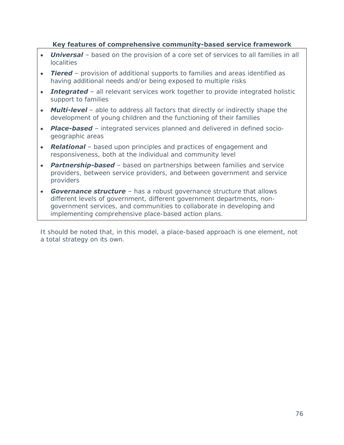### **Key features of comprehensive community-based service framework**

- *Universal* based on the provision of a core set of services to all families in all localities
- *Tiered*  provision of additional supports to families and areas identified as having additional needs and/or being exposed to multiple risks
- **Integrated** all relevant services work together to provide integrated holistic support to families
- **Multi-level** able to address all factors that directly or indirectly shape the development of young children and the functioning of their families
- *Place-based* integrated services planned and delivered in defined socio- $\bullet$ geographic areas
- *Relational*  based upon principles and practices of engagement and responsiveness, both at the individual and community level
- *Partnership-based*  based on partnerships between families and service providers, between service providers, and between government and service providers
- **Governance structure** has a robust governance structure that allows different levels of government, different government departments, nongovernment services, and communities to collaborate in developing and implementing comprehensive place-based action plans.

It should be noted that, in this model, a place-based approach is one element, not a total strategy on its own.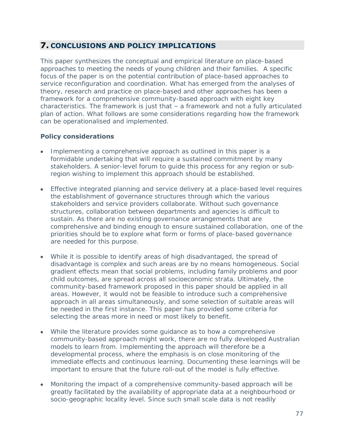# **7. CONCLUSIONS AND POLICY IMPLICATIONS**

This paper synthesizes the conceptual and empirical literature on place-based approaches to meeting the needs of young children and their families. A specific focus of the paper is on the potential contribution of place-based approaches to service reconfiguration and coordination. What has emerged from the analyses of theory, research and practice on place-based and other approaches has been a framework for a comprehensive community-based approach with eight key characteristics. The framework is just that – a framework and not a fully articulated plan of action. What follows are some considerations regarding how the framework can be operationalised and implemented.

## **Policy considerations**

- Implementing a comprehensive approach as outlined in this paper is a formidable undertaking that will require a sustained commitment by many stakeholders. A senior-level forum to guide this process for any region or subregion wishing to implement this approach should be established.
- Effective integrated planning and service delivery at a place-based level requires the establishment of governance structures through which the various stakeholders and service providers collaborate. Without such governance structures, collaboration between departments and agencies is difficult to sustain. As there are no existing governance arrangements that are comprehensive and binding enough to ensure sustained collaboration, one of the priorities should be to explore what form or forms of place-based governance are needed for this purpose.
- While it is possible to identify areas of high disadvantaged, the spread of disadvantage is complex and such areas are by no means homogeneous. Social gradient effects mean that social problems, including family problems and poor child outcomes, are spread across all socioeconomic strata. Ultimately, the community-based framework proposed in this paper should be applied in all areas. However, it would not be feasible to introduce such a comprehensive approach in all areas simultaneously, and some selection of suitable areas will be needed in the first instance. This paper has provided some criteria for selecting the areas more in need or most likely to benefit.
- While the literature provides some guidance as to how a comprehensive community-based approach might work, there are no fully developed Australian models to learn from. Implementing the approach will therefore be a developmental process, where the emphasis is on close monitoring of the immediate effects and continuous learning. Documenting these learnings will be important to ensure that the future roll-out of the model is fully effective.
- Monitoring the impact of a comprehensive community-based approach will be greatly facilitated by the availability of appropriate data at a neighbourhood or socio-geographic locality level. Since such small scale data is not readily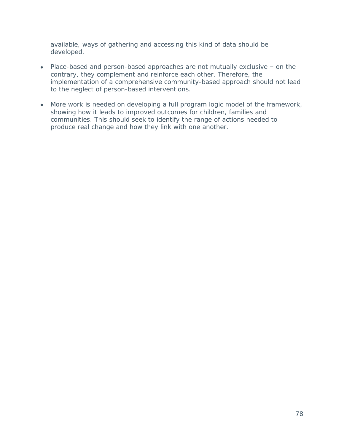available, ways of gathering and accessing this kind of data should be developed.

- Place-based and person-based approaches are not mutually exclusive on the contrary, they complement and reinforce each other. Therefore, the implementation of a comprehensive community-based approach should not lead to the neglect of person-based interventions.
- More work is needed on developing a full program logic model of the framework, showing how it leads to improved outcomes for children, families and communities. This should seek to identify the range of actions needed to produce real change and how they link with one another.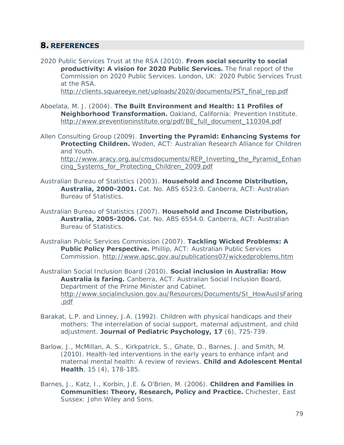## **8. REFERENCES**

2020 Public Services Trust at the RSA (2010). **From social security to social productivity: A vision for 2020 Public Services.** The final report of the Commission on 2020 Public Services. London, UK: 2020 Public Services Trust at the RSA.

[http://clients.squareeye.net/uploads/2020/documents/PST\\_final\\_rep.pdf](http://clients.squareeye.net/uploads/2020/documents/PST_final_rep.pdf)

- Aboelata, M. J. (2004). **The Built Environment and Health: 11 Profiles of Neighborhood Transformation.** Oakland, California: Prevention Institute. [http://www.preventioninstitute.org/pdf/BE\\_full\\_document\\_110304.pdf](http://www.preventioninstitute.org/pdf/BE_full_document_110304.pdf)
- Allen Consulting Group (2009). **Inverting the Pyramid: Enhancing Systems for Protecting Children.** Woden, ACT: Australian Research Alliance for Children and Youth. [http://www.aracy.org.au/cmsdocuments/REP\\_Inverting\\_the\\_Pyramid\\_Enhan](http://www.aracy.org.au/cmsdocuments/REP_Inverting_the_Pyramid_Enhancing_Systems_for_Protecting_Children_2009.pdf) [cing\\_Systems\\_for\\_Protecting\\_Children\\_2009.pdf](http://www.aracy.org.au/cmsdocuments/REP_Inverting_the_Pyramid_Enhancing_Systems_for_Protecting_Children_2009.pdf)
- Australian Bureau of Statistics (2003). **Household and Income Distribution, Australia, 2000-2001.** Cat. No. ABS 6523.0. Canberra, ACT: Australian Bureau of Statistics.
- Australian Bureau of Statistics (2007). **Household and Income Distribution, Australia, 2005-2006.** Cat. No. ABS 6554.0. Canberra, ACT: Australian Bureau of Statistics.
- Australian Public Services Commission (2007). **Tackling Wicked Problems: A Public Policy Perspective.** Phillip, ACT: Australian Public Services Commission.<http://www.apsc.gov.au/publications07/wickedproblems.htm>
- Australian Social Inclusion Board (2010). **Social inclusion in Australia: How Australia is faring.** Canberra, ACT: Australian Social Inclusion Board, Department of the Prime Minister and Cabinet. [http://www.socialinclusion.gov.au/Resources/Documents/SI\\_HowAusIsFaring](http://www.socialinclusion.gov.au/Resources/Documents/SI_HowAusIsFaring.pdf) [.pdf](http://www.socialinclusion.gov.au/Resources/Documents/SI_HowAusIsFaring.pdf)
- Barakat, L.P. and Linney, J.A. (1992). Children with physical handicaps and their mothers: The interrelation of social support, maternal adjustment, and child adjustment. **Journal of Pediatric Psychology, 17** (6), 725-739.
- Barlow, J., McMillan, A. S., Kirkpatrick, S., Ghate, D., Barnes, J. and Smith, M. (2010). Health-led interventions in the early years to enhance infant and maternal mental health: A review of reviews. **Child and Adolescent Mental Health**, 15 (4), 178-185.
- Barnes, J., Katz, I., Korbin, J.E. & O'Brien, M. (2006). **Children and Families in Communities: Theory, Research, Policy and Practice.** Chichester, East Sussex: John Wiley and Sons.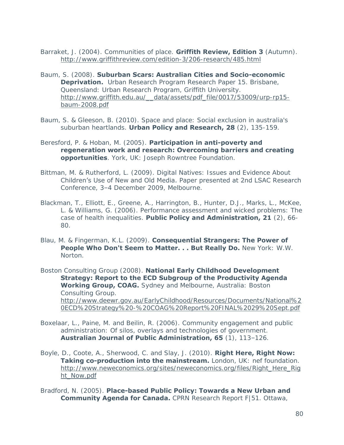Barraket, J. (2004). Communities of place. **Griffith Review, Edition 3** (Autumn). <http://www.griffithreview.com/edition-3/206-research/485.html>

- Baum, S. (2008). **Suburban Scars: Australian Cities and Socio-economic Deprivation.** Urban Research Program Research Paper 15. Brisbane, Queensland: Urban Research Program, Griffith University. [http://www.griffith.edu.au/\\_\\_data/assets/pdf\\_file/0017/53009/urp-rp15](http://www.griffith.edu.au/__data/assets/pdf_file/0017/53009/urp-rp15-baum-2008.pdf) [baum-2008.pdf](http://www.griffith.edu.au/__data/assets/pdf_file/0017/53009/urp-rp15-baum-2008.pdf)
- Baum, S. & Gleeson, B. (2010). Space and place: Social exclusion in australia's suburban heartlands. **Urban Policy and Research, 28** (2), 135-159.
- Beresford, P. & Hoban, M. (2005). **[Participation in anti-poverty and](http://www.jrf.org.uk/bookshop/findingsorder.asp?ref=0395)  [regeneration work and research: Overcoming barriers and creating](http://www.jrf.org.uk/bookshop/findingsorder.asp?ref=0395)  [opportunities](http://www.jrf.org.uk/bookshop/findingsorder.asp?ref=0395)**. York, UK: Joseph Rowntree Foundation.
- Bittman, M. & Rutherford, L. (2009). Digital Natives: Issues and Evidence About Children's Use of New and Old Media. Paper presented at 2nd LSAC Research Conference, 3–4 December 2009, Melbourne.
- Blackman, T., Elliott, E., Greene, A., Harrington, B., Hunter, D.J., Marks, L., McKee, L. & Williams, G. (2006). Performance assessment and wicked problems: The case of health inequalities. **Public Policy and Administration, 21** (2), 66- 80.
- Blau, M. & Fingerman, K.L. (2009). **Consequential Strangers: The Power of People Who Don't Seem to Matter. . . But Really Do.** New York: W.W. Norton.

Boston Consulting Group (2008). **National Early Childhood Development Strategy: Report to the ECD Subgroup of the Productivity Agenda Working Group, COAG.** Sydney and Melbourne, Australia: Boston Consulting Group. [http://www.deewr.gov.au/EarlyChildhood/Resources/Documents/National%2](http://www.deewr.gov.au/EarlyChildhood/Resources/Documents/National%20ECD%20Strategy%20-%20COAG%20Report%20FINAL%2029%20Sept.pdf) [0ECD%20Strategy%20-%20COAG%20Report%20FINAL%2029%20Sept.pdf](http://www.deewr.gov.au/EarlyChildhood/Resources/Documents/National%20ECD%20Strategy%20-%20COAG%20Report%20FINAL%2029%20Sept.pdf)

- Boxelaar, L., Paine, M. and Beilin, R. (2006). Community engagement and public administration: Of silos, overlays and technologies of government. **Australian Journal of Public Administration, 65** (1), 113–126.
- Boyle, D., Coote, A., Sherwood, C. and Slay, J. (2010). **Right Here, Right Now: Taking co-production into the mainstream.** London, UK: nef foundation. [http://www.neweconomics.org/sites/neweconomics.org/files/Right\\_Here\\_Rig](http://www.neweconomics.org/sites/neweconomics.org/files/Right_Here_Right_Now.pdf) [ht\\_Now.pdf](http://www.neweconomics.org/sites/neweconomics.org/files/Right_Here_Right_Now.pdf)

Bradford, N. (2005). **Place-based Public Policy: Towards a New Urban and Community Agenda for Canada.** CPRN Research Report F|51. Ottawa,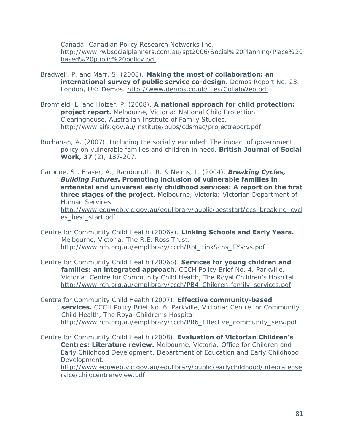Canada: Canadian Policy Research Networks Inc. [http://www.rwbsocialplanners.com.au/spt2006/Social%20Planning/Place%20](http://www.rwbsocialplanners.com.au/spt2006/Social%20Planning/Place%20based%20public%20policy.pdf) [based%20public%20policy.pdf](http://www.rwbsocialplanners.com.au/spt2006/Social%20Planning/Place%20based%20public%20policy.pdf)

- Bradwell, P. and Marr, S. (2008). **Making the most of collaboration: an international survey of public service co-design.** Demos Report No. 23. London, UK: Demos.<http://www.demos.co.uk/files/CollabWeb.pdf>
- Bromfield, L. and Holzer, P. (2008). **A national approach for child protection: project report.** Melbourne, Victoria: National Child Protection Clearinghouse, Australian Institute of Family Studies. <http://www.aifs.gov.au/institute/pubs/cdsmac/projectreport.pdf>
- Buchanan, A. (2007). Including the socially excluded: The impact of government policy on vulnerable families and children in need. **British Journal of Social Work, 37** (2), 187-207.

Carbone, S., Fraser, A., Ramburuth, R. & Nelms, L. (2004). *Breaking Cycles, Building Futures***. Promoting inclusion of vulnerable families in antenatal and universal early childhood services: A report on the first three stages of the project.** Melbourne, Victoria: Victorian Department of Human Services. [http://www.eduweb.vic.gov.au/edulibrary/public/beststart/ecs\\_breaking\\_cycl](http://www.eduweb.vic.gov.au/edulibrary/public/beststart/ecs_breaking_cycles_best_start.pdf) [es\\_best\\_start.pdf](http://www.eduweb.vic.gov.au/edulibrary/public/beststart/ecs_breaking_cycles_best_start.pdf)

- Centre for Community Child Health (2006a). **Linking Schools and Early Years.**  Melbourne, Victoria: The R.E. Ross Trust. [http://www.rch.org.au/emplibrary/ccch/Rpt\\_LinkSchs\\_EYsrvs.pdf](http://www.rch.org.au/emplibrary/ccch/Rpt_LinkSchs_EYsrvs.pdf)
- Centre for Community Child Health (2006b). **Services for young children and families: an integrated approach.** CCCH Policy Brief No. 4. Parkville, Victoria: Centre for Community Child Health, The Royal Children's Hospital. [http://www.rch.org.au/emplibrary/ccch/PB4\\_Children-family\\_services.pdf](http://www.rch.org.au/emplibrary/ccch/PB4_Children-family_services.pdf)
- Centre for Community Child Health (2007). **Effective community-based services.** CCCH Policy Brief No. 6. Parkville, Victoria: Centre for Community Child Health, The Royal Children's Hospital. [http://www.rch.org.au/emplibrary/ccch/PB6\\_Effective\\_community\\_serv.pdf](http://www.rch.org.au/emplibrary/ccch/PB6_Effective_community_serv.pdf)
- Centre for Community Child Health (2008). **Evaluation of Victorian Children's Centres: Literature review.** Melbourne, Victoria: Office for Children and Early Childhood Development, Department of Education and Early Childhood Development. [http://www.eduweb.vic.gov.au/edulibrary/public/earlychildhood/integratedse](http://www.eduweb.vic.gov.au/edulibrary/public/earlychildhood/integratedservice/childcentrereview.pdf) [rvice/childcentrereview.pdf](http://www.eduweb.vic.gov.au/edulibrary/public/earlychildhood/integratedservice/childcentrereview.pdf)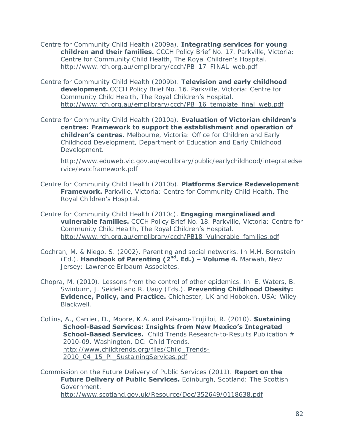Centre for Community Child Health (2009a). **Integrating services for young children and their families.** CCCH Policy Brief No. 17. Parkville, Victoria: Centre for Community Child Health, The Royal Children's Hospital. [http://www.rch.org.au/emplibrary/ccch/PB\\_17\\_FINAL\\_web.pdf](http://www.rch.org.au/emplibrary/ccch/PB_17_FINAL_web.pdf)

Centre for Community Child Health (2009b). **Television and early childhood development.** CCCH Policy Brief No. 16. Parkville, Victoria: Centre for Community Child Health, The Royal Children's Hospital. [http://www.rch.org.au/emplibrary/ccch/PB\\_16\\_template\\_final\\_web.pdf](http://www.rch.org.au/emplibrary/ccch/PB_16_template_final_web.pdf)

Centre for Community Child Health (2010a). **Evaluation of Victorian children's centres: Framework to support the establishment and operation of children's centres.** Melbourne, Victoria: Office for Children and Early Childhood Development, Department of Education and Early Childhood Development.

[http://www.eduweb.vic.gov.au/edulibrary/public/earlychildhood/integratedse](http://www.eduweb.vic.gov.au/edulibrary/public/earlychildhood/integratedservice/evccframework.pdf) [rvice/evccframework.pdf](http://www.eduweb.vic.gov.au/edulibrary/public/earlychildhood/integratedservice/evccframework.pdf)

Centre for Community Child Health (2010b). **Platforms Service Redevelopment Framework.** Parkville, Victoria: Centre for Community Child Health, The Royal Children's Hospital.

Centre for Community Child Health (2010c). **Engaging marginalised and vulnerable families.** CCCH Policy Brief No. 18. Parkville, Victoria: Centre for Community Child Health, The Royal Children's Hospital. [http://www.rch.org.au/emplibrary/ccch/PB18\\_Vulnerable\\_families.pdf](http://www.rch.org.au/emplibrary/ccch/PB18_Vulnerable_families.pdf)

Cochran, M. & Niego, S. (2002). Parenting and social networks. In M.H. Bornstein (Ed.). **Handbook of Parenting (2nd. Ed.) – Volume 4.** Marwah, New Jersey: Lawrence Erlbaum Associates.

Chopra, M. (2010). Lessons from the control of other epidemics. In E. Waters, B. Swinburn, J. Seidell and R. Uauy (Eds.). **Preventing Childhood Obesity: Evidence, Policy, and Practice.** Chichester, UK and Hoboken, USA: Wiley-**Blackwell** 

Collins, A., Carrier, D., Moore, K.A. and Paisano-Trujilloi, R. (2010). **Sustaining School-Based Services: Insights from New Mexico's Integrated School-Based Services.** Child Trends Research-to-Results Publication # 2010-09. Washington, DC: Child Trends. [http://www.childtrends.org/files/Child\\_Trends-](http://www.childtrends.org/files/Child_Trends-2010_04_15_PI_SustainingServices.pdf)[2010\\_04\\_15\\_PI\\_SustainingServices.pdf](http://www.childtrends.org/files/Child_Trends-2010_04_15_PI_SustainingServices.pdf)

Commission on the Future Delivery of Public Services (2011). **Report on the Future Delivery of Public Services.** Edinburgh, Scotland: The Scottish Government. <http://www.scotland.gov.uk/Resource/Doc/352649/0118638.pdf>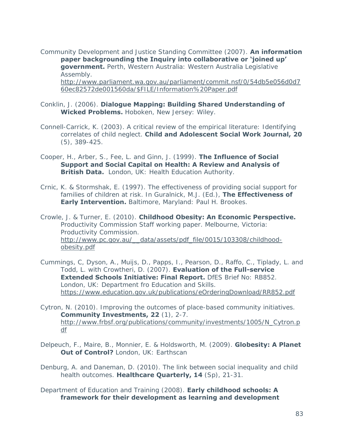Community Development and Justice Standing Committee (2007). **An information paper backgrounding the Inquiry into collaborative or 'joined up' government.** Perth, Western Australia: Western Australia Legislative Assembly. [http://www.parliament.wa.gov.au/parliament/commit.nsf/0/54db5e056d0d7](http://www.parliament.wa.gov.au/parliament/commit.nsf/0/54db5e056d0d760ec82572de001560da/$FILE/Information%20Paper.pdf) [60ec82572de001560da/\\$FILE/Information%20Paper.pdf](http://www.parliament.wa.gov.au/parliament/commit.nsf/0/54db5e056d0d760ec82572de001560da/$FILE/Information%20Paper.pdf)

#### Conklin, J. (2006). **Dialogue Mapping: Building Shared Understanding of Wicked Problems.** Hoboken, New Jersey: Wiley.

- Connell-Carrick, K. (2003). A critical review of the empirical literature: Identifying correlates of child neglect. **Child and Adolescent Social Work Journal, 20** (5), 389-425.
- Cooper, H., Arber, S., Fee, L. and Ginn, J. (1999). **The Influence of Social Support and Social Capital on Health: A Review and Analysis of British Data.** London, UK: Health Education Authority.
- Crnic, K. & Stormshak, E. (1997). The effectiveness of providing social support for families of children at risk. In Guralnick, M.J. (Ed.), **The Effectiveness of Early Intervention.** Baltimore, Maryland: Paul H. Brookes.

Crowle, J. & Turner, E. (2010). **Childhood Obesity: An Economic Perspective.**  Productivity Commission Staff working paper. Melbourne, Victoria: Productivity Commission. [http://www.pc.gov.au/\\_\\_data/assets/pdf\\_file/0015/103308/childhood](http://www.pc.gov.au/__data/assets/pdf_file/0015/103308/childhood-obesity.pdf)[obesity.pdf](http://www.pc.gov.au/__data/assets/pdf_file/0015/103308/childhood-obesity.pdf)

- Cummings, C, Dyson, A., Muijs, D., Papps, I., Pearson, D., Raffo, C., Tiplady, L. and Todd, L. with Crowtheri, D. (2007). **Evaluation of the Full-service Extended Schools Initiative: Final Report.** DfES Brief No: RB852. London, UK: Department fro Education and Skills. <https://www.education.gov.uk/publications/eOrderingDownload/RR852.pdf>
- Cytron, N. (2010). Improving the outcomes of place-based community initiatives. **Community Investments, 22** (1), 2-7. [http://www.frbsf.org/publications/community/investments/1005/N\\_Cytron.p](http://www.frbsf.org/publications/community/investments/1005/N_Cytron.pdf) [df](http://www.frbsf.org/publications/community/investments/1005/N_Cytron.pdf)
- Delpeuch, F., Maire, B., Monnier, E. & Holdsworth, M. (2009). **Globesity: A Planet Out of Control?** London, UK: Earthscan

Denburg, A. and Daneman, D. (2010). The link between social inequality and child health outcomes. **Healthcare Quarterly, 14** (Sp), 21-31.

Department of Education and Training (2008). **Early childhood schools: A framework for their development as learning and development**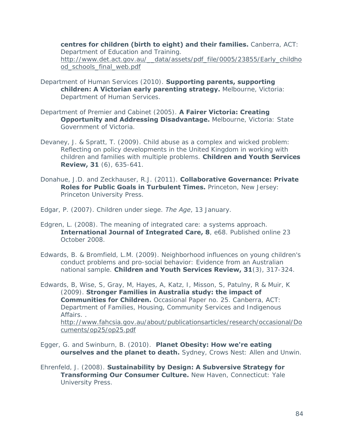**centres for children (birth to eight) and their families.** Canberra, ACT: Department of Education and Training. [http://www.det.act.gov.au/\\_\\_data/assets/pdf\\_file/0005/23855/Early\\_childho](http://www.det.act.gov.au/__data/assets/pdf_file/0005/23855/Early_childhood_schools_final_web.pdf) [od\\_schools\\_final\\_web.pdf](http://www.det.act.gov.au/__data/assets/pdf_file/0005/23855/Early_childhood_schools_final_web.pdf)

- Department of Human Services (2010). **Supporting parents, supporting children: A Victorian early parenting strategy.** Melbourne, Victoria: Department of Human Services.
- Department of Premier and Cabinet (2005). **A Fairer Victoria: Creating Opportunity and Addressing Disadvantage.** Melbourne, Victoria: State Government of Victoria.
- Devaney, J. & Spratt, T. (2009). Child abuse as a complex and wicked problem: Reflecting on policy developments in the United Kingdom in working with children and families with multiple problems. **Children and Youth Services Review, 31** (6), 635-641.
- Donahue, J.D. and Zeckhauser, R.J. (2011). **Collaborative Governance: Private Roles for Public Goals in Turbulent Times.** Princeton, New Jersey: Princeton University Press.
- Edgar, P. (2007). Children under siege. *The Age*, 13 January.
- Edgren, L. (2008). The meaning of integrated care: a systems approach. **International Journal of Integrated Care, 8**, e68. Published online 23 October 2008.
- Edwards, B. & Bromfield, L.M. (2009). Neighborhood influences on young children's conduct problems and pro-social behavior: Evidence from an Australian national sample. **Children and Youth Services Review, 31**(3), 317-324.

Edwards, B, Wise, S, Gray, M, Hayes, A, Katz, I, Misson, S, Patulny, R & Muir, K (2009). **Stronger Families in Australia study: the impact of Communities for Children.** Occasional Paper no. 25. Canberra, ACT: Department of Families, Housing, Community Services and Indigenous Affairs. . [http://www.fahcsia.gov.au/about/publicationsarticles/research/occasional/Do](http://www.fahcsia.gov.au/about/publicationsarticles/research/occasional/Documents/op25/op25.pdf) [cuments/op25/op25.pdf](http://www.fahcsia.gov.au/about/publicationsarticles/research/occasional/Documents/op25/op25.pdf)

Egger, G. and Swinburn, B. (2010). **Planet Obesity: How we're eating ourselves and the planet to death.** Sydney, Crows Nest: Allen and Unwin.

Ehrenfeld, J. (2008). **Sustainability by Design: A Subversive Strategy for Transforming Our Consumer Culture.** New Haven, Connecticut: Yale University Press.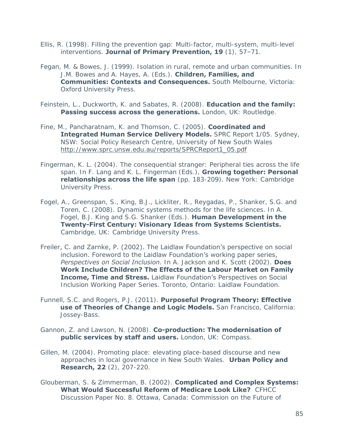- Ellis, R. (1998). Filling the prevention gap: Multi-factor, multi-system, multi-level interventions. **Journal of Primary Prevention, 19** (1), 57–71.
- Fegan, M. & Bowes, J. (1999). Isolation in rural, remote and urban communities. In J.M. Bowes and A. Hayes, A. (Eds.). **Children, Families, and Communities: Contexts and Consequences.** South Melbourne, Victoria: Oxford University Press.
- Feinstein, L., Duckworth, K. and Sabates, R. (2008). **Education and the family: Passing success across the generations.** London, UK: Routledge.
- Fine, M., Pancharatnam, K. and Thomson, C. (2005). **Coordinated and Integrated Human Service Delivery Models.** SPRC Report 1/05. Sydney, NSW: Social Policy Research Centre, University of New South Wales [http://www.sprc.unsw.edu.au/reports/SPRCReport1\\_05.pdf](http://www.sprc.unsw.edu.au/reports/SPRCReport1_05.pdf)
- Fingerman, K. L. (2004). The consequential stranger: Peripheral ties across the life span. In F. Lang and K. L. Fingerman (Eds.), **Growing together: Personal relationships across the life span** (pp. 183-209). New York: Cambridge University Press.
- Fogel, A., Greenspan, S., King, B.J., Lickliter, R., Reygadas, P., Shanker, S.G. and Toren, C. (2008). Dynamic systems methods for the life sciences. In A. Fogel, B.J. King and S.G. Shanker (Eds.). **Human Development in the Twenty-First Century: Visionary Ideas from Systems Scientists.** Cambridge, UK: Cambridge University Press.
- Freiler, C. and Zarnke, P. (2002). The Laidlaw Foundation's perspective on social inclusion. Foreword to the Laidlaw Foundation's working paper series, *Perspectives on Social Inclusion*. In A. Jackson and K. Scott (2002). **Does Work Include Children? The Effects of the Labour Market on Family Income, Time and Stress.** Laidlaw Foundation's Perspectives on Social Inclusion Working Paper Series. Toronto, Ontario: Laidlaw Foundation.
- Funnell, S.C. and Rogers, P.J. (2011). **Purposeful Program Theory: Effective use of Theories of Change and Logic Models.** San Francisco, California: Jossey-Bass.
- Gannon, Z. and Lawson, N. (2008). **Co-production: The modernisation of public services by staff and users.** London, UK: Compass.
- Gillen, M. (2004). Promoting place: elevating place-based discourse and new approaches in local governance in New South Wales. **Urban Policy and Research, 22** (2), 207-220.
- Glouberman, S. & Zimmerman, B. (2002). **Complicated and Complex Systems: What Would Successful Reform of Medicare Look Like?** CFHCC Discussion Paper No. 8. Ottawa, Canada: Commission on the Future of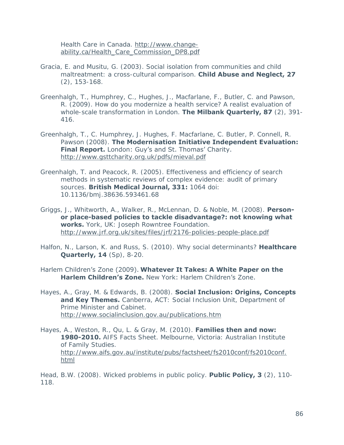Health Care in Canada. [http://www.change](http://www.change-ability.ca/Health_Care_Commission_DP8.pdf)[ability.ca/Health\\_Care\\_Commission\\_DP8.pdf](http://www.change-ability.ca/Health_Care_Commission_DP8.pdf)

- Gracia, E. and Musitu, G. (2003). Social isolation from communities and child maltreatment: a cross-cultural comparison. **Child Abuse and Neglect, 27** (2), 153-168.
- Greenhalgh, T., Humphrey, C., Hughes, J., Macfarlane, F., Butler, C. and Pawson, R. (2009). How do you modernize a health service? A realist evaluation of whole-scale transformation in London. **The Milbank Quarterly, 87** (2), 391- 416.
- Greenhalgh, T., C. Humphrey, J. Hughes, F. Macfarlane, C. Butler, P. Connell, R. Pawson (2008). **The Modernisation Initiative Independent Evaluation: Final Report.** London: Guy's and St. Thomas' Charity. <http://www.gsttcharity.org.uk/pdfs/mieval.pdf>
- Greenhalgh, T. and Peacock, R. (2005). Effectiveness and efficiency of search methods in systematic reviews of complex evidence: audit of primary sources. **British Medical Journal, 331:** 1064 doi: 10.1136/bmj.38636.593461.68
- Griggs, J., Whitworth, A., Walker, R., McLennan, D. & Noble, M. (2008). **Personor place-based policies to tackle disadvantage?: not knowing what works.** York, UK: Joseph Rowntree Foundation. <http://www.jrf.org.uk/sites/files/jrf/2176-policies-people-place.pdf>
- Halfon, N., Larson, K. and Russ, S. (2010). Why social determinants? **Healthcare Quarterly, 14** (Sp), 8-20.
- Harlem Children's Zone (2009). **Whatever It Takes: A White Paper on the Harlem Children's Zone.** New York: Harlem Children's Zone.
- Hayes, A., Gray, M. & Edwards, B. (2008). **Social Inclusion: Origins, Concepts**  and Key Themes. Canberra, ACT: Social Inclusion Unit, Department of Prime Minister and Cabinet. <http://www.socialinclusion.gov.au/publications.htm>
- Hayes, A., Weston, R., Qu, L. & Gray, M. (2010). **Families then and now: 1980-2010.** AIFS Facts Sheet. Melbourne, Victoria: Australian Institute of Family Studies. [http://www.aifs.gov.au/institute/pubs/factsheet/fs2010conf/fs2010conf.](http://www.aifs.gov.au/institute/pubs/factsheet/fs2010conf/fs2010conf.html) [html](http://www.aifs.gov.au/institute/pubs/factsheet/fs2010conf/fs2010conf.html)

Head, B.W. (2008). Wicked problems in public policy. **Public Policy, 3** (2), 110- 118.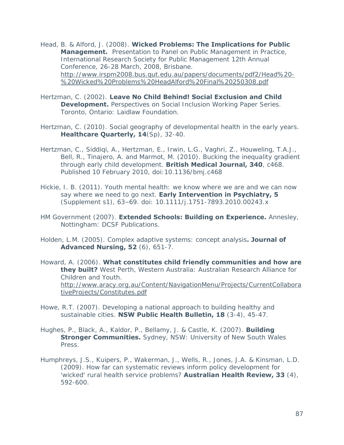Head, B. & Alford, J. (2008). **Wicked Problems: The Implications for Public Management.** Presentation to Panel on Public Management in Practice, International Research Society for Public Management 12th Annual Conference, 26-28 March, 2008, Brisbane. [http://www.irspm2008.bus.qut.edu.au/papers/documents/pdf2/Head%20-](http://www.irspm2008.bus.qut.edu.au/papers/documents/pdf2/Head%20-%20Wicked%20Problems%20HeadAlford%20Final%20250308.pdf) [%20Wicked%20Problems%20HeadAlford%20Final%20250308.pdf](http://www.irspm2008.bus.qut.edu.au/papers/documents/pdf2/Head%20-%20Wicked%20Problems%20HeadAlford%20Final%20250308.pdf)

- Hertzman, C. (2002). **Leave No Child Behind! Social Exclusion and Child Development.** Perspectives on Social Inclusion Working Paper Series. Toronto, Ontario: Laidlaw Foundation.
- Hertzman, C. (2010). Social geography of developmental health in the early years. **Healthcare Quarterly, 14**(Sp), 32-40.
- Hertzman, C., Siddiqi, A., Hertzman, E., Irwin, L.G., Vaghri, Z., Houweling, T.A.J., Bell, R., Tinajero, A. and Marmot, M. (2010). Bucking the inequality gradient through early child development. **British Medical Journal, 340**, c468. Published 10 February 2010, doi:10.1136/bmj.c468
- Hickie, I. B. (2011). Youth mental health: we know where we are and we can now say where we need to go next. **Early Intervention in Psychiatry, 5** (Supplement s1), 63–69. doi: 10.1111/j.1751-7893.2010.00243.x
- HM Government (2007). **Extended Schools: Building on Experience.** Annesley, Nottingham: DCSF Publications.
- Holden, L.M. (2005). Complex adaptive systems: concept analysis**. Journal of Advanced Nursing, 52** (6), 651-7.
- Howard, A. (2006). **What constitutes child friendly communities and how are they built?** West Perth, Western Australia: Australian Research Alliance for Children and Youth. [http://www.aracy.org.au/Content/NavigationMenu/Projects/CurrentCollabora](http://www.aracy.org.au/Content/NavigationMenu/Projects/CurrentCollaborativeProjects/Constitutes.pdf) [tiveProjects/Constitutes.pdf](http://www.aracy.org.au/Content/NavigationMenu/Projects/CurrentCollaborativeProjects/Constitutes.pdf)
- Howe, R.T. (2007). Developing a national approach to building healthy and sustainable cities. **NSW Public Health Bulletin, 18** (3-4), 45-47.
- Hughes, P., Black, A., Kaldor, P., Bellamy, J. & Castle, K. (2007). **Building Stronger Communities.** Sydney, NSW: University of New South Wales Press.
- Humphreys, J.S., Kuipers, P., Wakerman, J., Wells, R., Jones, J.A. & Kinsman, L.D. (2009). How far can systematic reviews inform policy development for 'wicked' rural health service problems? **Australian Health Review, 33** (4), 592-600.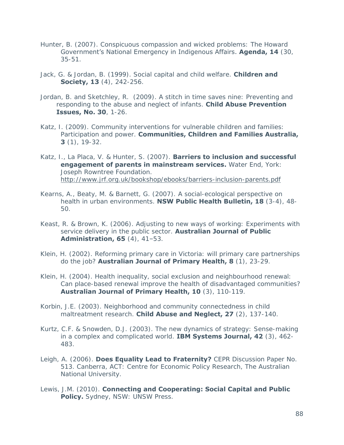- Hunter, B. (2007). Conspicuous compassion and wicked problems: The Howard Government's National Emergency in Indigenous Affairs. **Agenda, 14** (30, 35-51.
- Jack, G. & Jordan, B. (1999). Social capital and child welfare. **Children and Society, 13** (4), 242-256.
- Jordan, B. and Sketchley, R. (2009). A stitch in time saves nine: Preventing and responding to the abuse and neglect of infants. **Child Abuse Prevention Issues, No. 30**, 1-26.
- Katz, I. (2009). Community interventions for vulnerable children and families: Participation and power. **Communities, Children and Families Australia, 3** (1), 19-32.
- Katz, I., La Placa, V. & Hunter, S. (2007). **Barriers to inclusion and successful engagement of parents in mainstream services.** Water End, York: Joseph Rowntree Foundation. <http://www.jrf.org.uk/bookshop/ebooks/barriers-inclusion-parents.pdf>
- Kearns, A., Beaty, M. & Barnett, G. (2007). A social-ecological perspective on health in urban environments. **NSW Public Health Bulletin, 18** (3-4), 48- 50.
- Keast, R. & Brown, K. (2006). Adjusting to new ways of working: Experiments with service delivery in the public sector. **Australian Journal of Public Administration, 65** (4), 41–53.
- Klein, H. (2002). Reforming primary care in Victoria: will primary care partnerships do the job? **Australian Journal of Primary Health, 8** (1), 23-29.
- Klein, H. (2004). Health inequality, social exclusion and neighbourhood renewal: Can place-based renewal improve the health of disadvantaged communities? **Australian Journal of Primary Health, 10** (3), 110-119.
- Korbin, J.E. (2003). Neighborhood and community connectedness in child maltreatment research. **Child Abuse and Neglect, 27** (2), 137-140.
- Kurtz, C.F. & Snowden, D.J. (2003). The new dynamics of strategy: Sense-making in a complex and complicated world. **IBM Systems Journal, 42** (3), 462- 483.
- Leigh, A. (2006). **Does Equality Lead to Fraternity?** CEPR Discussion Paper No. 513. Canberra, ACT: Centre for Economic Policy Research, The Australian National University.
- Lewis, J.M. (2010). **Connecting and Cooperating: Social Capital and Public Policy.** Sydney, NSW: UNSW Press.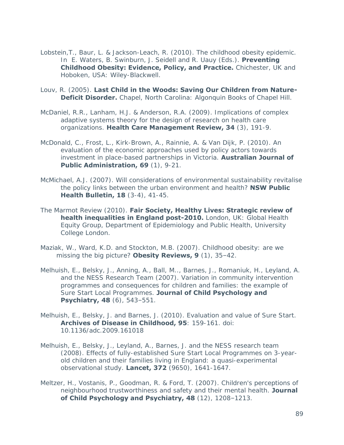- Lobstein,T., Baur, L. & Jackson-Leach, R. (2010). The childhood obesity epidemic. In E. Waters, B. Swinburn, J. Seidell and R. Uauy (Eds.). **Preventing Childhood Obesity: Evidence, Policy, and Practice.** Chichester, UK and Hoboken, USA: Wiley-Blackwell.
- Louv, R. (2005). **Last Child in the Woods: Saving Our Children from Nature-Deficit Disorder.** Chapel, North Carolina: Algonquin Books of Chapel Hill.
- McDaniel, R.R., Lanham, H.J. & Anderson, R.A. (2009). Implications of complex adaptive systems theory for the design of research on health care organizations. **Health Care Management Review, 34** (3), 191-9.
- McDonald, C., Frost, L., Kirk-Brown, A., Rainnie, A. & Van Dijk, P. (2010). An evaluation of the economic approaches used by policy actors towards investment in place-based partnerships in Victoria. **Australian Journal of Public Administration, 69** (1), 9-21.
- McMichael, A.J. (2007). Will considerations of environmental sustainability revitalise the policy links between the urban environment and health? **NSW Public Health Bulletin, 18** (3-4), 41-45.
- The Marmot Review (2010). **Fair Society, Healthy Lives: Strategic review of health inequalities in England post-2010.** London, UK: Global Health Equity Group, Department of Epidemiology and Public Health, University College London.
- Maziak, W., Ward, K.D. and Stockton, M.B. (2007). Childhood obesity: are we missing the big picture? **Obesity Reviews, 9** (1), 35–42.
- Melhuish, E., Belsky, J., Anning, A., Ball, M.., Barnes, J., Romaniuk, H., Leyland, A. and the NESS Research Team (2007). Variation in community intervention programmes and consequences for children and families: the example of Sure Start Local Programmes. **Journal of Child Psychology and Psychiatry, 48** (6), 543-551.
- Melhuish, E., Belsky, J. and Barnes, J. (2010). Evaluation and value of Sure Start. **Archives of Disease in Childhood, 95**: 159-161. doi: 10.1136/adc.2009.161018
- Melhuish, E., Belsky, J., Leyland, A., Barnes, J. and the NESS research team (2008). Effects of fully-established Sure Start Local Programmes on 3-yearold children and their families living in England: a quasi-experimental observational study. **Lancet, 372** (9650), 1641-1647.
- Meltzer, H., Vostanis, P., Goodman, R. & Ford, T. (2007). Children's perceptions of neighbourhood trustworthiness and safety and their mental health. **Journal of Child Psychology and Psychiatry, 48** (12), 1208–1213.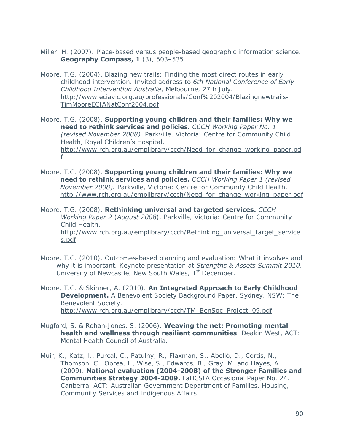- Miller, H. (2007). Place-based versus people-based geographic information science. **Geography Compass, 1** (3), 503–535.
- Moore, T.G. (2004). Blazing new trails: Finding the most direct routes in early childhood intervention. Invited address to *6th National Conference of Early Childhood Intervention Australia*, Melbourne, 27th July. [http://www.eciavic.org.au/professionals/Conf%202004/Blazingnewtrails-](http://www.eciavic.org.au/professionals/Conf%202004/Blazingnewtrails-TimMooreECIANatConf2004.pdf)[TimMooreECIANatConf2004.pdf](http://www.eciavic.org.au/professionals/Conf%202004/Blazingnewtrails-TimMooreECIANatConf2004.pdf)

Moore, T.G. (2008). **Supporting young children and their families: Why we need to rethink services and policies.** *CCCH Working Paper No. 1 (revised November 2008).* Parkville, Victoria: Centre for Community Child Health, Royal Children's Hospital. [http://www.rch.org.au/emplibrary/ccch/Need\\_for\\_change\\_working\\_paper.pd](http://www.rch.org.au/emplibrary/ccch/Need_for_change_working_paper.pdf) [f](http://www.rch.org.au/emplibrary/ccch/Need_for_change_working_paper.pdf)

Moore, T.G. (2008). **Supporting young children and their families: Why we need to rethink services and policies.** *CCCH Working Paper 1 (revised November 2008).* Parkville, Victoria: Centre for Community Child Health. [http://www.rch.org.au/emplibrary/ccch/Need\\_for\\_change\\_working\\_paper.pdf](http://www.rch.org.au/emplibrary/ccch/Need_for_change_working_paper.pdf)

Moore, T.G. (2008). **Rethinking universal and targeted services.** *CCCH Working Paper 2* (*August 2008*). Parkville, Victoria: Centre for Community Child Health. [http://www.rch.org.au/emplibrary/ccch/Rethinking\\_universal\\_target\\_service](http://www.rch.org.au/emplibrary/ccch/Rethinking_universal_target_services.pdf) [s.pdf](http://www.rch.org.au/emplibrary/ccch/Rethinking_universal_target_services.pdf)

Moore, T.G. (2010). Outcomes-based planning and evaluation: What it involves and why it is important. Keynote presentation at *Strengths & Assets Summit 2010*, University of Newcastle, New South Wales, 1<sup>st</sup> December.

Moore, T.G. & Skinner, A. (2010). **An Integrated Approach to Early Childhood Development.** A Benevolent Society Background Paper. Sydney, NSW: The Benevolent Society. [http://www.rch.org.au/emplibrary/ccch/TM\\_BenSoc\\_Project\\_09.pdf](http://www.rch.org.au/emplibrary/ccch/TM_BenSoc_Project_09.pdf)

Mugford, S. & Rohan-Jones, S. (2006). **Weaving the net: Promoting mental health and wellness through resilient communities**. Deakin West, ACT: Mental Health Council of Australia.

Muir, K., Katz, I., Purcal, C., Patulny, R., Flaxman, S., Abelló, D., Cortis, N., Thomson, C., Oprea, I., Wise, S., Edwards, B., Gray, M. and Hayes, A. (2009). **National evaluation (2004-2008) of the Stronger Families and Communities Strategy 2004-2009.** FaHCSIA Occasional Paper No. 24. Canberra, ACT: Australian Government Department of Families, Housing, Community Services and Indigenous Affairs.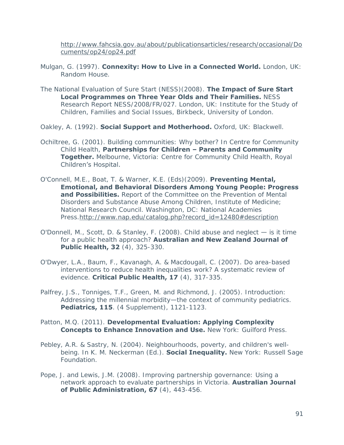[http://www.fahcsia.gov.au/about/publicationsarticles/research/occasional/Do](http://www.fahcsia.gov.au/about/publicationsarticles/research/occasional/Documents/op24/op24.pdf) [cuments/op24/op24.pdf](http://www.fahcsia.gov.au/about/publicationsarticles/research/occasional/Documents/op24/op24.pdf)

- Mulgan, G. (1997). **Connexity: How to Live in a Connected World.** London, UK: Random House.
- The National Evaluation of Sure Start (NESS)(2008). **The Impact of Sure Start Local Programmes on Three Year Olds and Their Families.** NESS Research Report NESS/2008/FR/027. London, UK: Institute for the Study of Children, Families and Social Issues, Birkbeck, University of London.

Oakley, A. (1992). **Social Support and Motherhood.** Oxford, UK: Blackwell.

- Ochiltree, G. (2001). Building communities: Why bother? In Centre for Community Child Health, **Partnerships for Children – Parents and Community Together.** Melbourne, Victoria: Centre for Community Child Health, Royal Children's Hospital.
- O'Connell, M.E., Boat, T. & Warner, K.E. (Eds)(2009). **Preventing Mental, Emotional, and Behavioral Disorders Among Young People: Progress and Possibilities.** Report of the Committee on the Prevention of Mental Disorders and Substance Abuse Among Children, Institute of Medicine; National Research Council. Washington, DC: National Academies Press[.http://www.nap.edu/catalog.php?record\\_id=12480#description](http://www.nap.edu/catalog.php?record_id=12480#description)
- O'Donnell, M., Scott, D. & Stanley, F. (2008). Child abuse and neglect is it time for a public health approach? **Australian and New Zealand Journal of Public Health, 32** (4), 325-330.
- O'Dwyer, L.A., Baum, F., Kavanagh, A. & Macdougall, C. (2007). Do area-based interventions to reduce health inequalities work? A systematic review of evidence. **Critical Public Health, 17** (4), 317-335.
- Palfrey, J.S., Tonniges, T.F., Green, M. and Richmond, J. (2005). Introduction: Addressing the millennial morbidity—the context of community pediatrics. **Pediatrics, 115**. (4 Supplement), 1121-1123.

#### Patton, M.Q. (2011). **Developmental Evaluation: Applying Complexity Concepts to Enhance Innovation and Use.** New York: Guilford Press.

- Pebley, A.R. & Sastry, N. (2004). Neighbourhoods, poverty, and children's wellbeing. In K. M. Neckerman (Ed.). **Social Inequality.** New York: Russell Sage Foundation.
- Pope, J. and Lewis, J.M. (2008). Improving partnership governance: Using a network approach to evaluate partnerships in Victoria. **Australian Journal of Public Administration, 67** (4), 443-456.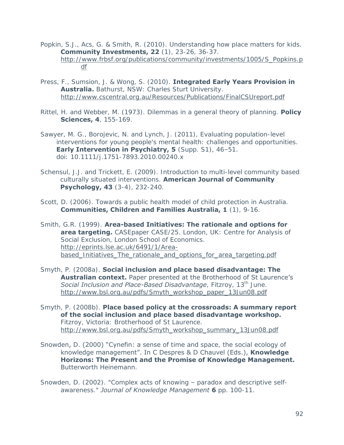- Popkin, S.J., Acs, G. & Smith, R. (2010). Understanding how place matters for kids. **Community Investments, 22** (1), 23-26, 36-37. [http://www.frbsf.org/publications/community/investments/1005/S\\_Popkins.p](http://www.frbsf.org/publications/community/investments/1005/S_Popkins.pdf) [df](http://www.frbsf.org/publications/community/investments/1005/S_Popkins.pdf)
- Press, F., Sumsion, J. & Wong, S. (2010). **Integrated Early Years Provision in Australia.** Bathurst, NSW: Charles Sturt University. <http://www.cscentral.org.au/Resources/Publications/FinalCSUreport.pdf>
- Rittel, H. and Webber, M. (1973). Dilemmas in a general theory of planning. **Policy Sciences, 4**, 155-169.
- Sawyer, M. G., Borojevic, N. and Lynch, J. (2011), Evaluating population-level interventions for young people's mental health: challenges and opportunities. **Early Intervention in Psychiatry, 5** (Supp. S1), 46–51. doi: 10.1111/j.1751-7893.2010.00240.x
- Schensul, J.J. and Trickett, E. (2009). Introduction to multi-level community based culturally situated interventions. **American Journal of Community Psychology, 43** (3-4), 232-240.
- Scott, D. (2006). Towards a public health model of child protection in Australia. **Communities, Children and Families Australia, 1** (1), 9-16.
- Smith, G.R. (1999). **Area-based Initiatives: The rationale and options for area targeting.** CASEpaper CASE/25. London, UK: Centre for Analysis of Social Exclusion, London School of Economics. [http://eprints.lse.ac.uk/6491/1/Area](http://eprints.lse.ac.uk/6491/1/Area-based_Initiatives_The_rationale_and_options_for_area_targeting.pdf)[based\\_Initiatives\\_The\\_rationale\\_and\\_options\\_for\\_area\\_targeting.pdf](http://eprints.lse.ac.uk/6491/1/Area-based_Initiatives_The_rationale_and_options_for_area_targeting.pdf)
- Smyth, P. (2008a). **Social inclusion and place based disadvantage: The Australian context.** Paper presented at the Brotherhood of St Laurence's **Social Inclusion and Place-Based Disadvantage**, Fitzroy, 13<sup>th</sup> June. [http://www.bsl.org.au/pdfs/Smyth\\_workshop\\_paper\\_13Jun08.pdf](http://www.bsl.org.au/pdfs/Smyth_workshop_paper_13Jun08.pdf)
- Smyth, P. (2008b). **Place based policy at the crossroads: A summary report of the social inclusion and place based disadvantage workshop.** Fitzroy, Victoria: Brotherhood of St Laurence. [http://www.bsl.org.au/pdfs/Smyth\\_workshop\\_summary\\_13Jun08.pdf](http://www.bsl.org.au/pdfs/Smyth_workshop_summary_13Jun08.pdf)
- Snowden, D. (2000) "Cynefin: a sense of time and space, the social ecology of knowledge management". In C Despres & D Chauvel (Eds.), **Knowledge Horizons: The Present and the Promise of Knowledge Management.** Butterworth Heinemann.
- Snowden, D. (2002). "Complex acts of knowing paradox and descriptive selfawareness." *Journal of Knowledge Management* **6** pp. 100-11.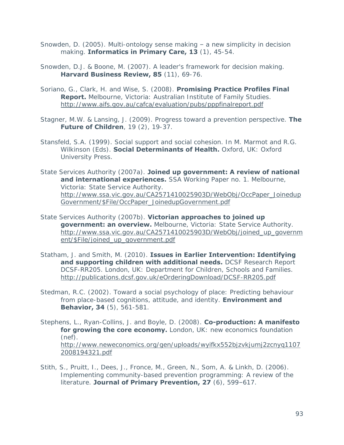- Snowden, D. (2005). Multi-ontology sense making a new simplicity in decision making. **Informatics in Primary Care, 13** (1), 45-54.
- Snowden, D.J. & Boone, M. (2007). A leader's framework for decision making. **Harvard Business Review, 85** (11), 69-76.
- Soriano, G., Clark, H. and Wise, S. (2008). **Promising Practice Profiles Final Report.** Melbourne, Victoria: Australian Institute of Family Studies. <http://www.aifs.gov.au/cafca/evaluation/pubs/pppfinalreport.pdf>
- Stagner, M.W. & Lansing, J. (2009). Progress toward a prevention perspective. **The Future of Children**, 19 (2), 19-37.
- Stansfeld, S.A. (1999). Social support and social cohesion. In M. Marmot and R.G. Wilkinson (Eds). **Social Determinants of Health.** Oxford, UK: Oxford University Press.
- State Services Authority (2007a). **Joined up government: A review of national and international experiences.** SSA Working Paper no. 1. Melbourne, Victoria: State Service Authority. [http://www.ssa.vic.gov.au/CA2571410025903D/WebObj/OccPaper\\_Joinedup](http://www.ssa.vic.gov.au/CA2571410025903D/WebObj/OccPaper_JoinedupGovernment/$File/OccPaper_JoinedupGovernment.pdf) [Government/\\$File/OccPaper\\_JoinedupGovernment.pdf](http://www.ssa.vic.gov.au/CA2571410025903D/WebObj/OccPaper_JoinedupGovernment/$File/OccPaper_JoinedupGovernment.pdf)
- State Services Authority (2007b). **Victorian approaches to joined up government: an overview.** Melbourne, Victoria: State Service Authority. [http://www.ssa.vic.gov.au/CA2571410025903D/WebObj/joined\\_up\\_governm](http://www.ssa.vic.gov.au/CA2571410025903D/WebObj/joined_up_government/$File/joined_up_government.pdf) [ent/\\$File/joined\\_up\\_government.pdf](http://www.ssa.vic.gov.au/CA2571410025903D/WebObj/joined_up_government/$File/joined_up_government.pdf)
- Statham, J. and Smith, M. (2010). **Issues in Earlier Intervention: Identifying and supporting children with additional needs.** DCSF Research Report DCSF-RR205. London, UK: Department for Children, Schools and Families. <http://publications.dcsf.gov.uk/eOrderingDownload/DCSF-RR205.pdf>
- Stedman, R.C. (2002). Toward a social psychology of place: Predicting behaviour from place-based cognitions, attitude, and identity. **Environment and Behavior, 34** (5), 561-581.
- Stephens, L., Ryan-Collins, J. and Boyle, D. (2008). **Co-production: A manifesto for growing the core economy.** London, UK: new economics foundation (nef). [http://www.neweconomics.org/gen/uploads/wyifkx552bjzvkjumj2zcnyq1107](http://www.neweconomics.org/gen/uploads/wyifkx552bjzvkjumj2zcnyq11072008194321.pdf) [2008194321.pdf](http://www.neweconomics.org/gen/uploads/wyifkx552bjzvkjumj2zcnyq11072008194321.pdf)
- Stith, S., Pruitt, I., Dees, J., Fronce, M., Green, N., Som, A. & Linkh, D. (2006). Implementing community-based prevention programming: A review of the literature. **Journal of Primary Prevention, 27** (6), 599–617.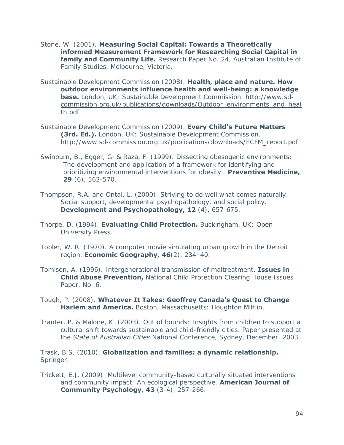- Stone, W. (2001). **Measuring Social Capital: Towards a Theoretically informed Measurement Framework for Researching Social Capital in family and Community Life.** Research Paper No. 24, Australian Institute of Family Studies, Melbourne, Victoria.
- Sustainable Development Commission (2008). **Health, place and nature. How outdoor environments influence health and well-being: a knowledge base.** London, UK: Sustainable Development Commission. [http://www.sd](http://www.sd-commission.org.uk/publications/downloads/Outdoor_environments_and_health.pdf)[commission.org.uk/publications/downloads/Outdoor\\_environments\\_and\\_heal](http://www.sd-commission.org.uk/publications/downloads/Outdoor_environments_and_health.pdf) [th.pdf](http://www.sd-commission.org.uk/publications/downloads/Outdoor_environments_and_health.pdf)
- Sustainable Development Commission (2009). **Every Child's Future Matters (3rd. Ed.).** London, UK: Sustainable Development Commission. [http://www.sd-commission.org.uk/publications/downloads/ECFM\\_report.pdf](http://www.sd-commission.org.uk/publications/downloads/ECFM_report.pdf)
- Swinburn, B., Egger, G. & Raza, F. (1999). Dissecting obesogenic environments: The development and application of a framework for identifying and prioritizing environmental interventions for obesity. **Preventive Medicine, 29** (6), 563-570.
- Thompson, R.A. and Ontai, L. (2000). Striving to do well what comes naturally: Social support, developmental psychopathology, and social policy. **Development and Psychopathology, 12** (4), 657-675.
- Thorpe, D. (1994). **Evaluating Child Protection.** Buckingham, UK: Open University Press.
- Tobler, W. R. (1970). A computer movie simulating urban growth in the Detroit region. **Economic Geography, 46**(2), 234–40.
- Tomison, A. (1996). Intergenerational transmission of maltreatment. **Issues in Child Abuse Prevention,** National Child Protection Clearing House Issues Paper, No. 6.
- Tough, P. (2008). **Whatever It Takes: Geoffrey Canada's Quest to Change Harlem and America.** Boston, Massachusetts: Houghton Mifflin.
- Tranter, P. & Malone, K. (2003). Out of bounds: Insights from children to support a cultural shift towards sustainable and child-friendly cities. Paper presented at the *State of Australian Cities* National Conference, Sydney, December, 2003.

Trask, B.S. (2010). **Globalization and families: a dynamic relationship.** Springer.

Trickett, E.J. (2009). Multilevel community-based culturally situated interventions and community impact: An ecological perspective. **American Journal of Community Psychology, 43** (3-4), 257-266.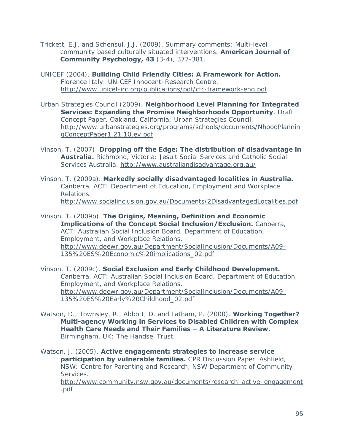Trickett, E.J. and Schensul, J.J. (2009). Summary comments: Multi-level community based culturally situated interventions. **American Journal of Community Psychology, 43** (3-4), 377-381.

- UNICEF (2004). **Building Child Friendly Cities: A Framework for Action.** Florence Italy: UNICEF Innocenti Research Centre. <http://www.unicef-irc.org/publications/pdf/cfc-framework-eng.pdf>
- Urban Strategies Council (2009). **Neighborhood Level Planning for Integrated Services: Expanding the Promise Neighborhoods Opportunity**. Draft Concept Paper. Oakland, California: Urban Strategies Council. [http://www.urbanstrategies.org/programs/schools/documents/NhoodPlannin](http://www.urbanstrategies.org/programs/schools/documents/NhoodPlanningConceptPaper1.21.10.ev.pdf) [gConceptPaper1.21.10.ev.pdf](http://www.urbanstrategies.org/programs/schools/documents/NhoodPlanningConceptPaper1.21.10.ev.pdf)
- Vinson, T. (2007). **Dropping off the Edge: The distribution of disadvantage in Australia.** Richmond, Victoria: Jesuit Social Services and Catholic Social Services Australia.<http://www.australiandisadvantage.org.au/>
- Vinson, T. (2009a). **Markedly socially disadvantaged localities in Australia.** Canberra, ACT: Department of Education, Employment and Workplace Relations. <http://www.socialinclusion.gov.au/Documents/2DisadvantagedLocalities.pdf>
- Vinson, T. (2009b). **The Origins, Meaning, Definition and Economic Implications of the Concept Social Inclusion/Exclusion.** Canberra, ACT: Australian Social Inclusion Board, Department of Education, Employment, and Workplace Relations. [http://www.deewr.gov.au/Department/SocialInclusion/Documents/A09-](http://www.deewr.gov.au/Department/SocialInclusion/Documents/A09-135%20ES%20Economic%20implications_02.pdf) [135%20ES%20Economic%20implications\\_02.pdf](http://www.deewr.gov.au/Department/SocialInclusion/Documents/A09-135%20ES%20Economic%20implications_02.pdf)
- Vinson, T. (2009c). **Social Exclusion and Early Childhood Development.** Canberra, ACT: Australian Social Inclusion Board, Department of Education, Employment, and Workplace Relations. [http://www.deewr.gov.au/Department/SocialInclusion/Documents/A09-](http://www.deewr.gov.au/Department/SocialInclusion/Documents/A09-135%20ES%20Early%20Childhood_02.pdf) [135%20ES%20Early%20Childhood\\_02.pdf](http://www.deewr.gov.au/Department/SocialInclusion/Documents/A09-135%20ES%20Early%20Childhood_02.pdf)
- Watson, D., Townsley, R., Abbott, D. and Latham, P. (2000). **Working Together? Multi-agency Working in Services to Disabled Children with Complex Health Care Needs and Their Families – A Literature Review.**  Birmingham, UK: The Handsel Trust.
- Watson, J. (2005). **Active engagement: strategies to increase service participation by vulnerable families.** CPR Discussion Paper. Ashfield, NSW: Centre for Parenting and Research, NSW Department of Community Services. [http://www.community.nsw.gov.au/documents/research\\_active\\_engagement](http://www.community.nsw.gov.au/documents/research_active_engagement.pdf)

[.pdf](http://www.community.nsw.gov.au/documents/research_active_engagement.pdf)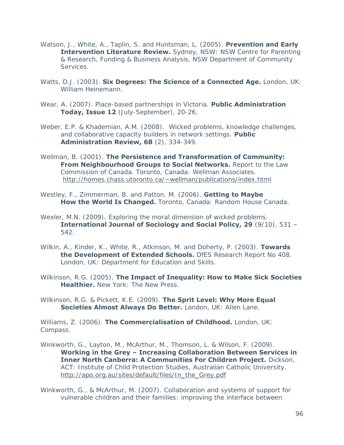- Watson, J., White, A., Taplin, S. and Huntsman, L. (2005). **Prevention and Early Intervention Literature Review.** Sydney, NSW: NSW Centre for Parenting & Research, Funding & Business Analysis, NSW Department of Community Services.
- Watts, D.J. (2003). **Six Degrees: The Science of a Connected Age.** London, UK: William Heinemann.
- Wear, A. (2007). Place-based partnerships in Victoria. **Public Administration Today, Issue 12** (July-September), 20-26.
- Weber, E.P. & Khademian, A.M. (2008). Wicked problems, knowledge challenges, and collaborative capacity builders in network settings. **Public Administration Review, 68** (2), 334-349.
- Wellman, B. (2001). **The Persistence and Transformation of Community: From Neighbourhood Groups to Social Networks.** Report to the Law Commission of Canada. Toronto, Canada: Wellman Associates. <http://homes.chass.utoronto.ca/~wellman/publications/index.html>
- Westley, F., Zimmerman, B. and Patton, M. (2006). **Getting to Maybe How the World Is Changed.** Toronto, Canada: Random House Canada.
- Wexler, M.N. (2009). Exploring the moral dimension of wicked problems. **International Journal of Sociology and Social Policy, 29** (9/10), 531 – 542.
- Wilkin, A., Kinder, K., White, R., Atkinson, M. and Doherty, P. (2003). **Towards the Development of Extended Schools.** DfES Research Report No 408. London, UK: Department for Education and Skills.
- Wilkinson, R.G. (2005). **The Impact of Inequality: How to Make Sick Societies Healthier.** New York: The New Press.
- Wilkinson, R.G. & Pickett, K.E. (2009). **The Sprit Level: Why More Equal Societies Almost Always Do Better.** London, UK: Allen Lane.

Williams, Z. (2006). **The Commercialisation of Childhood.** London, UK: Compass.

- Winkworth, G., Layton, M., McArthur, M., Thomson, L. & Wilson, F. (2009). **Working in the Grey – Increasing Collaboration Between Services in Inner North Canberra: A Communities For Children Project.** Dickson, ACT: Institute of Child Protection Studies, Australian Catholic University. http://apo.org.au/sites/default/files/In the Grey.pdf
- Winkworth, G., & McArthur, M. (2007). Collaboration and systems of support for vulnerable children and their families: improving the interface between